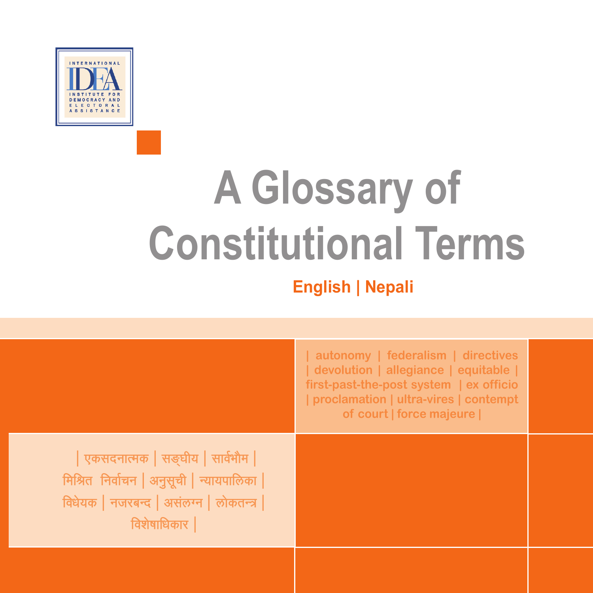

#### **English | Nepali**

|                                                                                                                                           | autonomy   federalism   directives<br>devolution   allegiance   equitable  <br>first-past-the-post system   ex officio<br>  proclamation   ultra-vires   contempt<br>of court   force majeure |  |
|-------------------------------------------------------------------------------------------------------------------------------------------|-----------------------------------------------------------------------------------------------------------------------------------------------------------------------------------------------|--|
| एकसदनात्मक   सङ्घीय   सार्वभौम  <br>मिश्रित निर्वाचन   अनुसूची   न्यायपालिका  <br>विधेयक   नजरबन्द   असंलग्न   लोकतन्त्र  <br>विशेषाधिकार |                                                                                                                                                                                               |  |
|                                                                                                                                           |                                                                                                                                                                                               |  |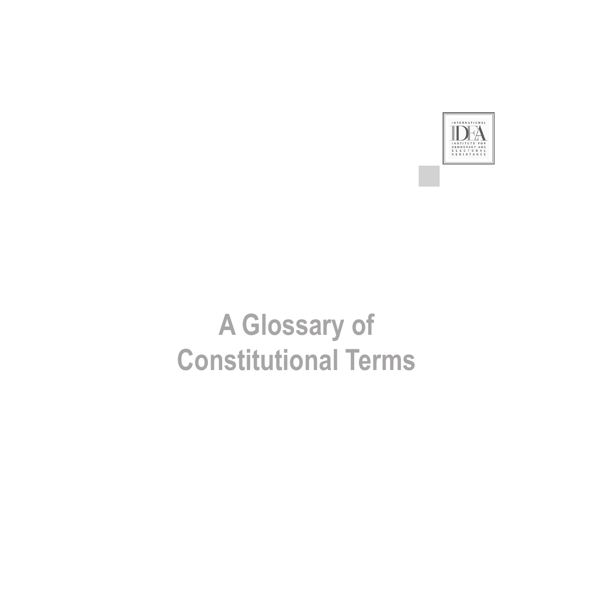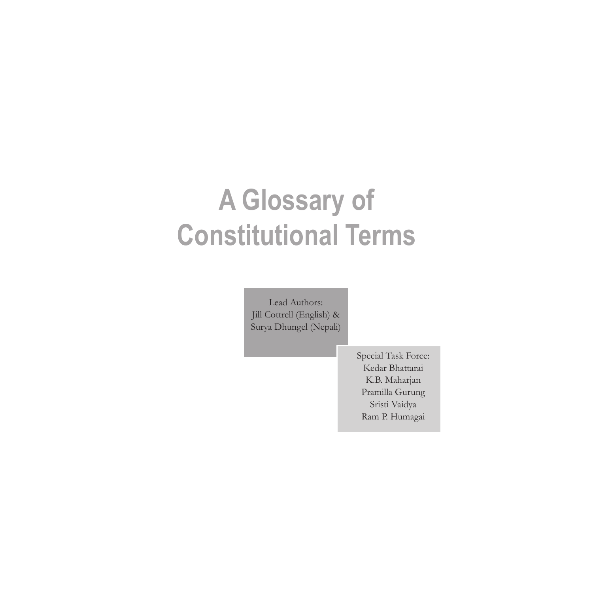Lead Authors: Jill Cottrell (English) & Surya Dhungel (Nepali)

> Special Task Force: Kedar Bhattarai K.B. Maharjan Pramilla Gurung Sristi Vaidya Ram P. Humagai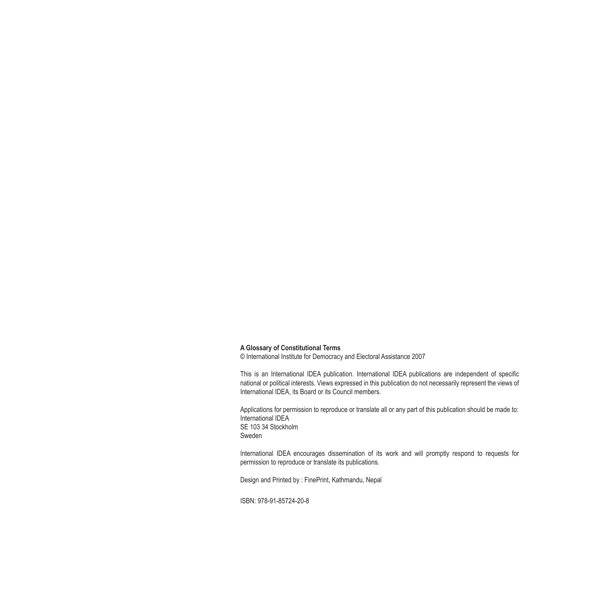© International Institute for Democracy and Electoral Assistance 2007

This is an International IDEA publication. International IDEA publications are independent of specific national or political interests. Views expressed in this publication do not necessarily represent the views of International IDEA, its Board or its Council members.

Applications for permission to reproduce or translate all or any part of this publication should be made to: International IDEASE 103 34 Stockholm Sweden

International IDEA encourages dissemination of its work and will promptly respond to requests for permission to reproduce or translate its publications.

Design and Printed by : FinePrint, Kathmandu, Nepal

ISBN: 978-91-85724-20-8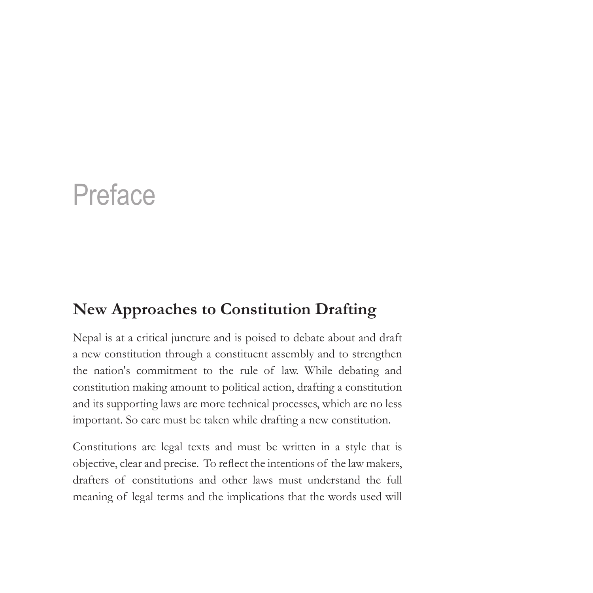### Preface

#### **New Approaches to Constitution Drafting**

Nepal is at a critical juncture and is poised to debate about and draft a new constitution through a constituent assembly and to strengthen the nation's commitment to the rule of law. While debating and constitution making amount to political action, drafting a constitution and its supporting laws are more technical processes, which are no less important. So care must be taken while drafting a new constitution.

Constitutions are legal texts and must be written in a style that is objective, clear and precise. To reflect the intentions of the law makers, drafters of constitutions and other laws must understand the full meaning of legal terms and the implications that the words used will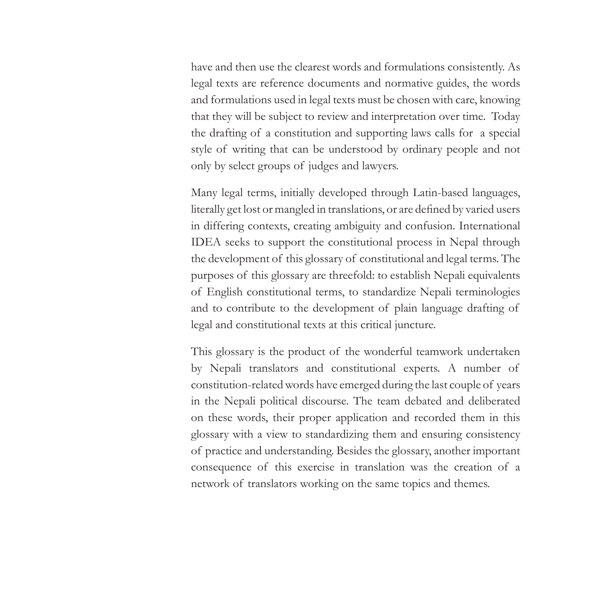have and then use the clearest words and formulations consistently. As legal texts are reference documents and normative guides, the words and formulations used in legal texts must be chosen with care, knowing that they will be subject to review and interpretation over time. Today the drafting of a constitution and supporting laws calls for a special style of writing that can be understood by ordinary people and not only by select groups of judges and lawyers.

Many legal terms, initially developed through Latin-based languages, literally get lost or mangled in translations, or are defined by varied users in differing contexts, creating ambiguity and confusion. International IDEA seeks to support the constitutional process in Nepal through the development of this glossary of constitutional and legal terms. The purposes of this glossary are threefold: to establish Nepali equivalents of English constitutional terms, to standardize Nepali terminologies and to contribute to the development of plain language drafting of legal and constitutional texts at this critical juncture.

This glossary is the product of the wonderful teamwork undertaken by Nepali translators and constitutional experts. A number of constitution-related words have emerged during the last couple of years in the Nepali political discourse. The team debated and deliberated on these words, their proper application and recorded them in this glossary with a view to standardizing them and ensuring consistency of practice and understanding. Besides the glossary, another important consequence of this exercise in translation was the creation of <sup>a</sup> network of translators working on the same topics and themes.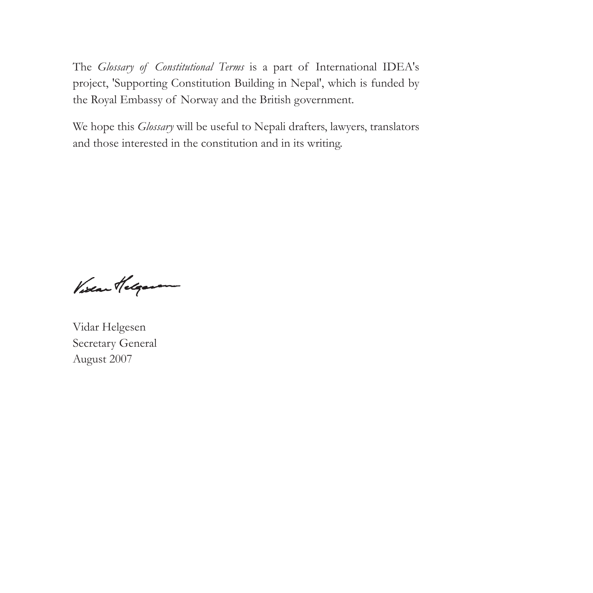The *Glossary of Constitutional Terms* is a part of International IDEA's project, 'Supporting Constitution Building in Nepal', which is funded by the Royal Embassy of Norway and the British government.

We hope this *Glossary* will be useful to Nepali drafters, lawyers, translators and those interested in the constitution and in its writing.

Viscan Helger

Vidar Helgesen Secretary General August 2007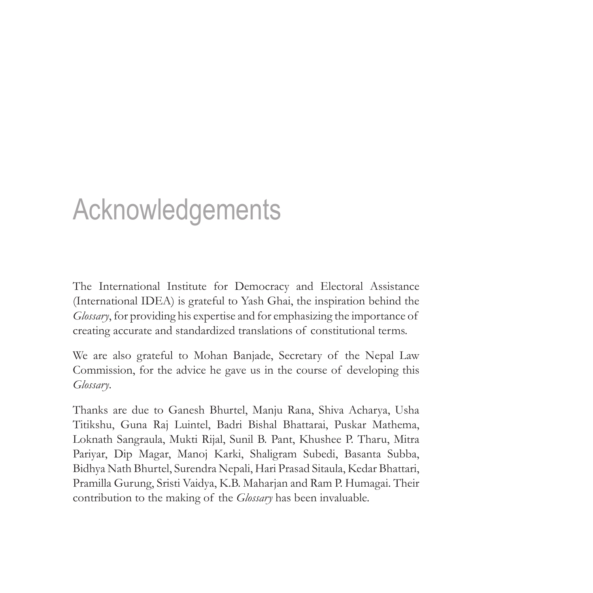### Acknowledgements

The International Institute for Democracy and Electoral Assistance (International IDEA) is grateful to Yash Ghai, the inspiration behind the *Glossary*, for providing his expertise and for emphasizing the importance of creating accurate and standardized translations of constitutional terms.

We are also grateful to Mohan Banjade, Secretary of the Nepal Law Commission, for the advice he gave us in the course of developing this *Glossary*.

Thanks are due to Ganesh Bhurtel, Manju Rana, Shiva Acharya, Usha Titikshu, Guna Raj Luintel, Badri Bishal Bhattarai, Puskar Mathema, Loknath Sangraula, Mukti Rijal, Sunil B. Pant, Khushee P. Tharu, Mitra Pariyar, Dip Magar, Manoj Karki, Shaligram Subedi, Basanta Subba, Bidhya Nath Bhurtel, Surendra Nepali, Hari Prasad Sitaula, Kedar Bhattari, Pramilla Gurung, Sristi Vaidya, K.B. Maharjan and Ram P. Humagai. Their contribution to the making of the *Glossary* has been invaluable.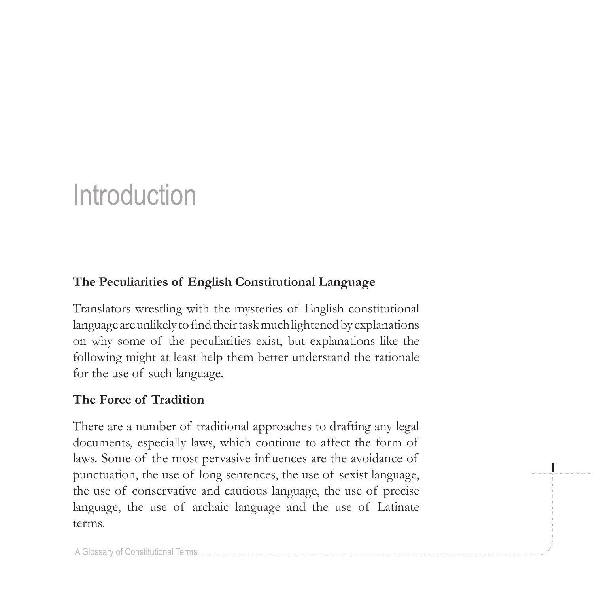## **Introduction**

#### **The Peculiarities of English Constitutional Language**

Translators wrestling with the mysteries of English constitutional language are unlikely to find their task much lightened by explanations on why some of the peculiarities exist, but explanations like the following might at least help them better understand the rationale for the use of such language.

#### **The Force of Tradition**

There are a number of traditional approaches to drafting any legal documents, especially laws, which continue to affect the form of laws. Some of the most pervasive influences are the avoidance of punctuation, the use of long sentences, the use of sexist language, the use of conservative and cautious language, the use of precise language, the use of archaic language and the use of Latinate terms.

**I**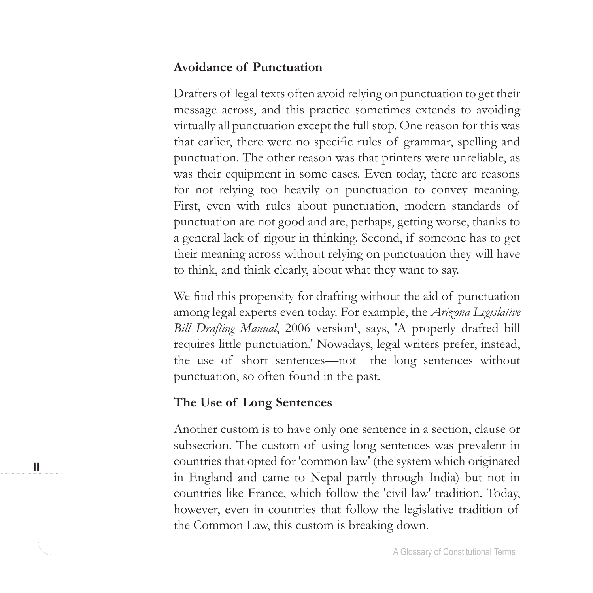#### **Avoidance of Punctuation**

Drafters of legal texts often avoid relying on punctuation to get their message across, and this practice sometimes extends to avoiding virtually all punctuation except the full stop. One reason for this was that earlier, there were no specific rules of grammar, spelling and punctuation. The other reason was that printers were unreliable, as was their equipment in some cases. Even today, there are reasons for not relying too heavily on punctuation to convey meaning. First, even with rules about punctuation, modern standards of punctuation are not good and are, perhaps, getting worse, thanks to a general lack of rigour in thinking. Second, if someone has to get their meaning across without relying on punctuation they will have to think, and think clearly, about what they want to say.

We find this propensity for drafting without the aid of punctuation among legal experts even today. For example, the *Arizona Legislative Bill Drafting Manual*, 2006 version<sup>1</sup>, says, 'A properly drafted bill requires little punctuation.' Nowadays, legal writers prefer, instead, the use of short sentences—not the long sentences without punctuation, so often found in the past.

#### **The Use of Long Sentences**

**II**

Another custom is to have only one sentence in a section, clause or subsection. The custom of using long sentences was prevalent in countries that opted for 'common law' (the system which originated in England and came to Nepal partly through India) but not in countries like France, which follow the 'civil law' tradition. Today, however, even in countries that follow the legislative tradition of the Common Law, this custom is breaking down.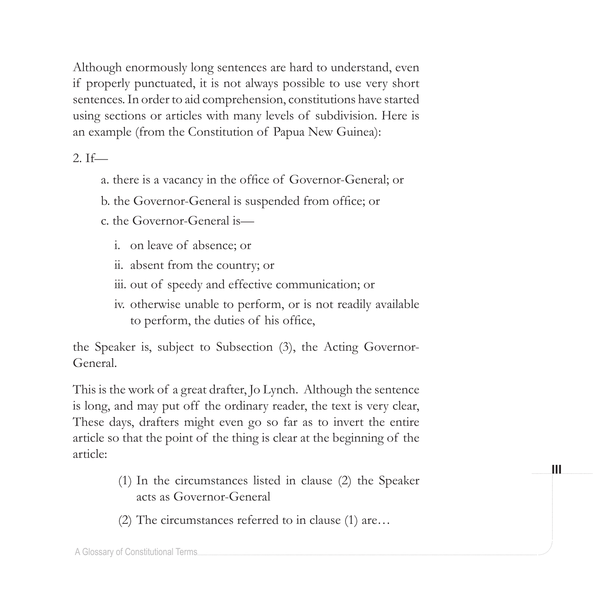Although enormously long sentences are hard to understand, even if properly punctuated, it is not always possible to use very short sentences. In order to aid comprehension, constitutions have started using sections or articles with many levels of subdivision. Here is an example (from the Constitution of Papua New Guinea):

2. If—

- a. there is a vacancy in the office of Governor-General; or
- b. the Governor-General is suspended from office; or

c. the Governor-General is—

- i. on leave of absence; or
- ii. absent from the country; or
- iii. out of speedy and effective communication; or
- iv. otherwise unable to perform, or is not readily available to perform, the duties of his office,

the Speaker is, subject to Subsection (3), the Acting Governor-General.

This is the work of a great drafter, Jo Lynch. Although the sentence is long, and may put off the ordinary reader, the text is very clear, These days, drafters might even go so far as to invert the entire article so that the point of the thing is clear at the beginning of the article:

> (1) In the circumstances listed in clause (2) the Speaker acts as Governor-General

**III**

(2) The circumstances referred to in clause (1) are…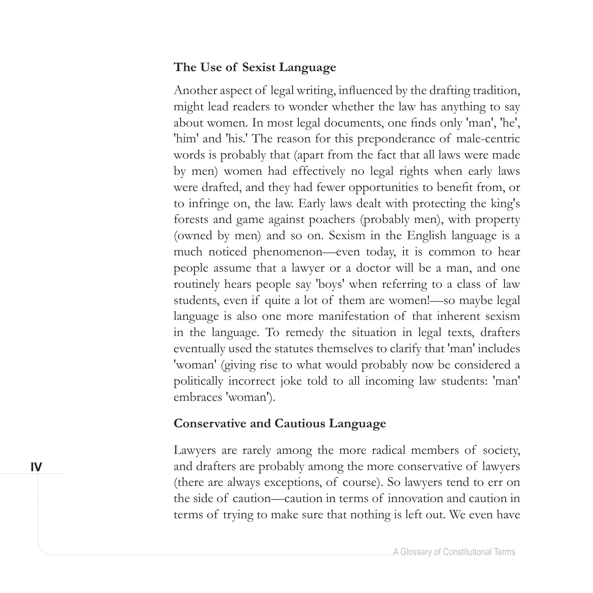#### **The Use of Sexist Language**

Another aspect of legal writing, influenced by the drafting tradition, might lead readers to wonder whether the law has anything to say about women. In most legal documents, one finds only 'man', 'he', 'him' and 'his.' The reason for this preponderance of male-centric words is probably that (apart from the fact that all laws were made by men) women had effectively no legal rights when early laws were drafted, and they had fewer opportunities to benefit from, or to infringe on, the law. Early laws dealt with protecting the king's forests and game against poachers (probably men), with property (owned by men) and so on. Sexism in the English language is a much noticed phenomenon—even today, it is common to hear people assume that a lawyer or a doctor will be a man, and one routinely hears people say 'boys' when referring to a class of law students, even if quite a lot of them are women!—so maybe legal language is also one more manifestation of that inherent sexism in the language. To remedy the situation in legal texts, drafters eventually used the statutes themselves to clarify that 'man' includes 'woman' (giving rise to what would probably now be considered a politically incorrect joke told to all incoming law students: 'man' embraces 'woman').

#### **Conservative and Cautious Language**

**IV**

Lawyers are rarely among the more radical members of society, and drafters are probably among the more conservative of lawyers (there are always exceptions, of course). So lawyers tend to err on the side of caution—caution in terms of innovation and caution in terms of trying to make sure that nothing is left out. We even have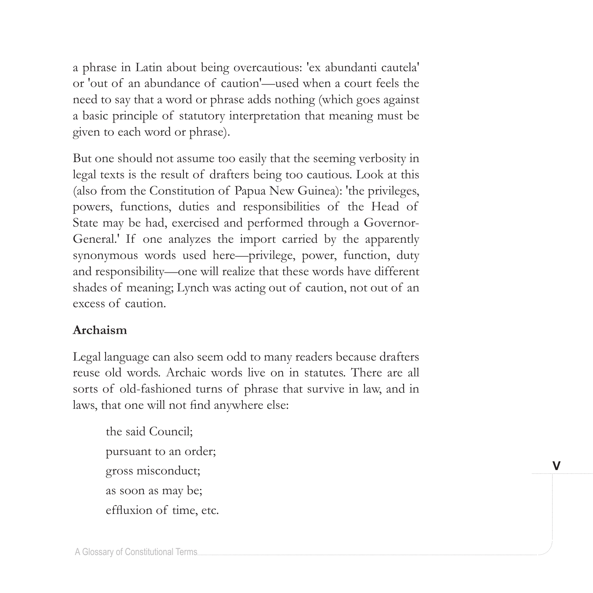a phrase in Latin about being overcautious: 'ex abundanti cautela' or 'out of an abundance of caution'—used when a court feels the need to say that a word or phrase adds nothing (which goes against a basic principle of statutory interpretation that meaning must be given to each word or phrase).

But one should not assume too easily that the seeming verbosity in legal texts is the result of drafters being too cautious. Look at this (also from the Constitution of Papua New Guinea): 'the privileges, powers, functions, duties and responsibilities of the Head of State may be had, exercised and performed through a Governor-General.' If one analyzes the import carried by the apparently synonymous words used here—privilege, power, function, duty and responsibility—one will realize that these words have different shades of meaning; Lynch was acting out of caution, not out of an excess of caution.

#### **Archaism**

Legal language can also seem odd to many readers because drafters reuse old words. Archaic words live on in statutes. There are all sorts of old-fashioned turns of phrase that survive in law, and in laws, that one will not find anywhere else:

**V**

the said Council; pursuant to an order; gross misconduct; as soon as may be; effluxion of time, etc.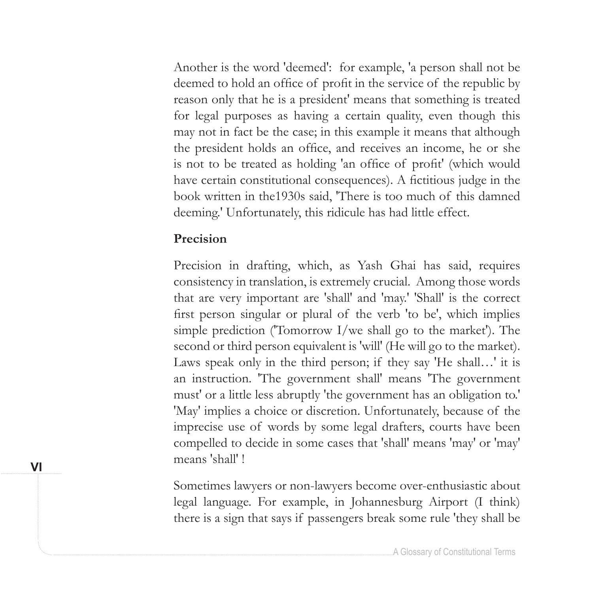Another is the word 'deemed': for example, 'a person shall not be deemed to hold an office of profit in the service of the republic by reason only that he is a president' means that something is treated for legal purposes as having a certain quality, even though this may not in fact be the case; in this example it means that although the president holds an office, and receives an income, he or she is not to be treated as holding 'an office of profit' (which would have certain constitutional consequences). A fictitious judge in the book written in the1930s said, 'There is too much of this damned deeming.' Unfortunately, this ridicule has had little effect.

#### **Precision**

**VI**

Precision in drafting, which, as Yash Ghai has said, requires consistency in translation, is extremely crucial. Among those words that are very important are 'shall' and 'may.' 'Shall' is the correct first person singular or plural of the verb 'to be', which implies simple prediction ('Tomorrow I/we shall go to the market'). The second or third person equivalent is 'will' (He will go to the market). Laws speak only in the third person; if they say 'He shall…' it is an instruction. 'The government shall' means 'The government must' or a little less abruptly 'the government has an obligation to.' 'May' implies a choice or discretion. Unfortunately, because of the imprecise use of words by some legal drafters, courts have been compelled to decide in some cases that 'shall' means 'may' or 'may' means 'shall' !

Sometimes lawyers or non-lawyers become over-enthusiastic about legal language. For example, in Johannesburg Airport (I think) there is a sign that says if passengers break some rule 'they shall be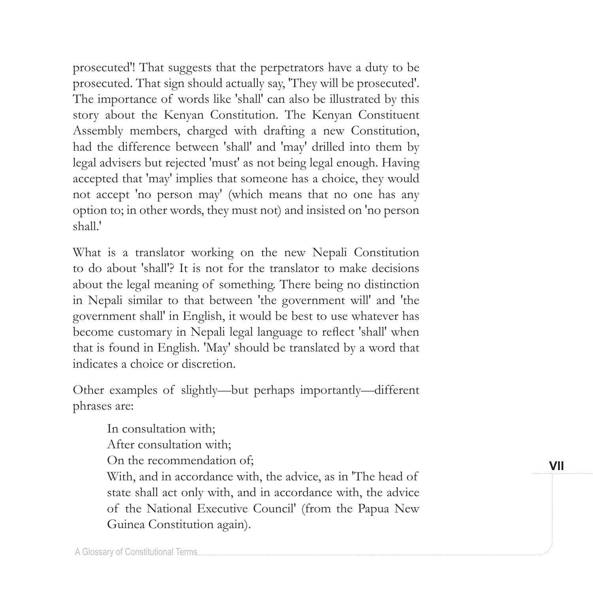prosecuted'! That suggests that the perpetrators have a duty to be prosecuted. That sign should actually say, 'They will be prosecuted'. The importance of words like 'shall' can also be illustrated by this story about the Kenyan Constitution. The Kenyan Constituent Assembly members, charged with drafting a new Constitution, had the difference between 'shall' and 'may' drilled into them by legal advisers but rejected 'must' as not being legal enough. Having accepted that 'may' implies that someone has a choice, they would not accept 'no person may' (which means that no one has any option to; in other words, they must not) and insisted on 'no person shall.'

What is a translator working on the new Nepali Constitution to do about 'shall'? It is not for the translator to make decisions about the legal meaning of something. There being no distinction in Nepali similar to that between 'the government will' and 'the government shall' in English, it would be best to use whatever has become customary in Nepali legal language to reflect 'shall' when that is found in English. 'May' should be translated by a word that indicates a choice or discretion.

Other examples of slightly—but perhaps importantly—different phrases are:

In consultation with; After consultation with; On the recommendation of; With, and in accordance with, the advice, as in 'The head of state shall act only with, and in accordance with, the advice of the National Executive Council' (from the Papua New Guinea Constitution again).

**VII**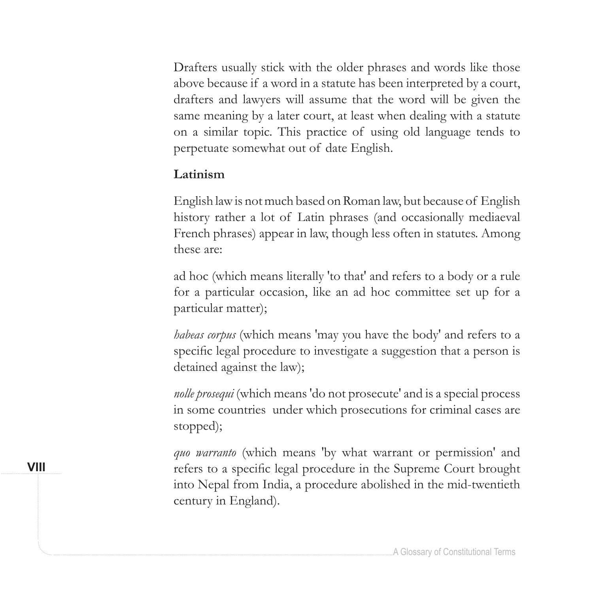Drafters usually stick with the older phrases and words like those above because if a word in a statute has been interpreted by a court, drafters and lawyers will assume that the word will be given the same meaning by a later court, at least when dealing with a statute on a similar topic. This practice of using old language tends to perpetuate somewhat out of date English.

#### **Latinism**

**VIII**

English law is not much based on Roman law, but because of English history rather a lot of Latin phrases (and occasionally mediaeval French phrases) appear in law, though less often in statutes. Among these are:

ad hoc (which means literally 'to that' and refers to a body or a rule for a particular occasion, like an ad hoc committee set up for a particular matter);

*habeas corpus* (which means 'may you have the body' and refers to a specific legal procedure to investigate a suggestion that a person is detained against the law);

*nolle prosequi* (which means 'do not prosecute' and is a special process in some countries under which prosecutions for criminal cases are stopped);

*quo warranto* (which means 'by what warrant or permission' and refers to a specific legal procedure in the Supreme Court brought into Nepal from India, a procedure abolished in the mid-twentieth century in England).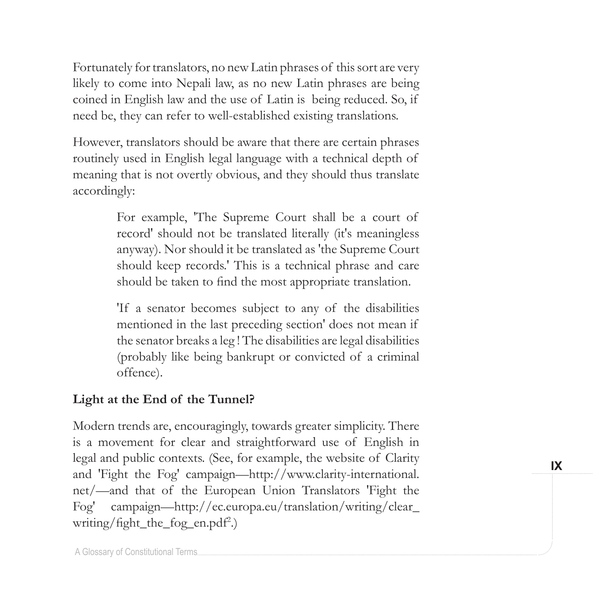Fortunately for translators, no new Latin phrases of this sort are very likely to come into Nepali law, as no new Latin phrases are being coined in English law and the use of Latin is being reduced. So, if need be, they can refer to well-established existing translations.

However, translators should be aware that there are certain phrases routinely used in English legal language with a technical depth of meaning that is not overtly obvious, and they should thus translate accordingly:

> For example, 'The Supreme Court shall be a court of record' should not be translated literally (it's meaningless anyway). Nor should it be translated as 'the Supreme Court should keep records.' This is a technical phrase and care should be taken to find the most appropriate translation.

> 'If a senator becomes subject to any of the disabilities mentioned in the last preceding section' does not mean if the senator breaks a leg ! The disabilities are legal disabilities (probably like being bankrupt or convicted of a criminal offence).

#### **Light at the End of the Tunnel?**

Modern trends are, encouragingly, towards greater simplicity. There is a movement for clear and straightforward use of English in legal and public contexts. (See, for example, the website of Clarity and 'Fight the Fog' campaign—http://www.clarity-international. net/—and that of the European Union Translators 'Fight the Fog' campaign—http://ec.europa.eu/translation/writing/clear\_ writing/fight\_the\_fog\_en.pdf<sup>2</sup>.)

**IX**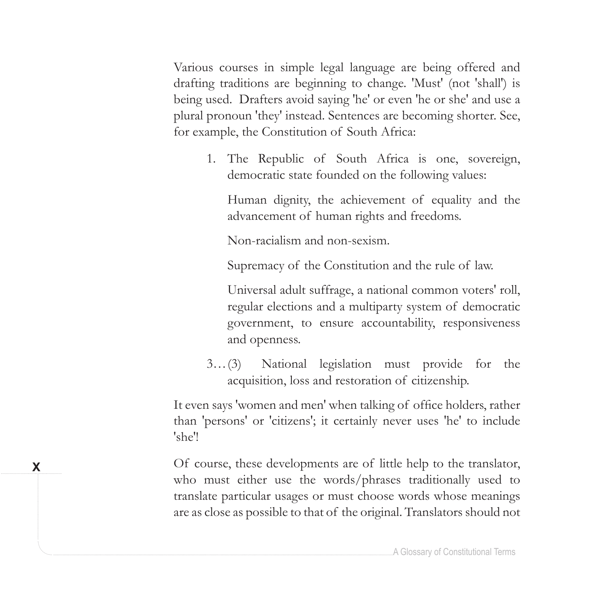Various courses in simple legal language are being offered and drafting traditions are beginning to change. 'Must' (not 'shall') is being used. Drafters avoid saying 'he' or even 'he or she' and use a plural pronoun 'they' instead. Sentences are becoming shorter. See, for example, the Constitution of South Africa:

1. The Republic of South Africa is one, sovereign, democratic state founded on the following values:

 Human dignity, the achievement of equality and the advancement of human rights and freedoms.

Non-racialism and non-sexism.

Supremacy of the Constitution and the rule of law.

 Universal adult suffrage, a national common voters' roll, regular elections and a multiparty system of democratic government, to ensure accountability, responsiveness and openness.

3… (3) National legislation must provide for the acquisition, loss and restoration of citizenship.

It even says 'women and men' when talking of office holders, rather than 'persons' or 'citizens'; it certainly never uses 'he' to include 'she'!

Of course, these developments are of little help to the translator, who must either use the words/phrases traditionally used to translate particular usages or must choose words whose meanings are as close as possible to that of the original. Translators should not

**X**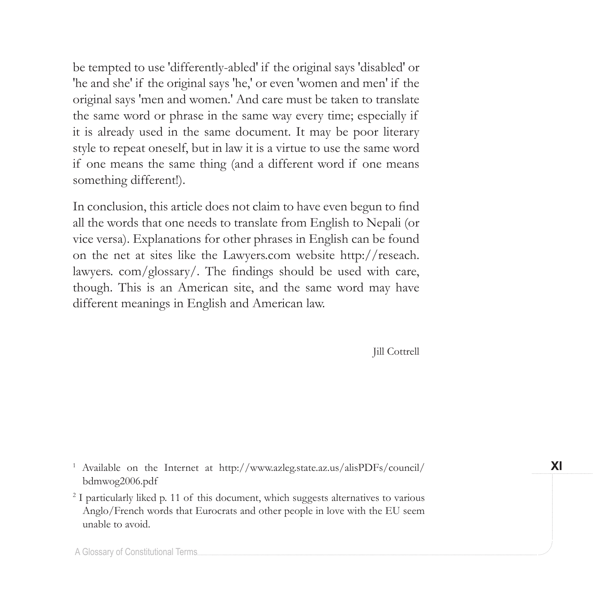be tempted to use 'differently-abled' if the original says 'disabled' or 'he and she' if the original says 'he,' or even 'women and men' if the original says 'men and women.' And care must be taken to translate the same word or phrase in the same way every time; especially if it is already used in the same document. It may be poor literary style to repeat oneself, but in law it is a virtue to use the same word if one means the same thing (and a different word if one means something different!).

In conclusion, this article does not claim to have even begun to find all the words that one needs to translate from English to Nepali (or vice versa). Explanations for other phrases in English can be found on the net at sites like the Lawyers.com website http://reseach. lawyers. com/glossary/. The findings should be used with care, though. This is an American site, and the same word may have different meanings in English and American law.

Jill Cottrell

1 Available on the Internet at http://www.azleg.state.az.us/alisPDFs/council/ bdmwog2006.pdf

<sup>2</sup> I particularly liked p. 11 of this document, which suggests alternatives to various Anglo/French words that Eurocrats and other people in love with the EU seem unable to avoid.

A Glossary of Constitutional Terms

**XI**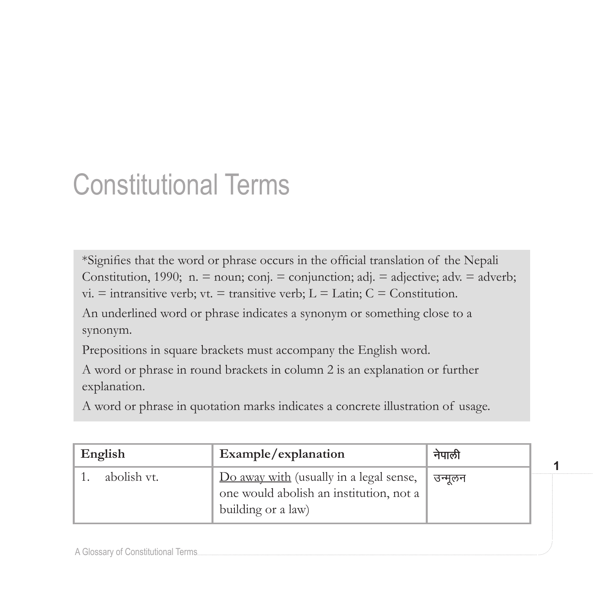# Constitutional Terms

\*Signifies that the word or phrase occurs in the official translation of the Nepali Constitution, 1990; n. = noun; conj. = conjunction; adj. = adjective; adv. = adverb;  $vi.$  = intransitive verb; vt. = transitive verb; L = Latin; C = Constitution.

An underlined word or phrase indicates a synonym or something close to a synonym.

Prepositions in square brackets must accompany the English word.

A word or phrase in round brackets in column 2 is an explanation or further explanation.

A word or phrase in quotation marks indicates a concrete illustration of usage.

| English     | Example/explanation                                                                                      | नेपाली  |  |
|-------------|----------------------------------------------------------------------------------------------------------|---------|--|
| abolish vt. | Do away with (usually in a legal sense,<br>one would abolish an institution, not a<br>building or a law) | उन्मुलन |  |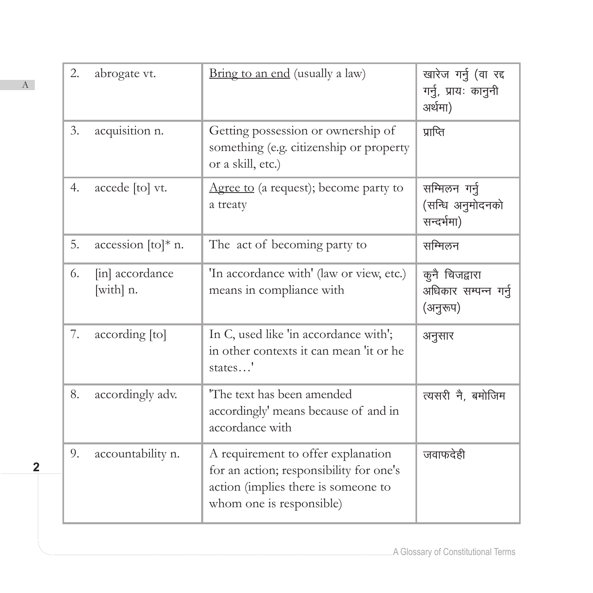| 2. | abrogate vt.                 | Bring to an end (usually a law)                                                                                                                  | खारेज गर्नु (वा रद<br>गर्नु, प्रायः कानुनी<br>अर्थमा) |
|----|------------------------------|--------------------------------------------------------------------------------------------------------------------------------------------------|-------------------------------------------------------|
| 3. | acquisition n.               | Getting possession or ownership of<br>something (e.g. citizenship or property<br>or a skill, etc.)                                               | प्राप्ति                                              |
| 4. | accede [to] vt.              | Agree to (a request); become party to<br>a treaty                                                                                                | सम्मिलन गर्नु<br>(सन्धि अनुमोदनको<br>सन्दर्भमा)       |
| 5. | accession $[$ to $]$ * n.    | The act of becoming party to                                                                                                                     | सम्मिलन                                               |
| 6. | [in] accordance<br>[with] n. | 'In accordance with' (law or view, etc.)<br>means in compliance with                                                                             | कुनै चिजद्वारा<br>अधिकार सम्पन्न गर्नु<br>(अनुरुप)    |
| 7. | according [to]               | In C, used like 'in accordance with';<br>in other contexts it can mean 'it or he<br>states'                                                      | अनुसार                                                |
| 8. | accordingly adv.             | The text has been amended<br>accordingly' means because of and in<br>accordance with                                                             | त्यसरी नै, बमोजिम                                     |
| 9. | accountability n.            | A requirement to offer explanation<br>for an action; responsibility for one's<br>action (implies there is someone to<br>whom one is responsible) | जवाफदेही                                              |

**2**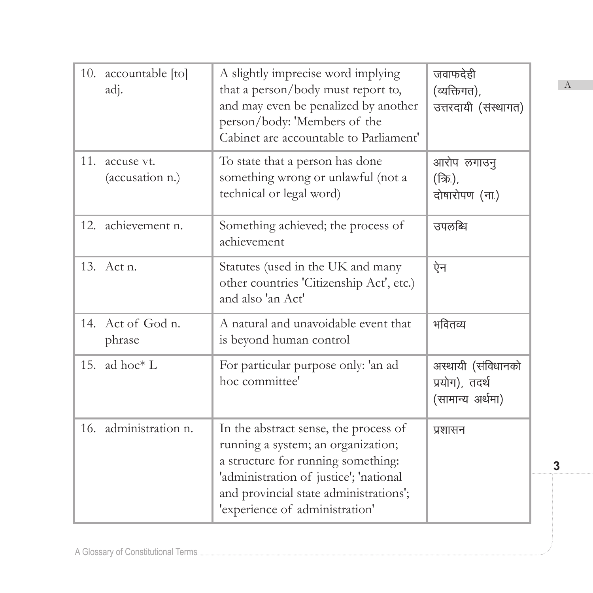| 10. accountable [to]<br>adj.         | A slightly imprecise word implying<br>that a person/body must report to,<br>and may even be penalized by another<br>person/body: 'Members of the<br>Cabinet are accountable to Parliament'                                              | जवाफदेही<br>(व्यक्तिगत),<br>उत्तरदायी (संस्थागत)         |
|--------------------------------------|-----------------------------------------------------------------------------------------------------------------------------------------------------------------------------------------------------------------------------------------|----------------------------------------------------------|
| 11.<br>accuse vt.<br>(accusation n.) | To state that a person has done<br>something wrong or unlawful (not a<br>technical or legal word)                                                                                                                                       | आरोप लगाउनू<br>(ক্ষি),<br>दोषारोपण (ना.)                 |
| 12. achievement n.                   | Something achieved; the process of<br>achievement                                                                                                                                                                                       | उपलब्धि                                                  |
| 13. Act n.                           | Statutes (used in the UK and many<br>other countries 'Citizenship Act', etc.)<br>and also 'an Act'                                                                                                                                      | ऐन                                                       |
| 14. Act of God n.<br>phrase          | A natural and unavoidable event that<br>is beyond human control                                                                                                                                                                         | भवितव्य                                                  |
| 15. ad hoc* $L$                      | For particular purpose only: 'an ad<br>hoc committee'                                                                                                                                                                                   | अस्थायी (संविधानको<br>प्रयोग), तदर्थ<br>(सामान्य अर्थमा) |
| 16. administration n.                | In the abstract sense, the process of<br>running a system; an organization;<br>a structure for running something:<br>'administration of justice'; 'national<br>and provincial state administrations';<br>'experience of administration' | प्रशासन                                                  |

**3**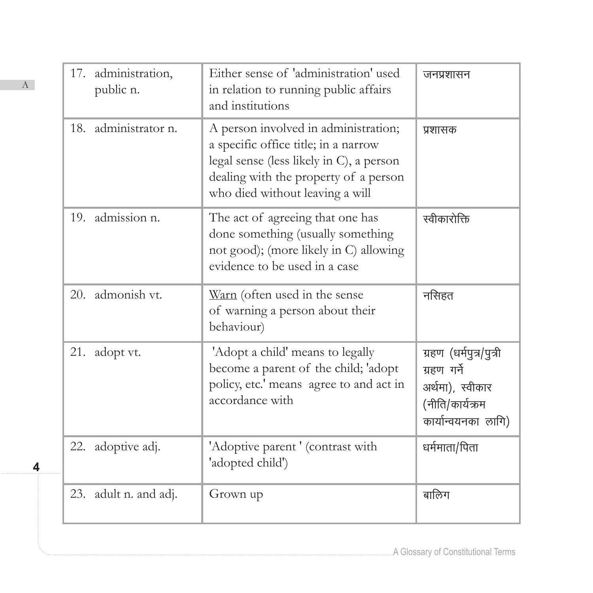| administration,<br>17.<br>public n. | Either sense of 'administration' used<br>in relation to running public affairs<br>and institutions                                                                                                   | जनप्रशासन                                                                                            |
|-------------------------------------|------------------------------------------------------------------------------------------------------------------------------------------------------------------------------------------------------|------------------------------------------------------------------------------------------------------|
| 18. administrator n.                | A person involved in administration;<br>a specific office title; in a narrow<br>legal sense (less likely in C), a person<br>dealing with the property of a person<br>who died without leaving a will | प्रशासक                                                                                              |
| 19. admission n.                    | The act of agreeing that one has<br>done something (usually something<br>not good); (more likely in C) allowing<br>evidence to be used in a case                                                     | स्वीकारोक्ति                                                                                         |
| 20. admonish vt.                    | Warn (often used in the sense<br>of warning a person about their<br>behaviour)                                                                                                                       | नसिहत                                                                                                |
| 21. adopt vt.                       | 'Adopt a child' means to legally<br>become a parent of the child; 'adopt<br>policy, etc.' means agree to and act in<br>accordance with                                                               | ग्रहण (धर्मपुत्र/पुत्री<br>ग्रहण गर्ने<br>अर्थमा), स्वीकार<br>(नीति/कार्यक्रम<br>कार्यान्वयनका लागि) |
| adoptive adj.<br>22.                | 'Adoptive parent ' (contrast with<br>'adopted child')                                                                                                                                                | धर्ममाता/पिता                                                                                        |
| 23. adult n. and adj.               | Grown up                                                                                                                                                                                             | बालिग                                                                                                |

**4**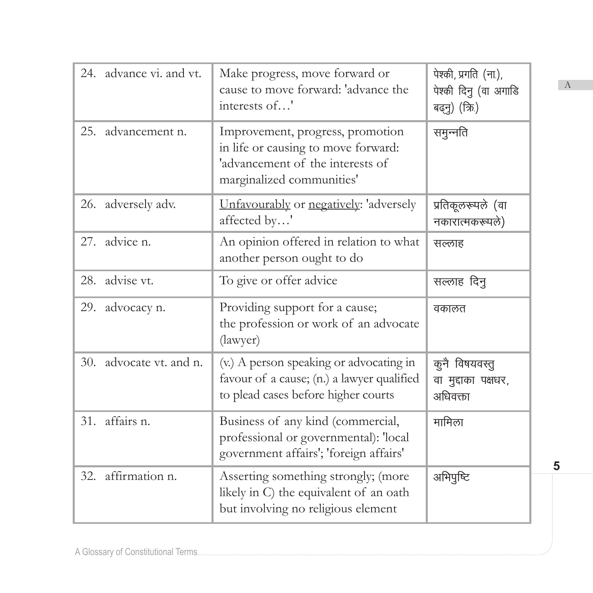| 24. advance vi. and vt.    | Make progress, move forward or<br>cause to move forward: 'advance the<br>interests of'                                                   | पेश्की, प्रगति (ना.),<br>पेश्की दिनु (वा अगाडि<br>बढ्नु) (क्रि.) |
|----------------------------|------------------------------------------------------------------------------------------------------------------------------------------|------------------------------------------------------------------|
| advancement n.<br>25.      | Improvement, progress, promotion<br>in life or causing to move forward:<br>'advancement of the interests of<br>marginalized communities' | समुन्नति                                                         |
| 26. adversely adv.         | Unfavourably or negatively: 'adversely<br>affected by'                                                                                   | प्रतिकूलरूपले (वा<br>नकारात्मकरूपले)                             |
| 27. advice n.              | An opinion offered in relation to what<br>another person ought to do                                                                     | सल्लाह                                                           |
| 28. advise vt.             | To give or offer advice                                                                                                                  | सल्लाह दिनु                                                      |
| advocacy n.<br>29.         | Providing support for a cause;<br>the profession or work of an advocate<br>(lawyer)                                                      | वकालत                                                            |
| advocate vt. and n.<br>30. | (v.) A person speaking or advocating in<br>favour of a cause; (n.) a lawyer qualified<br>to plead cases before higher courts             | कुनै विषयवस्तु<br>वा मुद्दाका पक्षधर,<br>अधिवक्ता                |
| 31. affairs n.             | Business of any kind (commercial,<br>professional or governmental): 'local<br>government affairs'; 'foreign affairs'                     | मामिला                                                           |
| affirmation n.<br>32.      | Asserting something strongly; (more<br>likely in C) the equivalent of an oath<br>but involving no religious element                      | अभिपुष्टि                                                        |

**5**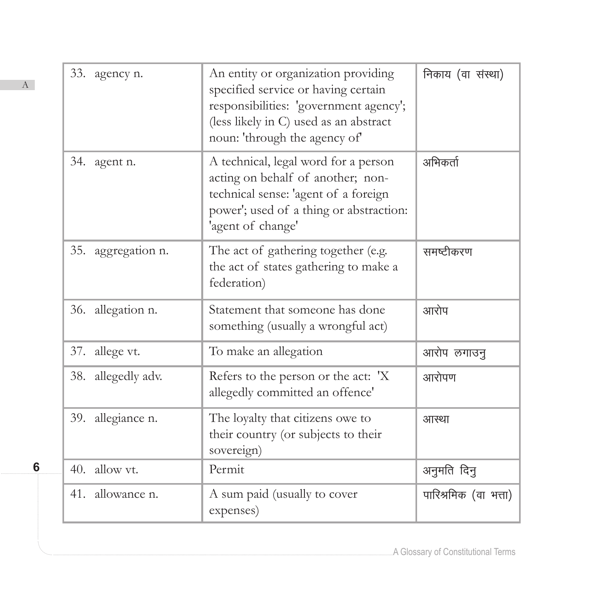| 33. agency n.      | An entity or organization providing<br>specified service or having certain<br>responsibilities: 'government agency';<br>(less likely in C) used as an abstract<br>noun: 'through the agency of' | निकाय (वा संस्था)     |
|--------------------|-------------------------------------------------------------------------------------------------------------------------------------------------------------------------------------------------|-----------------------|
| 34. agent n.       | A technical, legal word for a person<br>acting on behalf of another; non-<br>technical sense: 'agent of a foreign<br>power'; used of a thing or abstraction:<br>'agent of change'               | अभिकर्ता              |
| 35. aggregation n. | The act of gathering together (e.g.<br>the act of states gathering to make a<br>federation)                                                                                                     | समष्टीकरण             |
| 36. allegation n.  | Statement that someone has done<br>something (usually a wrongful act)                                                                                                                           | आरोप                  |
| 37. allege vt.     | To make an allegation                                                                                                                                                                           | आरोप लगाउनु           |
| 38. allegedly adv. | Refers to the person or the act: 'X<br>allegedly committed an offence'                                                                                                                          | आरोपण                 |
| 39. allegiance n.  | The loyalty that citizens owe to<br>their country (or subjects to their<br>sovereign)                                                                                                           | आस्था                 |
| 40. allow vt.      | Permit                                                                                                                                                                                          | अनुमति दिनु           |
| 41. allowance n.   | A sum paid (usually to cover<br>expenses)                                                                                                                                                       | पारिश्रमिक (वा भत्ता) |

**6**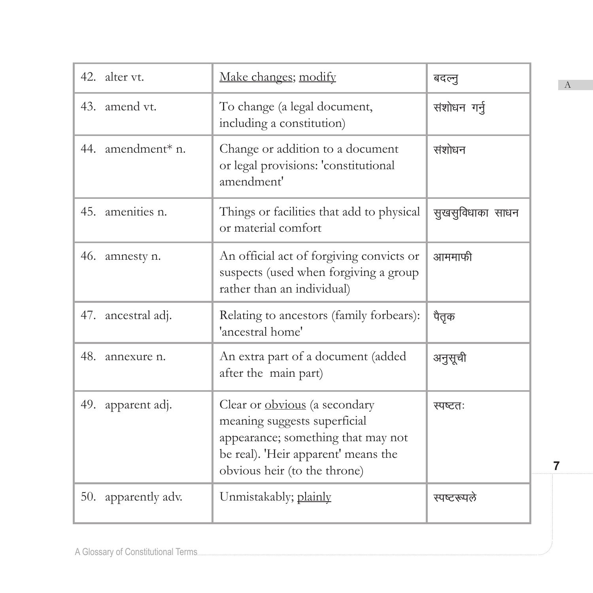| 42. alter vt.                 | Make changes; modify                                                                                                                                                       | बदल्नु           |
|-------------------------------|----------------------------------------------------------------------------------------------------------------------------------------------------------------------------|------------------|
| 43. amend vt.                 | To change (a legal document,<br>including a constitution)                                                                                                                  | संशोधन गर्नु     |
| 44. amendment <sup>*</sup> n. | Change or addition to a document<br>or legal provisions: 'constitutional<br>amendment'                                                                                     | संशोधन           |
| 45. amenities n.              | Things or facilities that add to physical<br>or material comfort                                                                                                           | सुखसुविधाका साधन |
| 46. amnesty n.                | An official act of forgiving convicts or<br>suspects (used when forgiving a group<br>rather than an individual)                                                            | आममाफी           |
| 47. ancestral adj.            | Relating to ancestors (family forbears):<br>'ancestral home'                                                                                                               | पैतृक            |
| 48. annexure n.               | An extra part of a document (added<br>after the main part)                                                                                                                 | अनुसूची          |
| 49. apparent adj.             | Clear or obvious (a secondary<br>meaning suggests superficial<br>appearance; something that may not<br>be real). 'Heir apparent' means the<br>obvious heir (to the throne) | स्पष्टतः         |
| 50. apparently adv.           | Unmistakably; plainly                                                                                                                                                      | स्पष्टरूपले      |

**7**

A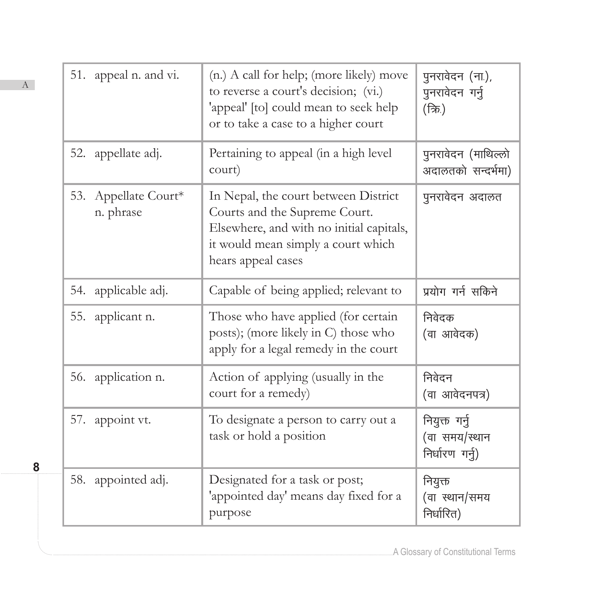|     | 51. appeal n. and vi.         | (n.) A call for help; (more likely) move<br>to reverse a court's decision; (vi.)<br>'appeal' [to] could mean to seek help<br>or to take a case to a higher court              | पुनरावेदन (ना.),<br>पुनरावेदन गर्नु<br>$(\overline{3n})$ |
|-----|-------------------------------|-------------------------------------------------------------------------------------------------------------------------------------------------------------------------------|----------------------------------------------------------|
|     | 52. appellate adj.            | Pertaining to appeal (in a high level<br>court)                                                                                                                               | पुनरावेदन (माथिल्लो<br>अदालतको सन्दर्भमा)                |
| 53. | Appellate Court*<br>n. phrase | In Nepal, the court between District<br>Courts and the Supreme Court.<br>Elsewhere, and with no initial capitals,<br>it would mean simply a court which<br>hears appeal cases | पुनरावेदन अदालत                                          |
|     | 54. applicable adj.           | Capable of being applied; relevant to                                                                                                                                         | प्रयोग गर्न सकिने                                        |
|     | 55. applicant n.              | Those who have applied (for certain<br>posts); (more likely in C) those who<br>apply for a legal remedy in the court                                                          | निवेदक<br>(वा आवेदक)                                     |
|     | 56. application n.            | Action of applying (usually in the<br>court for a remedy)                                                                                                                     | निवेदन<br>(वा आवेदनपत्र)                                 |
|     | 57. appoint vt.               | To designate a person to carry out a<br>task or hold a position                                                                                                               | नियुक्त गर्नु<br>(वा समय/स्थान<br>निर्धारण गर्नु)        |
|     | 58. appointed adj.            | Designated for a task or post;<br>'appointed day' means day fixed for a<br>purpose                                                                                            | नियुक्त<br>(वा स्थान/समय<br>निर्धारित)                   |

**8**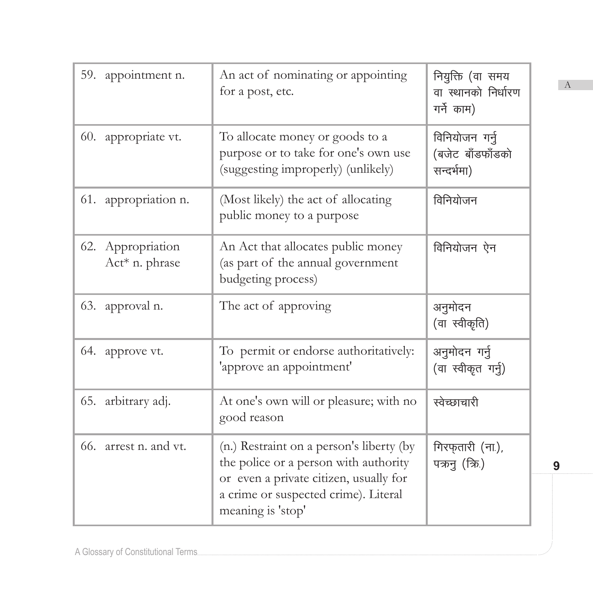| 59. appointment n.                  | An act of nominating or appointing<br>for a post, etc.                                                                                                                                   | नियुक्ति (वा समय<br>वा स्थानको निर्धारण<br>गर्ने काम) |
|-------------------------------------|------------------------------------------------------------------------------------------------------------------------------------------------------------------------------------------|-------------------------------------------------------|
| 60. appropriate vt.                 | To allocate money or goods to a<br>purpose or to take for one's own use<br>(suggesting improperly) (unlikely)                                                                            | विनियोजन गर्नु<br>(बजेट बॉडफॉडको<br>सन्दर्भमा)        |
| 61. appropriation n.                | (Most likely) the act of allocating<br>public money to a purpose                                                                                                                         | विनियोजन                                              |
| 62. Appropriation<br>Act* n. phrase | An Act that allocates public money<br>(as part of the annual government<br>budgeting process)                                                                                            | विनियोजन ऐन                                           |
| 63. approval n.                     | The act of approving                                                                                                                                                                     | अनुमोदन<br>(वा स्वीकृति)                              |
| 64. approve vt.                     | To permit or endorse authoritatively:<br>'approve an appointment'                                                                                                                        | अनुमोदन गर्नु<br>(वा स्वीकृत गर्नु)                   |
| 65. arbitrary adj.                  | At one's own will or pleasure; with no<br>good reason                                                                                                                                    | स्वेच्छाचारी                                          |
| 66. arrest n. and vt.               | (n.) Restraint on a person's liberty (by<br>the police or a person with authority<br>or even a private citizen, usually for<br>a crime or suspected crime). Literal<br>meaning is 'stop' | गिरफ़तारी (ना.),<br>पक्रनु (क्रि.)                    |

**9**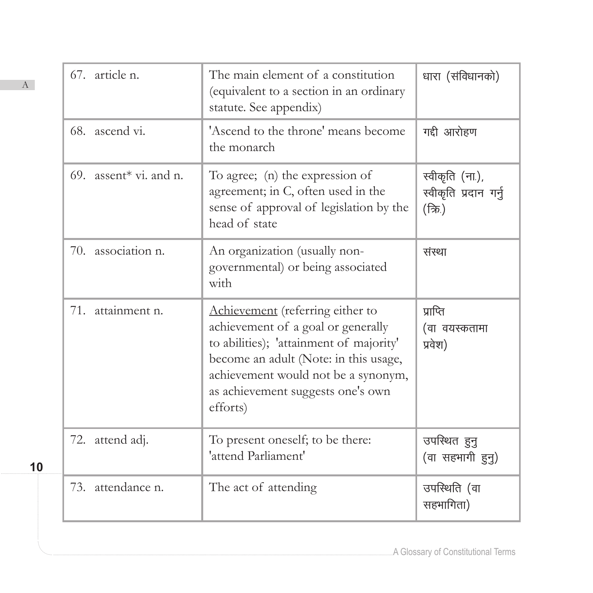| 67. article n.                     | The main element of a constitution<br>(equivalent to a section in an ordinary<br>statute. See appendix)                                                                                                                                            | धारा (संविधानको)                                   |
|------------------------------------|----------------------------------------------------------------------------------------------------------------------------------------------------------------------------------------------------------------------------------------------------|----------------------------------------------------|
| 68. ascend vi.                     | 'Ascend to the throne' means become<br>the monarch                                                                                                                                                                                                 | गद्दी आरोहण                                        |
| 69. assent <sup>*</sup> vi. and n. | To agree; (n) the expression of<br>agreement; in C, often used in the<br>sense of approval of legislation by the<br>head of state                                                                                                                  | स्वीकृति (ना.),<br>स्वीकृति प्रदान गर्नु<br>(ক্ৰি) |
| 70. association n.                 | An organization (usually non-<br>governmental) or being associated<br>with                                                                                                                                                                         | संस्था                                             |
| 71. attainment n.                  | Achievement (referring either to<br>achievement of a goal or generally<br>to abilities); 'attainment of majority'<br>become an adult (Note: in this usage,<br>achievement would not be a synonym,<br>as achievement suggests one's own<br>efforts) | प्राप्ति<br>(वा वयस्कतामा<br>प्रवेश)               |
| 72. attend adj.                    | To present oneself; to be there:<br>'attend Parliament'                                                                                                                                                                                            | उपस्थित हुनु<br>(वा सहभागी हुनु)                   |
| 73. attendance n.                  | The act of attending                                                                                                                                                                                                                               | उपस्थिति (वा<br>सहभागिता)                          |

**10**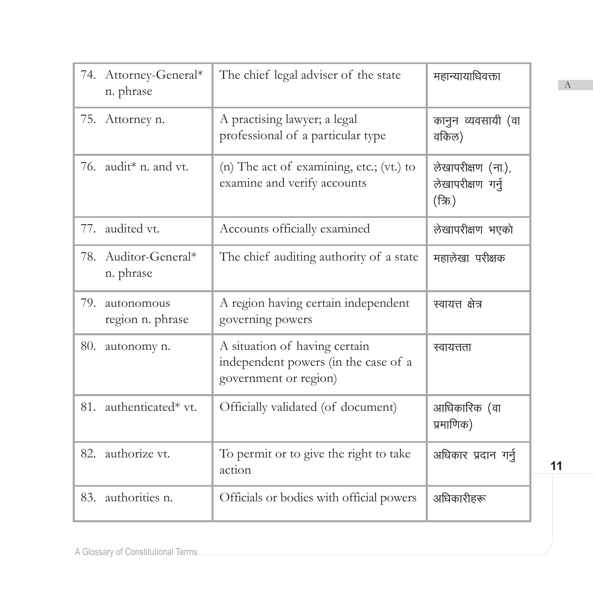| 74. Attorney-General*<br>n. phrase | The chief legal adviser of the state                                                           | महान्यायाधिवक्ता                                 |
|------------------------------------|------------------------------------------------------------------------------------------------|--------------------------------------------------|
| 75. Attorney n.                    | A practising lawyer; a legal<br>professional of a particular type                              | कानुन व्यवसायी (वा<br>वकिल)                      |
| 76. audit <sup>*</sup> n. and vt.  | (n) The act of examining, etc.; (vt.) to<br>examine and verify accounts                        | लेखापरीक्षण (ना.),<br>लेखापरीक्षण गर्नु<br>(কি.) |
| 77. audited vt.                    | Accounts officially examined                                                                   | लेखापरीक्षण भएको                                 |
| 78. Auditor-General*<br>n. phrase  | The chief auditing authority of a state                                                        | महालेखा परीक्षक                                  |
| 79. autonomous<br>region n. phrase | A region having certain independent<br>governing powers                                        | स्वायत्त क्षेत्र                                 |
| 80.<br>autonomy n.                 | A situation of having certain<br>independent powers (in the case of a<br>government or region) | स्वायत्तता                                       |
| 81. authenticated* vt.             | Officially validated (of document)                                                             | आधिकारिक (वा<br>प्रमाणिक)                        |
| 82. authorize vt.                  | To permit or to give the right to take<br>action                                               | अधिकार प्रदान गर्नु                              |
| 83. authorities n.                 | Officials or bodies with official powers                                                       | अधिकारीहरू                                       |

**11**

A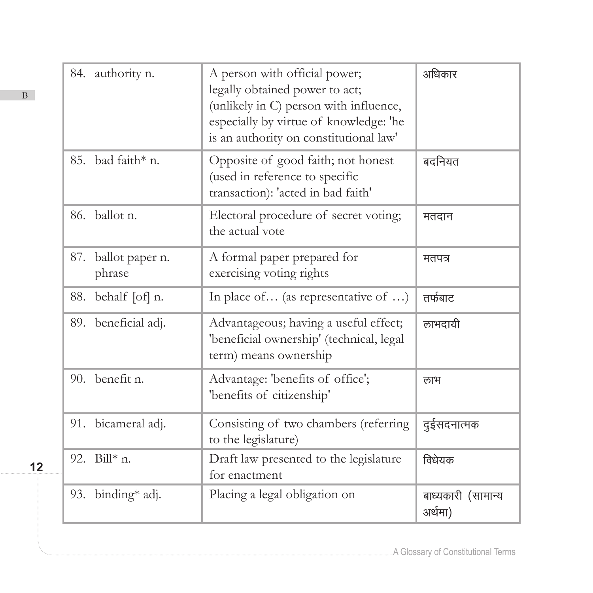| 84. authority n.              | A person with official power;<br>legally obtained power to act;<br>(unlikely in C) person with influence,<br>especially by virtue of knowledge: 'he<br>is an authority on constitutional law' | अधिकार                        |
|-------------------------------|-----------------------------------------------------------------------------------------------------------------------------------------------------------------------------------------------|-------------------------------|
| 85. bad faith* n.             | Opposite of good faith; not honest<br>(used in reference to specific<br>transaction): 'acted in bad faith'                                                                                    | बदनियत                        |
| 86. ballot n.                 | Electoral procedure of secret voting;<br>the actual vote                                                                                                                                      | मतदान                         |
| 87. ballot paper n.<br>phrase | A formal paper prepared for<br>exercising voting rights                                                                                                                                       | मतपत्र                        |
| 88. behalf [of] n.            | In place of (as representative of )                                                                                                                                                           | तर्फबाट                       |
| 89. beneficial adj.           | Advantageous; having a useful effect;<br>'beneficial ownership' (technical, legal<br>term) means ownership                                                                                    | लाभदायी                       |
| 90. benefit n.                | Advantage: 'benefits of office';<br>'benefits of citizenship'                                                                                                                                 | लाभ                           |
| 91. bicameral adj.            | Consisting of two chambers (referring<br>to the legislature)                                                                                                                                  | दुईसदनात्मक                   |
| 92. Bill* n.                  | Draft law presented to the legislature<br>for enactment                                                                                                                                       | विधेयक                        |
| 93. binding* adj.             | Placing a legal obligation on                                                                                                                                                                 | बाध्यकारी (सामान्य<br>अर्थमा) |

B

**12**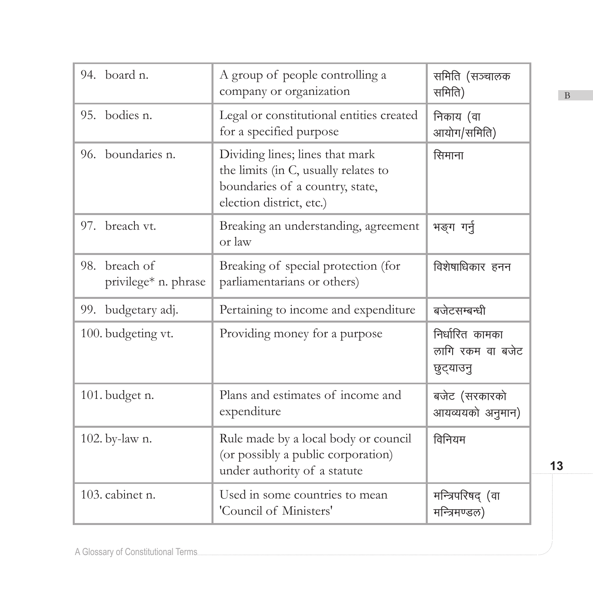| 94. board n.                          | A group of people controlling a<br>company or organization                                                                             | समिति (सञ्चालक<br>समिति)                         |
|---------------------------------------|----------------------------------------------------------------------------------------------------------------------------------------|--------------------------------------------------|
| 95. bodies n.                         | Legal or constitutional entities created<br>for a specified purpose                                                                    | निकाय (वा<br>आयोग/समिति)                         |
| 96. boundaries n.                     | Dividing lines; lines that mark<br>the limits (in C, usually relates to<br>boundaries of a country, state,<br>election district, etc.) | सिमाना                                           |
| 97. breach vt.                        | Breaking an understanding, agreement<br>or law                                                                                         | भङ्ग गर्नु                                       |
| 98. breach of<br>privilege* n. phrase | Breaking of special protection (for<br>parliamentarians or others)                                                                     | विशेषाधिकार हनन                                  |
| 99. budgetary adj.                    | Pertaining to income and expenditure                                                                                                   | बजेटसम्बन्धी                                     |
| 100. budgeting vt.                    | Providing money for a purpose                                                                                                          | निर्धारित कामका<br>लागि रकम वा बजेट<br>छुट्याउनु |
| 101. budget n.                        | Plans and estimates of income and<br>expenditure                                                                                       | बजेट (सरकारको<br>आयव्ययको अनुमान)                |
| 102. by-law n.                        | Rule made by a local body or council<br>(or possibly a public corporation)<br>under authority of a statute                             | विनियम                                           |
| 103. cabinet n.                       | Used in some countries to mean<br>'Council of Ministers'                                                                               | मन्त्रिपरिषद् (वा<br>मन्त्रिमण्डल)               |

**13**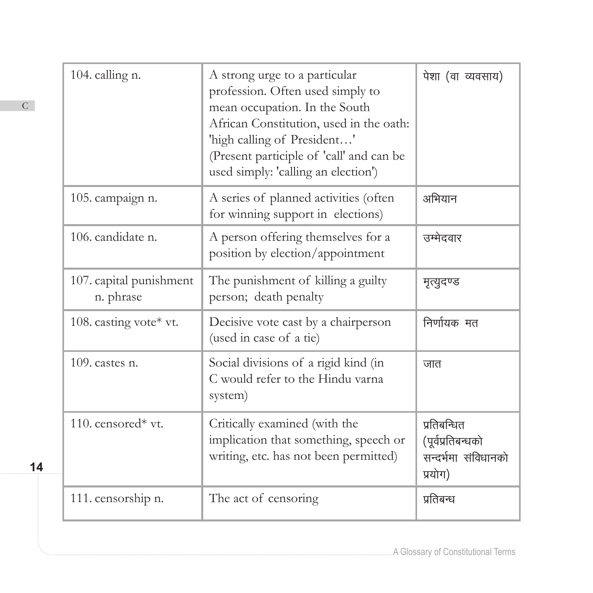| 104. calling n.                      | A strong urge to a particular<br>profession. Often used simply to<br>mean occupation. In the South<br>African Constitution, used in the oath:<br>'high calling of President'<br>(Present participle of 'call' and can be<br>used simply: 'calling an election') | पेशा (वा व्यवसाय)                                                  |
|--------------------------------------|-----------------------------------------------------------------------------------------------------------------------------------------------------------------------------------------------------------------------------------------------------------------|--------------------------------------------------------------------|
| 105. campaign n.                     | A series of planned activities (often<br>for winning support in elections)                                                                                                                                                                                      | अभियान                                                             |
| 106. candidate n.                    | A person offering themselves for a<br>position by election/appointment                                                                                                                                                                                          | उम्मेदवार                                                          |
| 107. capital punishment<br>n. phrase | The punishment of killing a guilty<br>person; death penalty                                                                                                                                                                                                     | मृत्युदण्ड                                                         |
| 108. casting vote* vt.               | Decisive vote cast by a chairperson<br>(used in case of a tie)                                                                                                                                                                                                  | निर्णायक मत                                                        |
| 109. castes $n$ .                    | Social divisions of a rigid kind (in<br>C would refer to the Hindu varna<br>system)                                                                                                                                                                             | जात                                                                |
| 110. censored* vt.                   | Critically examined (with the<br>implication that something, speech or<br>writing, etc. has not been permitted)                                                                                                                                                 | प्रतिबन्धित<br>(पूर्वप्रतिबन्धको<br>सन्दर्भमा संविधानको<br>प्रयोग) |
| 111. censorship n.                   | The act of censoring                                                                                                                                                                                                                                            | प्रतिबन्ध                                                          |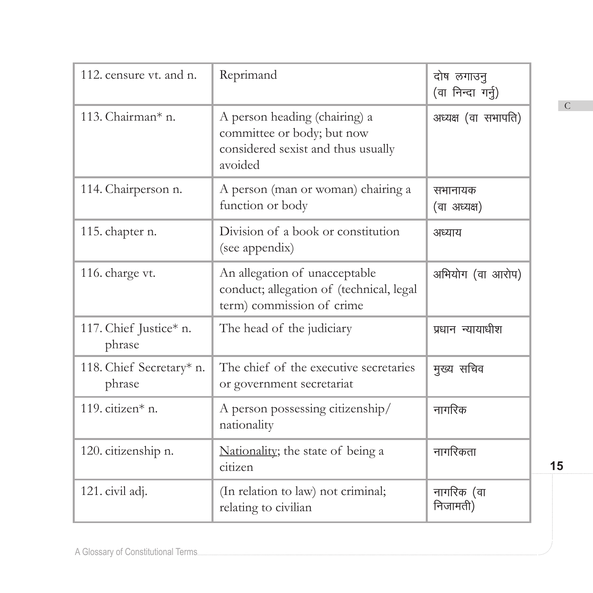| 112. censure vt. and n.            | Reprimand                                                                                                    | दोष लगाउनु<br>(वा निन्दा गर्नु) |
|------------------------------------|--------------------------------------------------------------------------------------------------------------|---------------------------------|
| 113. Chairman* n.                  | A person heading (chairing) a<br>committee or body; but now<br>considered sexist and thus usually<br>avoided | अध्यक्ष (वा सभापति)             |
| 114. Chairperson n.                | A person (man or woman) chairing a<br>function or body                                                       | सभानायक<br>(वा अध्यक्ष)         |
| 115. chapter n.                    | Division of a book or constitution<br>(see appendix)                                                         | अध्याय                          |
| 116. charge vt.                    | An allegation of unacceptable<br>conduct; allegation of (technical, legal<br>term) commission of crime       | अभियोग (वा आरोप)                |
| 117. Chief Justice* n.<br>phrase   | The head of the judiciary                                                                                    | प्रधान न्यायाधीश                |
| 118. Chief Secretary* n.<br>phrase | The chief of the executive secretaries<br>or government secretariat                                          | मुख्य सचिव                      |
| 119. citizen* n.                   | A person possessing citizenship/<br>nationality                                                              | नागरिक                          |
| 120. citizenship n.                | Nationality; the state of being a<br>citizen                                                                 | नागरिकता                        |
| 121. civil adj.                    | (In relation to law) not criminal;<br>relating to civilian                                                   | नागरिक (वा<br>निजामती)          |

C<sub>2</sub>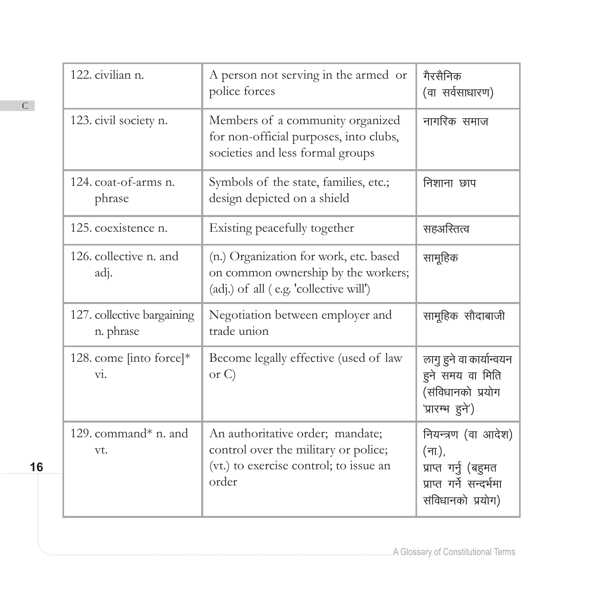| 122. civilian n.                                      | A person not serving in the armed or<br>police forces                                                                       | गैरसैनिक<br>(वा सर्वसाधारण)                                                                                                 |
|-------------------------------------------------------|-----------------------------------------------------------------------------------------------------------------------------|-----------------------------------------------------------------------------------------------------------------------------|
| 123. civil society n.                                 | Members of a community organized<br>for non-official purposes, into clubs,<br>societies and less formal groups              | नागरिक समाज                                                                                                                 |
| 124. coat-of-arms n.<br>phrase                        | Symbols of the state, families, etc.;<br>design depicted on a shield                                                        | निशाना छाप                                                                                                                  |
| 125. coexistence n.                                   | Existing peacefully together                                                                                                | सहअस्तित्व                                                                                                                  |
| 126. collective n. and<br>adj.                        | (n.) Organization for work, etc. based<br>on common ownership by the workers;<br>(adj.) of all (e.g. 'collective will')     | सामूहिक                                                                                                                     |
| 127. collective bargaining<br>n. phrase               | Negotiation between employer and<br>trade union                                                                             | सामूहिक सौदाबाजी                                                                                                            |
| 128. come [into force]*<br>$\overline{\mathrm{vi}}$ . | Become legally effective (used of law<br>or $C$                                                                             | लागु हुने वा कार्यान्वयन<br>हुने समय वा मिति<br>(संविधानको प्रयोग<br>'प्रारम्भ हुने')                                       |
| 129. command* n. and<br>vt.                           | An authoritative order; mandate;<br>control over the military or police;<br>(vt.) to exercise control; to issue an<br>order | नियन्त्रण (वा आदेश)<br>$(\overline{\mathcal{H}})$ ,<br>प्राप्त गर्नु (बहुमत<br>प्राप्त गर्ने सन्दर्भमा<br>संविधानको प्रयोग) |

 $\mathsf{C}$ 

**16**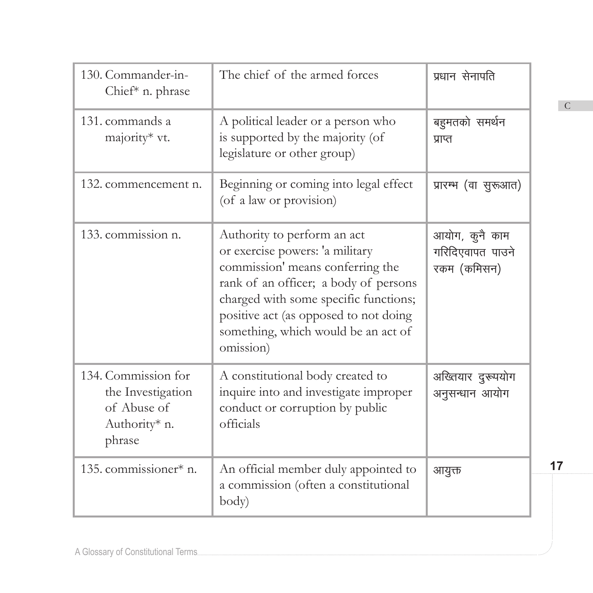| 130. Commander-in-<br>Chief* n. phrase                                             | The chief of the armed forces                                                                                                                                                                                                                                                     | प्रधान सेनापति                                    |
|------------------------------------------------------------------------------------|-----------------------------------------------------------------------------------------------------------------------------------------------------------------------------------------------------------------------------------------------------------------------------------|---------------------------------------------------|
| 131. commands a<br>majority* vt.                                                   | A political leader or a person who<br>is supported by the majority (of<br>legislature or other group)                                                                                                                                                                             | बहुमतको समर्थन<br>प्राप्त                         |
| 132. commencement n.                                                               | Beginning or coming into legal effect<br>(of a law or provision)                                                                                                                                                                                                                  | प्रारम्भ (वा सुरूआत)                              |
| 133. commission n.                                                                 | Authority to perform an act<br>or exercise powers: 'a military<br>commission' means conferring the<br>rank of an officer; a body of persons<br>charged with some specific functions;<br>positive act (as opposed to not doing<br>something, which would be an act of<br>omission) | आयोग, कुनै काम<br>गरिदिएवापत पाउने<br>रकम (कमिसन) |
| 134. Commission for<br>the Investigation<br>of Abuse of<br>Authority* n.<br>phrase | A constitutional body created to<br>inquire into and investigate improper<br>conduct or corruption by public<br>officials                                                                                                                                                         | अख्तियार दुरूपयोग<br>अनुसन्धान आयोग               |
| 135. commissioner* n.                                                              | An official member duly appointed to<br>a commission (often a constitutional<br>body)                                                                                                                                                                                             | आयुक्त                                            |

C<sub>c</sub>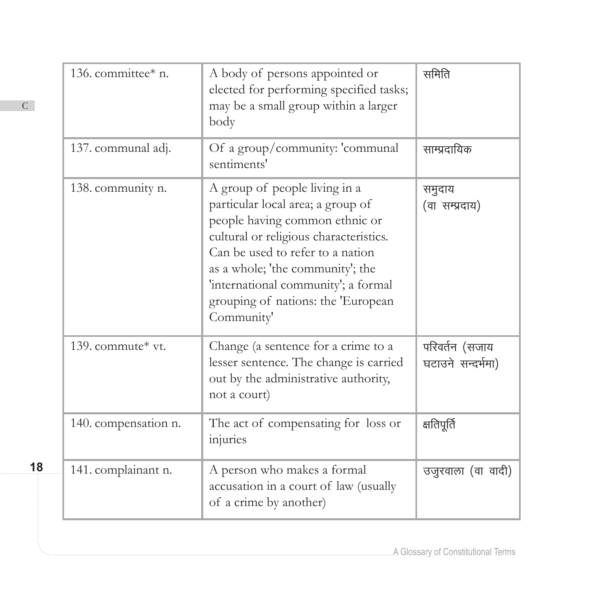| 136. committee* n.   | A body of persons appointed or<br>elected for performing specified tasks;<br>may be a small group within a larger<br>body                                                                                                                                                                                         | समिति                               |
|----------------------|-------------------------------------------------------------------------------------------------------------------------------------------------------------------------------------------------------------------------------------------------------------------------------------------------------------------|-------------------------------------|
| 137. communal adj.   | Of a group/community: 'communal<br>sentiments'                                                                                                                                                                                                                                                                    | साम्प्रदायिक                        |
| 138. community n.    | A group of people living in a<br>particular local area; a group of<br>people having common ethnic or<br>cultural or religious characteristics.<br>Can be used to refer to a nation<br>as a whole; 'the community'; the<br>'international community'; a formal<br>grouping of nations: the 'European<br>Community' | समुदाय<br>(वा सम्प्रदाय)            |
| 139. commute $*$ vt. | Change (a sentence for a crime to a<br>lesser sentence. The change is carried<br>out by the administrative authority,<br>not a court)                                                                                                                                                                             | परिवर्तन (सजाय<br>घटाउने सन्दर्भमा) |
| 140. compensation n. | The act of compensating for loss or<br>injuries                                                                                                                                                                                                                                                                   | क्षतिपूर्ति                         |
| 141. complainant n.  | A person who makes a formal<br>accusation in a court of law (usually<br>of a crime by another)                                                                                                                                                                                                                    | उजुरवाला (वा वादी)                  |

 $\overline{C}$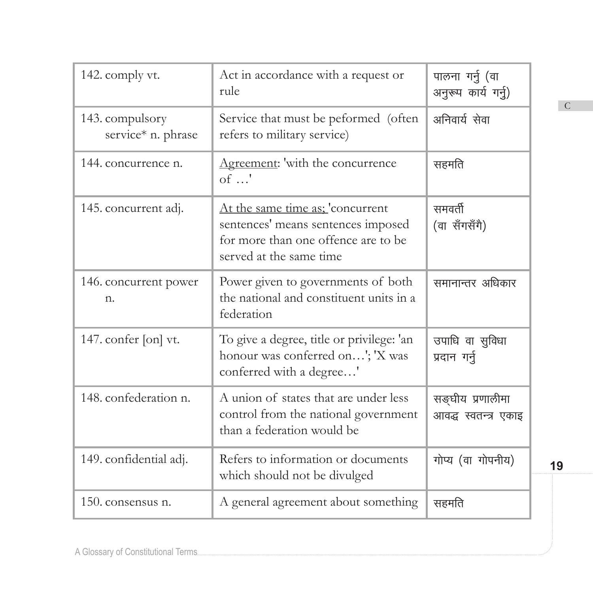| 142. comply vt.                       | Act in accordance with a request or<br>rule                                                                                              | पालना गर्नु (वा<br>अनुरूप कार्य गर्नु)   |
|---------------------------------------|------------------------------------------------------------------------------------------------------------------------------------------|------------------------------------------|
| 143. compulsory<br>service* n. phrase | Service that must be peformed (often<br>refers to military service)                                                                      | अनिवार्य सेवा                            |
| 144. concurrence n.                   | Agreement: 'with the concurrence<br>of $\ldots'$                                                                                         | सहमति                                    |
| 145. concurrent adj.                  | At the same time as; 'concurrent<br>sentences' means sentences imposed<br>for more than one offence are to be<br>served at the same time | समवर्ती<br>(वा सँगसँगै)                  |
| 146. concurrent power<br>$n$ .        | Power given to governments of both<br>the national and constituent units in a<br>federation                                              | समानान्तर अधिकार                         |
| 147. confer [on] vt.                  | To give a degree, title or privilege: 'an<br>honour was conferred on'; 'X was<br>conferred with a degree'                                | उपाधि वा सुविधा<br>प्रदान गर्नु          |
| 148. confederation n.                 | A union of states that are under less<br>control from the national government<br>than a federation would be                              | सङ्घीय प्रणालीमा<br>आवद्ध स्वतन्त्र एकाइ |
| 149. confidential adj.                | Refers to information or documents<br>which should not be divulged                                                                       | गोप्य (वा गोपनीय)                        |
| 150. consensus n.                     | A general agreement about something                                                                                                      | सहमति                                    |

C<sub>2</sub>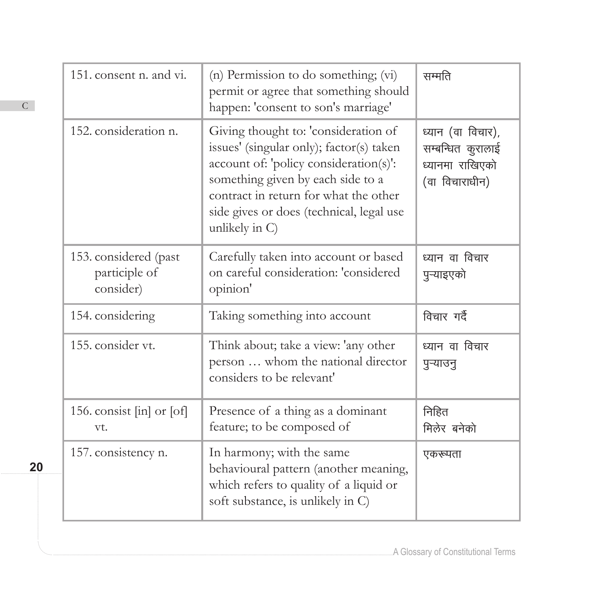| 151. consent n. and vi.                                                  | (n) Permission to do something; (vi)<br>permit or agree that something should<br>happen: 'consent to son's marriage'                                                                                                                                                      | सम्मति                                                                      |
|--------------------------------------------------------------------------|---------------------------------------------------------------------------------------------------------------------------------------------------------------------------------------------------------------------------------------------------------------------------|-----------------------------------------------------------------------------|
| 152. consideration n.                                                    | Giving thought to: 'consideration of<br>issues' (singular only); factor(s) taken<br>account of: 'policy consideration(s)':<br>something given by each side to a<br>contract in return for what the other<br>side gives or does (technical, legal use<br>unlikely in $C$ ) | ध्यान (वा विचार),<br>सम्बन्धित कुरालाई<br>ध्यानमा राखिएको<br>(वा विचाराधीन) |
| 153. considered (past<br>participle of<br>consider)                      | Carefully taken into account or based<br>on careful consideration: 'considered<br>opinion'                                                                                                                                                                                | ध्यान वा विचार<br>पुऱ्याइएको                                                |
| 154. considering                                                         | Taking something into account                                                                                                                                                                                                                                             | विचार गर्दै                                                                 |
| 155. consider vt.                                                        | Think about; take a view: 'any other<br>person  whom the national director<br>considers to be relevant'                                                                                                                                                                   | ध्यान वा विचार<br>पुऱ्याउनु                                                 |
| 156. consist $\left[\text{in}\right]$ or $\left[\text{of}\right]$<br>vt. | Presence of a thing as a dominant<br>feature; to be composed of                                                                                                                                                                                                           | निहित<br>मिलेर बनेको                                                        |
| 157. consistency n.                                                      | In harmony; with the same<br>behavioural pattern (another meaning,<br>which refers to quality of a liquid or<br>soft substance, is unlikely in C)                                                                                                                         | एकरूपता                                                                     |

 $\overline{C}$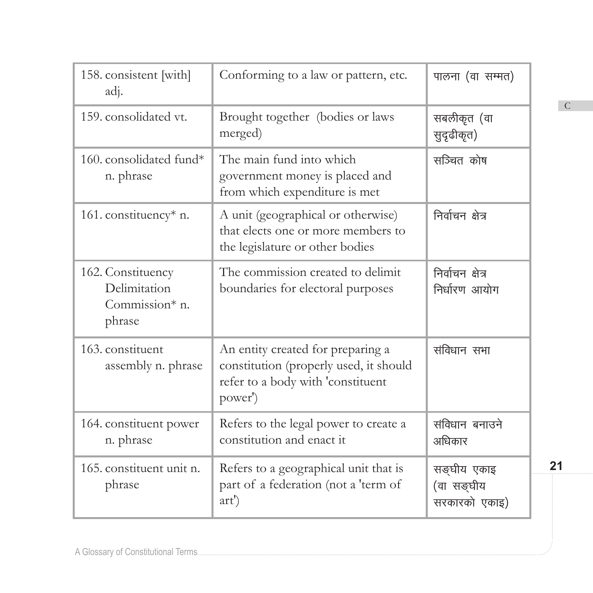| 158. consistent [with]<br>adj.                                   | Conforming to a law or pattern, etc.                                                                                        | पालना (वा सम्मत)                           |
|------------------------------------------------------------------|-----------------------------------------------------------------------------------------------------------------------------|--------------------------------------------|
| 159. consolidated vt.                                            | Brought together (bodies or laws<br>merged)                                                                                 | सबलीकृत (वा<br>सुदृढीकृत)                  |
| 160. consolidated fund*<br>n. phrase                             | The main fund into which<br>government money is placed and<br>from which expenditure is met                                 | सञ्चित कोष                                 |
| 161. constituency* n.                                            | A unit (geographical or otherwise)<br>that elects one or more members to<br>the legislature or other bodies                 | निर्वाचन क्षेत्र                           |
| 162. Constituency<br>Delimitation<br>Commission $*$ n.<br>phrase | The commission created to delimit<br>boundaries for electoral purposes                                                      | निर्वाचन क्षेत्र<br>निर्धारण आयोग          |
| 163. constituent<br>assembly n. phrase                           | An entity created for preparing a<br>constitution (properly used, it should<br>refer to a body with 'constituent<br>power') | संविधान सभा                                |
| 164. constituent power<br>n. phrase                              | Refers to the legal power to create a<br>constitution and enact it                                                          | संविधान बनाउने<br>अधिकार                   |
| 165. constituent unit n.<br>phrase                               | Refers to a geographical unit that is<br>part of a federation (not a 'term of<br>art                                        | सङ्घीय एकाइ<br>(वा सङ्घीय<br>सरकारको एकाइ) |

C<sub>2</sub>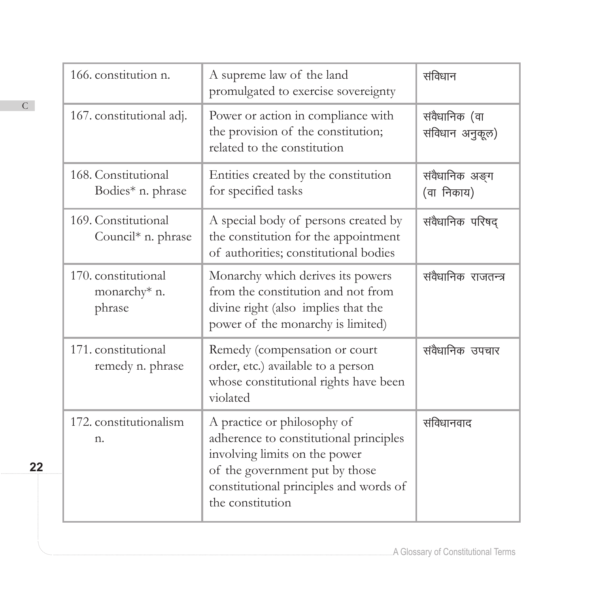| 166. constitution n.                          | A supreme law of the land<br>promulgated to exercise sovereignty                                                                                                                                       | संविधान                          |
|-----------------------------------------------|--------------------------------------------------------------------------------------------------------------------------------------------------------------------------------------------------------|----------------------------------|
| 167. constitutional adj.                      | Power or action in compliance with<br>the provision of the constitution;<br>related to the constitution                                                                                                | संवैधानिक (वा<br>संविधान अनुकूल) |
| 168. Constitutional<br>Bodies* n. phrase      | Entities created by the constitution<br>for specified tasks                                                                                                                                            | संवैधानिक अङ्ग<br>(वा निकाय)     |
| 169. Constitutional<br>Council* n. phrase     | A special body of persons created by<br>the constitution for the appointment<br>of authorities; constitutional bodies                                                                                  | संवैधानिक परिषद्                 |
| 170. constitutional<br>monarchy* n.<br>phrase | Monarchy which derives its powers<br>from the constitution and not from<br>divine right (also implies that the<br>power of the monarchy is limited)                                                    | संवैधानिक राजतन्त्र              |
| 171. constitutional<br>remedy n. phrase       | Remedy (compensation or court<br>order, etc.) available to a person<br>whose constitutional rights have been<br>violated                                                                               | संवैधानिक उपचार                  |
| 172. constitutionalism<br>n.                  | A practice or philosophy of<br>adherence to constitutional principles<br>involving limits on the power<br>of the government put by those<br>constitutional principles and words of<br>the constitution | संविधानवाद                       |

 $\overline{C}$ 

**22**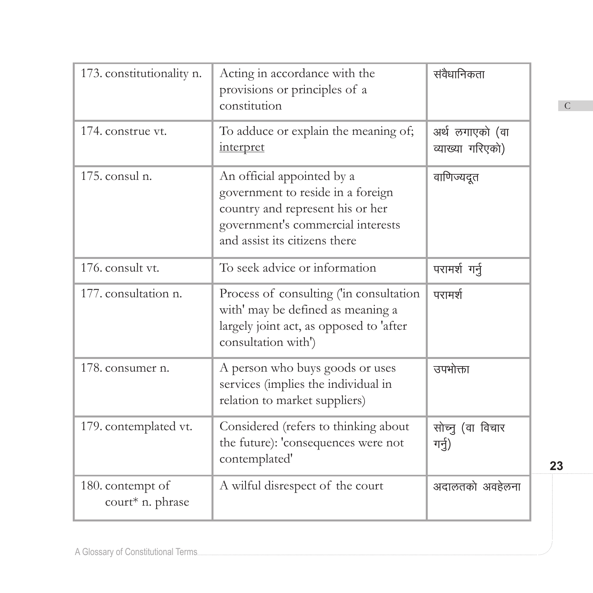| 173. constitutionality n.            | Acting in accordance with the<br>provisions or principles of a<br>constitution                                                                                            | संवैधानिकता                         |
|--------------------------------------|---------------------------------------------------------------------------------------------------------------------------------------------------------------------------|-------------------------------------|
| 174. construe vt.                    | To adduce or explain the meaning of;<br>interpret                                                                                                                         | अर्थ लगाएको (वा<br>व्याख्या गरिएको) |
| 175. consul n.                       | An official appointed by a<br>government to reside in a foreign<br>country and represent his or her<br>government's commercial interests<br>and assist its citizens there | वाणिज्यदूत                          |
| 176. consult vt.                     | To seek advice or information                                                                                                                                             | परामर्श गर्नु                       |
| 177, consultation n.                 | Process of consulting ('in consultation<br>with' may be defined as meaning a<br>largely joint act, as opposed to 'after<br>consultation with')                            | परामर्श                             |
| 178. consumer n.                     | A person who buys goods or uses<br>services (implies the individual in<br>relation to market suppliers)                                                                   | उपभोक्ता                            |
| 179. contemplated vt.                | Considered (refers to thinking about<br>the future): 'consequences were not<br>contemplated'                                                                              | सोच्नु (वा विचार<br>गर्नु)          |
| 180. contempt of<br>court* n. phrase | A wilful disrespect of the court                                                                                                                                          | अदालतको अवहेलना                     |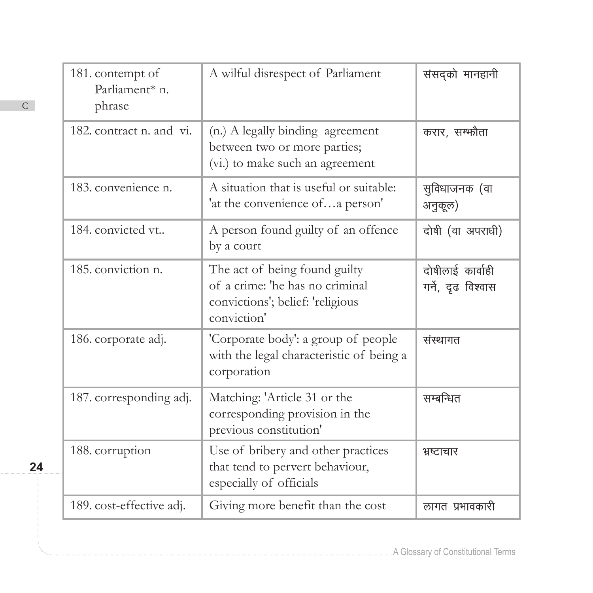| 181. contempt of<br>Parliament* n.<br>phrase | A wilful disrespect of Parliament                                                                                   | संसद्को मानहानी                        |
|----------------------------------------------|---------------------------------------------------------------------------------------------------------------------|----------------------------------------|
| 182. contract n. and vi.                     | (n.) A legally binding agreement<br>between two or more parties;<br>(vi.) to make such an agreement                 | करार, सम्भौता                          |
| 183. convenience n.                          | A situation that is useful or suitable:<br>'at the convenience ofa person'                                          | सुविधाजनक (वा<br>अनुकूल)               |
| 184. convicted vt                            | A person found guilty of an offence<br>by a court                                                                   | दोषी (वा अपराधी)                       |
| 185. conviction n.                           | The act of being found guilty<br>of a crime: 'he has no criminal<br>convictions'; belief: 'religious<br>conviction' | दोषीलाई कार्वाही<br>गर्ने, दृढ विश्वास |
| 186. corporate adj.                          | 'Corporate body': a group of people<br>with the legal characteristic of being a<br>corporation                      | संस्थागत                               |
| 187. corresponding adj.                      | Matching: 'Article 31 or the<br>corresponding provision in the<br>previous constitution'                            | सम्बन्धित                              |
| 188. corruption                              | Use of bribery and other practices<br>that tend to pervert behaviour,<br>especially of officials                    | भ्रष्टाचार                             |
| 189. cost-effective adj.                     | Giving more benefit than the cost                                                                                   | लागत प्रभावकारी                        |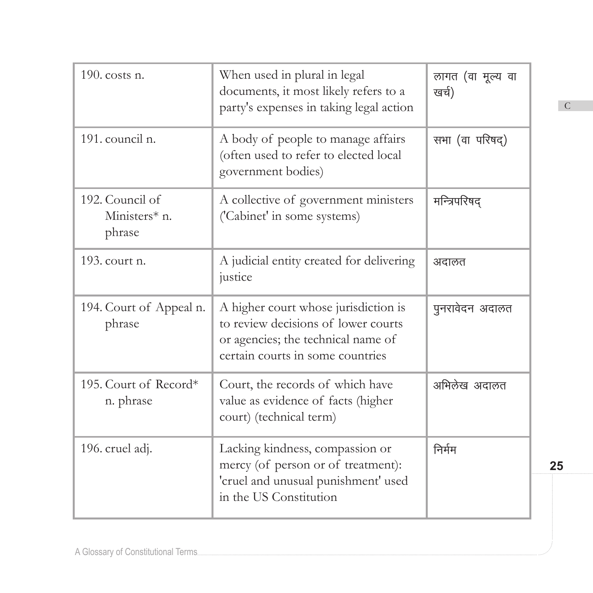| $190$ . costs n.                           | When used in plural in legal<br>documents, it most likely refers to a<br>party's expenses in taking legal action                                      | लागत (वा मूल्य वा<br>खर्च) |
|--------------------------------------------|-------------------------------------------------------------------------------------------------------------------------------------------------------|----------------------------|
| 191. council n.                            | A body of people to manage affairs<br>(often used to refer to elected local<br>government bodies)                                                     | सभा (वा परिषद्)            |
| 192. Council of<br>Ministers* n.<br>phrase | A collective of government ministers<br>('Cabinet' in some systems)                                                                                   | मन्त्रिपरिषद्              |
| 193. court n.                              | A judicial entity created for delivering<br>justice                                                                                                   | अदालत                      |
| 194. Court of Appeal n.<br>phrase          | A higher court whose jurisdiction is<br>to review decisions of lower courts<br>or agencies; the technical name of<br>certain courts in some countries | पुनरावेदन अदालत            |
| 195. Court of Record*<br>n. phrase         | Court, the records of which have<br>value as evidence of facts (higher<br>court) (technical term)                                                     | अभिलेख अदालत               |
| 196. cruel adj.                            | Lacking kindness, compassion or<br>mercy (of person or of treatment):<br>'cruel and unusual punishment' used<br>in the US Constitution                | निर्मम                     |

A Glossary of Constitutional Terms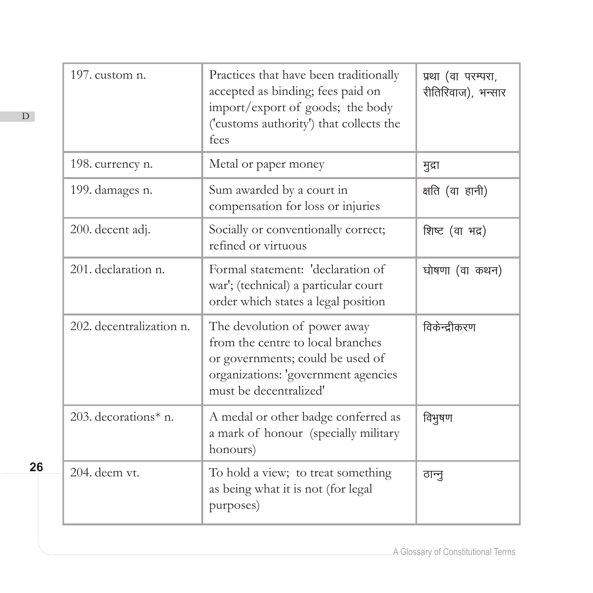| 197. custom n.           | Practices that have been traditionally<br>accepted as binding; fees paid on<br>import/export of goods; the body<br>('customs authority') that collects the<br>fees     | प्रथा (वा परम्परा,<br>रीतिरिवाज), भन्सार |
|--------------------------|------------------------------------------------------------------------------------------------------------------------------------------------------------------------|------------------------------------------|
| 198. currency n.         | Metal or paper money                                                                                                                                                   | मुद्रा                                   |
| 199. damages n.          | Sum awarded by a court in<br>compensation for loss or injuries                                                                                                         | क्षति (वा हानी)                          |
| 200. decent adj.         | Socially or conventionally correct;<br>refined or virtuous                                                                                                             | शिष्ट (वा भद्र)                          |
| 201. declaration n.      | Formal statement: 'declaration of<br>war'; (technical) a particular court<br>order which states a legal position                                                       | घोषणा (वा कथन)                           |
| 202. decentralization n. | The devolution of power away<br>from the centre to local branches<br>or governments; could be used of<br>organizations: 'government agencies<br>must be decentralized' | विकेन्द्रीकरण                            |
| 203. decorations* n.     | A medal or other badge conferred as<br>a mark of honour (specially military<br>honours)                                                                                | विभुषण                                   |
| 204. deem vt.            | To hold a view; to treat something<br>as being what it is not (for legal<br>purposes)                                                                                  | ठान्नु                                   |

 $\mathbf D$ 

**26**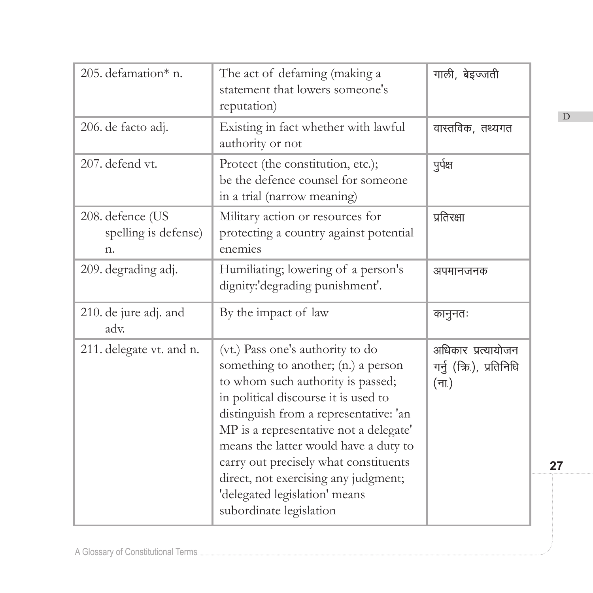| 205. defamation* n.                            | The act of defaming (making a<br>statement that lowers someone's<br>reputation)                                                                                                                                                                                                                                                                                                                                                | गाली, बेइज्जती                                                    |
|------------------------------------------------|--------------------------------------------------------------------------------------------------------------------------------------------------------------------------------------------------------------------------------------------------------------------------------------------------------------------------------------------------------------------------------------------------------------------------------|-------------------------------------------------------------------|
| 206. de facto adj.                             | Existing in fact whether with lawful<br>authority or not                                                                                                                                                                                                                                                                                                                                                                       | वास्तविक, तथ्यगत                                                  |
| 207. defend vt.                                | Protect (the constitution, etc.);<br>be the defence counsel for someone<br>in a trial (narrow meaning)                                                                                                                                                                                                                                                                                                                         | पुर्पक्ष                                                          |
| 208. defence (US<br>spelling is defense)<br>n. | Military action or resources for<br>protecting a country against potential<br>enemies                                                                                                                                                                                                                                                                                                                                          | प्रतिरक्षा                                                        |
| 209. degrading adj.                            | Humiliating; lowering of a person's<br>dignity:'degrading punishment'.                                                                                                                                                                                                                                                                                                                                                         | अपमानजनक                                                          |
| 210. de jure adj. and<br>adv.                  | By the impact of law                                                                                                                                                                                                                                                                                                                                                                                                           | कानुनतः                                                           |
| 211. delegate vt. and n.                       | (vt.) Pass one's authority to do<br>something to another; (n.) a person<br>to whom such authority is passed;<br>in political discourse it is used to<br>distinguish from a representative: 'an<br>MP is a representative not a delegate'<br>means the latter would have a duty to<br>carry out precisely what constituents<br>direct, not exercising any judgment;<br>'delegated legislation' means<br>subordinate legislation | अधिकार प्रत्यायोजन<br>गर्नु (क्रि.), प्रतिनिधि<br>$(\exists \Pi)$ |

D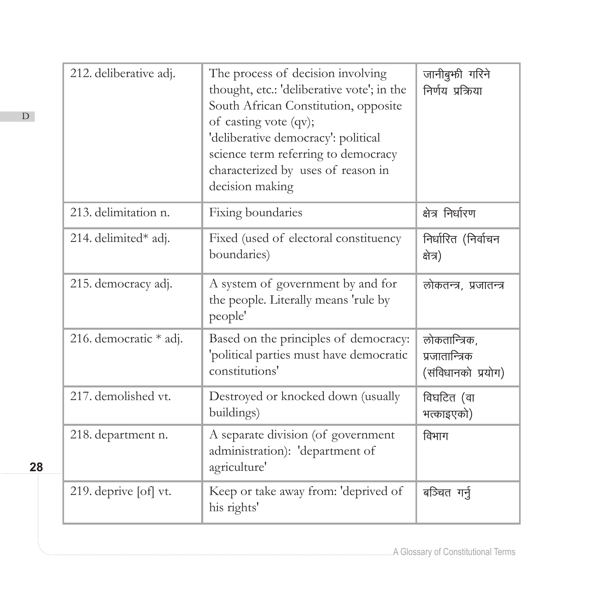| 212. deliberative adj. | The process of decision involving<br>thought, etc.: 'deliberative vote'; in the<br>South African Constitution, opposite<br>of casting vote (qv);<br>'deliberative democracy': political<br>science term referring to democracy<br>characterized by uses of reason in<br>decision making | जानीबु़र्फी गरिने<br>निर्णय प्रक्रिया                 |
|------------------------|-----------------------------------------------------------------------------------------------------------------------------------------------------------------------------------------------------------------------------------------------------------------------------------------|-------------------------------------------------------|
| 213. delimitation n.   | Fixing boundaries                                                                                                                                                                                                                                                                       | क्षेत्र निर्धारण                                      |
| 214. delimited* adj.   | Fixed (used of electoral constituency<br>boundaries)                                                                                                                                                                                                                                    | निर्धारित (निर्वाचन<br>क्षेत्र)                       |
| 215. democracy adj.    | A system of government by and for<br>the people. Literally means 'rule by<br>people'                                                                                                                                                                                                    | लोकतन्त्र, प्रजातन्त्र                                |
| 216. democratic * adj. | Based on the principles of democracy:<br>'political parties must have democratic<br>constitutions'                                                                                                                                                                                      | लोकतान्त्रिक,<br>प्रजातान्त्रिक<br>(संविधानको प्रयोग) |
| 217. demolished vt.    | Destroyed or knocked down (usually<br>buildings)                                                                                                                                                                                                                                        | विघटित (वा<br>भत्काइएको)                              |
| 218. department n.     | A separate division (of government<br>administration): 'department of<br>agriculture'                                                                                                                                                                                                   | विभाग                                                 |
| 219. deprive [of] vt.  | Keep or take away from: 'deprived of<br>his rights'                                                                                                                                                                                                                                     | बञ्चित गर्नु                                          |

 $\mathbf D$ 

**28**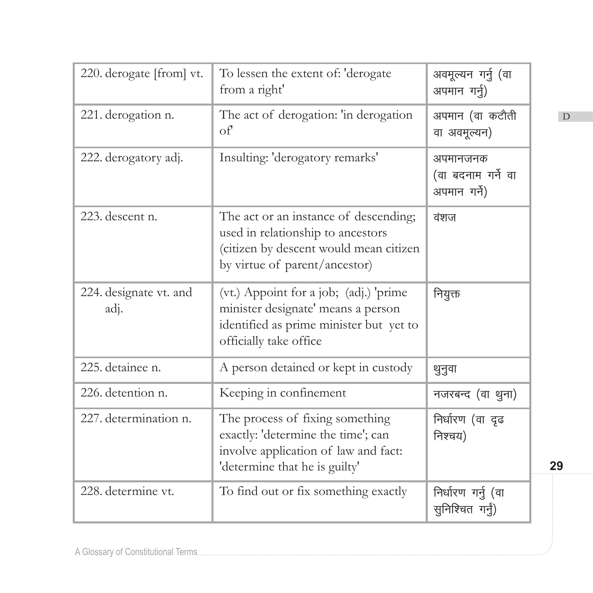| 220. derogate [from] vt.       | To lessen the extent of: 'derogate<br>from a right'                                                                                                   | अवमूल्यन गर्नु (वा<br>अपमान गर्नु)             |
|--------------------------------|-------------------------------------------------------------------------------------------------------------------------------------------------------|------------------------------------------------|
| 221. derogation n.             | The act of derogation: 'in derogation<br>of                                                                                                           | अपमान (वा कटौती<br>वा अवमूल्यन)                |
| 222. derogatory adj.           | Insulting: 'derogatory remarks'                                                                                                                       | अपमानजनक<br>(वा बदनाम गर्ने वा<br>अपमान गर्ने) |
| 223. descent n.                | The act or an instance of descending;<br>used in relationship to ancestors<br>(citizen by descent would mean citizen<br>by virtue of parent/ancestor) | वंशज                                           |
| 224. designate vt. and<br>adj. | (vt.) Appoint for a job; (adj.) 'prime<br>minister designate' means a person<br>identified as prime minister but yet to<br>officially take office     | नियुक्त                                        |
| 225. detainee n.               | A person detained or kept in custody                                                                                                                  | थुनुवा                                         |
| 226. detention n.              | Keeping in confinement                                                                                                                                | नजरबन्द (वा थुना)                              |
| 227, determination n.          | The process of fixing something<br>exactly: 'determine the time'; can<br>involve application of law and fact:<br>'determine that he is guilty'        | निर्धारण (वा दृढ<br>निश्चय)                    |
| 228. determine vt.             | To find out or fix something exactly                                                                                                                  | निर्धारण गर्नु (वा<br>सुनिश्चित गर्नु)         |

D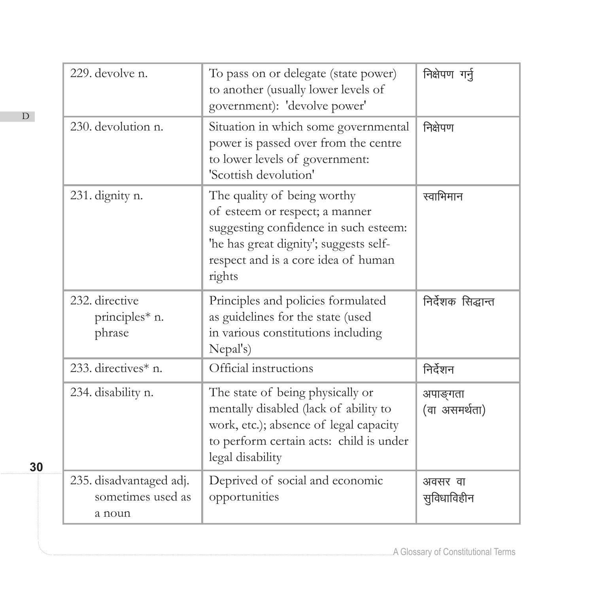| 229. devolve n.                                        | To pass on or delegate (state power)<br>to another (usually lower levels of<br>government): 'devolve power'                                                                                       | निक्षेपण गर्नु            |
|--------------------------------------------------------|---------------------------------------------------------------------------------------------------------------------------------------------------------------------------------------------------|---------------------------|
| 230, devolution n.                                     | Situation in which some governmental<br>power is passed over from the centre<br>to lower levels of government:<br>'Scottish devolution'                                                           | निक्षेपण                  |
| 231. dignity n.                                        | The quality of being worthy<br>of esteem or respect; a manner<br>suggesting confidence in such esteem:<br>'he has great dignity'; suggests self-<br>respect and is a core idea of human<br>rights | स्वाभिमान                 |
| 232. directive<br>principles* n.<br>phrase             | Principles and policies formulated<br>as guidelines for the state (used<br>in various constitutions including<br>Nepal's)                                                                         | निर्देशक सिद्धान्त        |
| 233. directives* n.                                    | Official instructions                                                                                                                                                                             | निर्देशन                  |
| 234. disability n.                                     | The state of being physically or<br>mentally disabled (lack of ability to<br>work, etc.); absence of legal capacity<br>to perform certain acts: child is under<br>legal disability                | अपाङ्गता<br>(वा असमर्थता) |
| 235. disadvantaged adj.<br>sometimes used as<br>a noun | Deprived of social and economic<br>opportunities                                                                                                                                                  | अवसर वा<br>सुविधाविहीन    |

 $\mathbf D$ 

**30**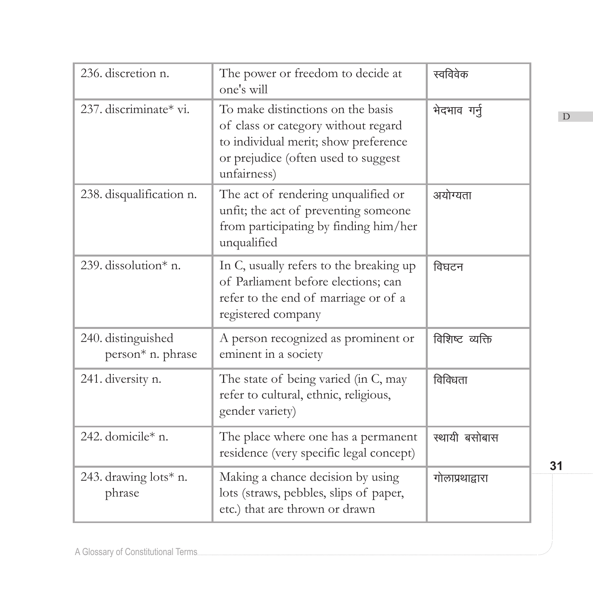| 236. discretion n.                      | The power or freedom to decide at<br>one's will                                                                                                                        | स्वविवेक        |
|-----------------------------------------|------------------------------------------------------------------------------------------------------------------------------------------------------------------------|-----------------|
| 237. discriminate* vi.                  | To make distinctions on the basis<br>of class or category without regard<br>to individual merit; show preference<br>or prejudice (often used to suggest<br>unfairness) | भेदभाव गर्नु    |
| 238. disqualification n.                | The act of rendering unqualified or<br>unfit; the act of preventing someone<br>from participating by finding him/her<br>unqualified                                    | अयोग्यता        |
| 239. dissolution $*$ n.                 | In C, usually refers to the breaking up<br>of Parliament before elections; can<br>refer to the end of marriage or of a<br>registered company                           | विघटन           |
| 240. distinguished<br>person* n. phrase | A person recognized as prominent or<br>eminent in a society                                                                                                            | विशिष्ट व्यक्ति |
| 241. diversity n.                       | The state of being varied (in C, may<br>refer to cultural, ethnic, religious,<br>gender variety)                                                                       | विविधता         |
| 242. domicile* n.                       | The place where one has a permanent<br>residence (very specific legal concept)                                                                                         | स्थायी बसोबास   |
| 243. drawing lots* n.<br>phrase         | Making a chance decision by using<br>lots (straws, pebbles, slips of paper,<br>etc.) that are thrown or drawn                                                          | गोलाप्रथाद्वारा |

D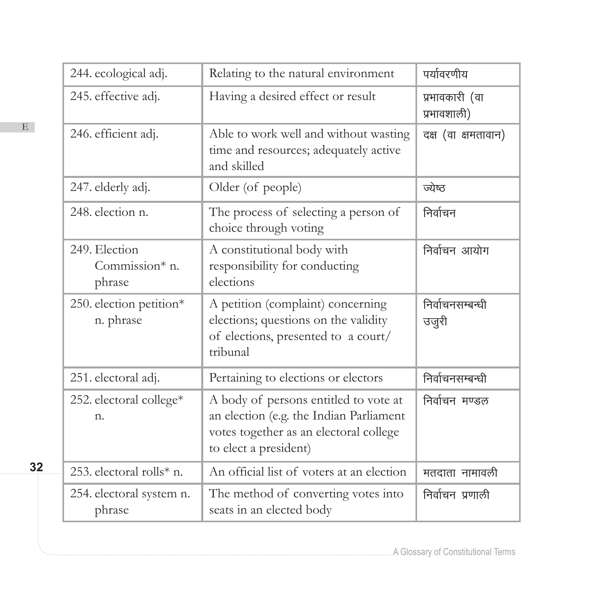| 244. ecological adj.                        | Relating to the natural environment                                                                                                                 | पर्यावरणीय                    |
|---------------------------------------------|-----------------------------------------------------------------------------------------------------------------------------------------------------|-------------------------------|
| 245. effective adj.                         | Having a desired effect or result                                                                                                                   | प्रभावकारी (वा<br>प्रभावशाली) |
| 246. efficient adj.                         | Able to work well and without wasting<br>time and resources; adequately active<br>and skilled                                                       | दक्ष (वा क्षमतावान)           |
| 247. elderly adj.                           | Older (of people)                                                                                                                                   | ज्येष्ठ                       |
| 248. election n.                            | The process of selecting a person of<br>choice through voting                                                                                       | निर्वाचन                      |
| 249. Election<br>$Commission*$ n.<br>phrase | A constitutional body with<br>responsibility for conducting<br>elections                                                                            | निर्वाचन आयोग                 |
| 250. election petition*<br>n. phrase        | A petition (complaint) concerning<br>elections; questions on the validity<br>of elections, presented to a court/<br>tribunal                        | निर्वाचनसम्बन्धी<br>उजुरी     |
| 251. electoral adj.                         | Pertaining to elections or electors                                                                                                                 | निर्वाचनसम्बन्धी              |
| 252. electoral college*<br>n.               | A body of persons entitled to vote at<br>an election (e.g. the Indian Parliament<br>votes together as an electoral college<br>to elect a president) | निर्वाचन मण्डल                |
| 253. electoral rolls* n.                    | An official list of voters at an election                                                                                                           | मतदाता नामावली                |
| 254. electoral system n.<br>phrase          | The method of converting votes into<br>seats in an elected body                                                                                     | निर्वाचन प्रणाली              |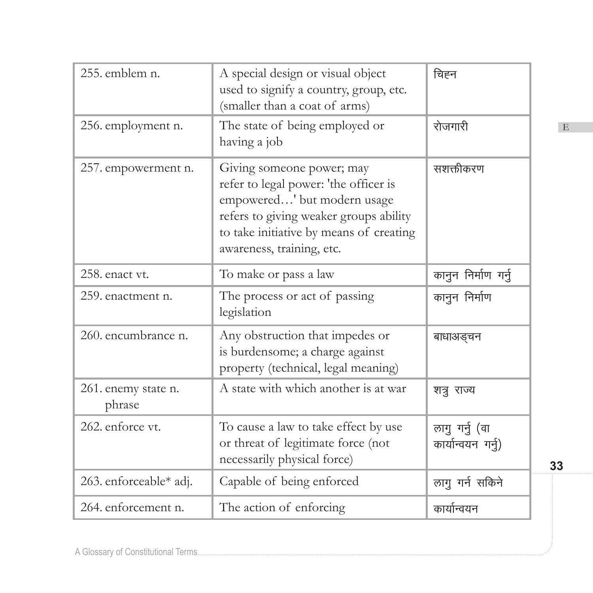| 255. emblem n.                | A special design or visual object<br>used to signify a country, group, etc.<br>(smaller than a coat of arms)                                                                                                        | चिह्न                                |
|-------------------------------|---------------------------------------------------------------------------------------------------------------------------------------------------------------------------------------------------------------------|--------------------------------------|
| 256. employment n.            | The state of being employed or<br>having a job                                                                                                                                                                      | रोजगारी                              |
| 257. empowerment n.           | Giving someone power; may<br>refer to legal power: 'the officer is<br>empowered' but modern usage<br>refers to giving weaker groups ability<br>to take initiative by means of creating<br>awareness, training, etc. | सशक्तीकरण                            |
| 258. enact vt.                | To make or pass a law                                                                                                                                                                                               | कानुन निर्माण गर्नु                  |
| 259. enactment n.             | The process or act of passing<br>legislation                                                                                                                                                                        | कानुन निर्माण                        |
| 260. encumbrance n.           | Any obstruction that impedes or<br>is burdensome; a charge against<br>property (technical, legal meaning)                                                                                                           | बाधाअड़चन                            |
| 261. enemy state n.<br>phrase | A state with which another is at war                                                                                                                                                                                | शत्रु राज्य                          |
| 262. enforce vt.              | To cause a law to take effect by use<br>or threat of legitimate force (not<br>necessarily physical force)                                                                                                           | लागु गर्नु (वा<br>कार्यान्वयन गर्नु) |
| 263. enforceable* adj.        | Capable of being enforced                                                                                                                                                                                           | लागु गर्न सकिने                      |
| 264. enforcement n.           | The action of enforcing                                                                                                                                                                                             | कार्यान्वयन                          |

E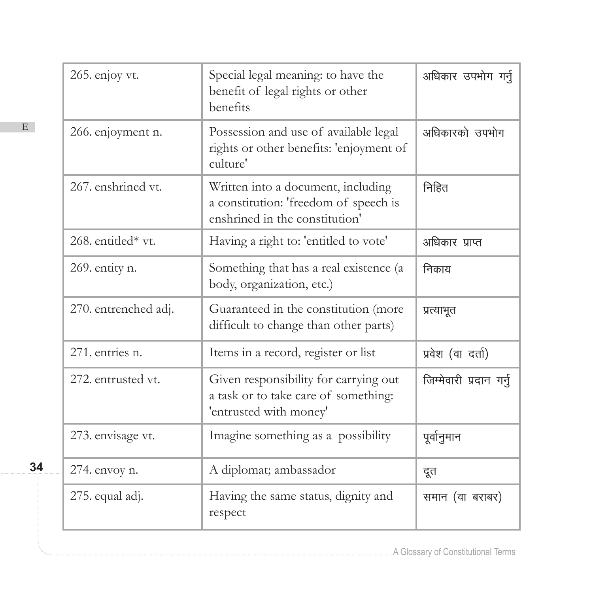| 265. enjoy vt.       | Special legal meaning: to have the<br>benefit of legal rights or other<br>benefits                            | अधिकार उपभोग गर्नु      |
|----------------------|---------------------------------------------------------------------------------------------------------------|-------------------------|
| 266. enjoyment n.    | Possession and use of available legal<br>rights or other benefits: 'enjoyment of<br>culture'                  | अधिकारको उपभोग          |
| 267. enshrined vt.   | Written into a document, including<br>a constitution: 'freedom of speech is<br>enshrined in the constitution' | निहित                   |
| 268. entitled* vt.   | Having a right to: 'entitled to vote'                                                                         | अधिकार प्राप्त          |
| 269. entity n.       | Something that has a real existence (a<br>body, organization, etc.)                                           | निकाय                   |
| 270. entrenched adj. | Guaranteed in the constitution (more<br>difficult to change than other parts)                                 | प्रत्याभूत              |
| 271. entries n.      | Items in a record, register or list                                                                           | प्रवेश (वा दर्ता)       |
| 272. entrusted vt.   | Given responsibility for carrying out<br>a task or to take care of something:<br>'entrusted with money'       | जिम्मेवारी प्रदान गर्नु |
| 273. envisage vt.    | Imagine something as a possibility                                                                            | पूर्वानुमान             |
| 274. envoy n.        | A diplomat; ambassador                                                                                        | दूत                     |
| 275. equal adj.      | Having the same status, dignity and<br>respect                                                                | समान (वा बराबर)         |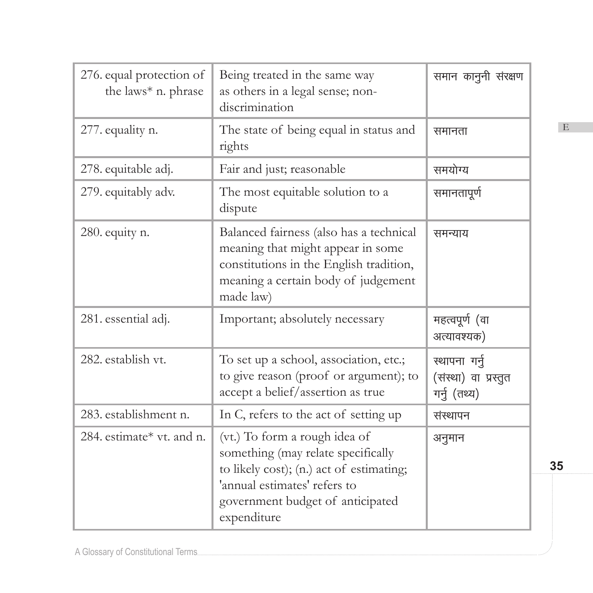| 276. equal protection of<br>the laws* n. phrase | Being treated in the same way<br>as others in a legal sense; non-<br>discrimination                                                                                                                | समान कानुनी संरक्षण                                   |
|-------------------------------------------------|----------------------------------------------------------------------------------------------------------------------------------------------------------------------------------------------------|-------------------------------------------------------|
| 277. equality n.                                | The state of being equal in status and<br>rights                                                                                                                                                   | समानता                                                |
| 278. equitable adj.                             | Fair and just; reasonable                                                                                                                                                                          | समयोग्य                                               |
| 279. equitably adv.                             | The most equitable solution to a<br>dispute                                                                                                                                                        | समानतापूर्ण                                           |
| 280. equity n.                                  | Balanced fairness (also has a technical<br>meaning that might appear in some<br>constitutions in the English tradition,<br>meaning a certain body of judgement<br>made law)                        | समन्याय                                               |
| 281. essential adj.                             | Important; absolutely necessary                                                                                                                                                                    | महत्वपूर्ण (वा<br>अत्यावश्यक)                         |
| 282. establish vt.                              | To set up a school, association, etc.;<br>to give reason (proof or argument); to<br>accept a belief/assertion as true                                                                              | स्थापना गर्नु<br>(संस्था) वा प्रस्तुत<br>गर्नु (तथ्य) |
| 283. establishment n.                           | In C, refers to the act of setting up                                                                                                                                                              | संस्थापन                                              |
| 284. estimate* vt. and n.                       | (vt.) To form a rough idea of<br>something (may relate specifically<br>to likely cost); (n.) act of estimating;<br>'annual estimates' refers to<br>government budget of anticipated<br>expenditure | अनुमान                                                |

E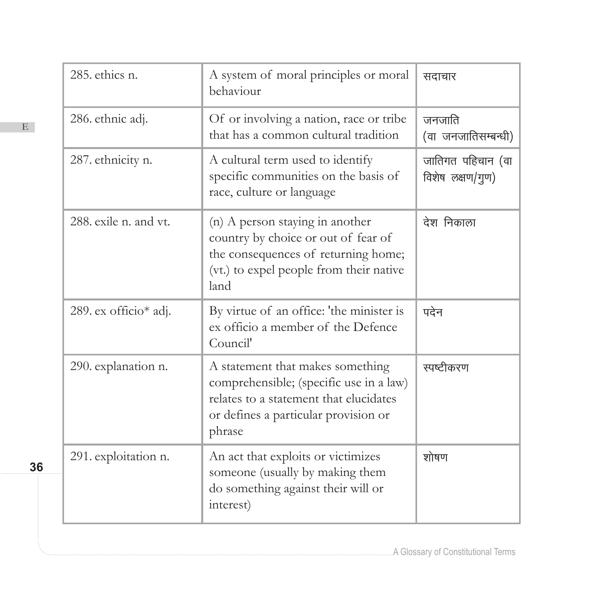| 285. ethics n.        | A system of moral principles or moral<br>behaviour                                                                                                                      | सदाचार                                |
|-----------------------|-------------------------------------------------------------------------------------------------------------------------------------------------------------------------|---------------------------------------|
| 286. ethnic adj.      | Of or involving a nation, race or tribe<br>that has a common cultural tradition                                                                                         | जनजाति<br>(वा जनजातिसम्बन्धी)         |
| 287. ethnicity n.     | A cultural term used to identify<br>specific communities on the basis of<br>race, culture or language                                                                   | जातिगत पहिचान (वा<br>विशेष लक्षण/गुण) |
| 288. exile n. and vt. | (n) A person staying in another<br>country by choice or out of fear of<br>the consequences of returning home;<br>(vt.) to expel people from their native<br>land        | देश निकाला                            |
| 289. ex officio* adj. | By virtue of an office: 'the minister is<br>ex officio a member of the Defence<br>Council'                                                                              | पदेन                                  |
| 290. explanation n.   | A statement that makes something<br>comprehensible; (specific use in a law)<br>relates to a statement that elucidates<br>or defines a particular provision or<br>phrase | स्पष्टीकरण                            |
| 291. exploitation n.  | An act that exploits or victimizes<br>someone (usually by making them<br>do something against their will or<br>interest)                                                | शोषण                                  |

A Glossary of Constitutional Terms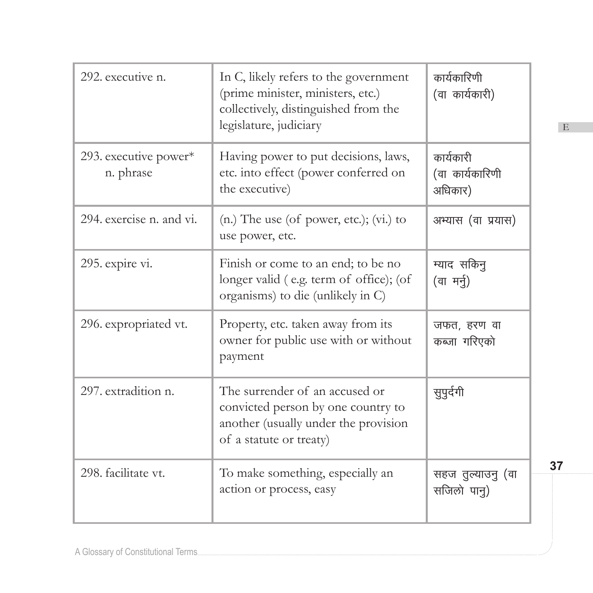| 292. executive n.                  | In C, likely refers to the government<br>(prime minister, ministers, etc.)<br>collectively, distinguished from the<br>legislature, judiciary | कार्यकारिणी<br>(वा कार्यकारी)           |
|------------------------------------|----------------------------------------------------------------------------------------------------------------------------------------------|-----------------------------------------|
| 293. executive power*<br>n. phrase | Having power to put decisions, laws,<br>etc. into effect (power conferred on<br>the executive)                                               | कार्यकारी<br>(वा कार्यकारिणी<br>अधिकार) |
| 294. exercise n. and vi.           | $(n.)$ The use (of power, etc.); $(vi.)$ to<br>use power, etc.                                                                               | अभ्यास (वा प्रयास)                      |
| 295. expire vi.                    | Finish or come to an end; to be no<br>longer valid (e.g. term of office); (of<br>organisms) to die (unlikely in C)                           | म्याद सकिनु<br>(वा मर्नु)               |
| 296. expropriated vt.              | Property, etc. taken away from its<br>owner for public use with or without<br>payment                                                        | जफत, हरण वा<br>कब्जा गरिएको             |
| 297. extradition n.                | The surrender of an accused or<br>convicted person by one country to<br>another (usually under the provision<br>of a statute or treaty)      | सुपुर्दगी                               |
| 298. facilitate vt.                | To make something, especially an<br>action or process, easy                                                                                  | सहज तुल्याउनु (वा<br>सजिलो पानु)        |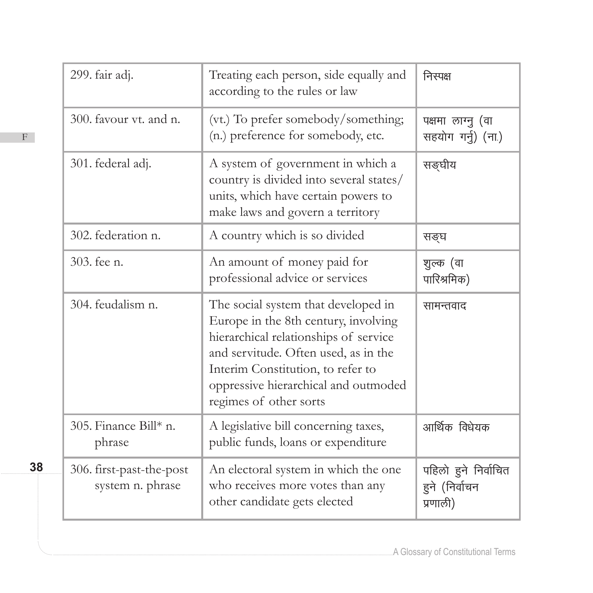| 299. fair adj.                               | Treating each person, side equally and<br>according to the rules or law                                                                                                                                                                                             | निस्पक्ष                                           |
|----------------------------------------------|---------------------------------------------------------------------------------------------------------------------------------------------------------------------------------------------------------------------------------------------------------------------|----------------------------------------------------|
| 300. favour vt. and n.                       | (vt.) To prefer somebody/something;<br>(n.) preference for somebody, etc.                                                                                                                                                                                           | पक्षमा लाग्नु (वा<br>सहयोग गर्नु) (ना.)            |
| 301. federal adj.                            | A system of government in which a<br>country is divided into several states/<br>units, which have certain powers to<br>make laws and govern a territory                                                                                                             | सङ्घीय                                             |
| 302. federation n.                           | A country which is so divided                                                                                                                                                                                                                                       | सङ्घ                                               |
| 303, fee n.                                  | An amount of money paid for<br>professional advice or services                                                                                                                                                                                                      | शुल्क (वा<br>पारिश्रमिक)                           |
| 304. feudalism n.                            | The social system that developed in<br>Europe in the 8th century, involving<br>hierarchical relationships of service<br>and servitude. Often used, as in the<br>Interim Constitution, to refer to<br>oppressive hierarchical and outmoded<br>regimes of other sorts | सामन्तवाद                                          |
| 305. Finance Bill* n.<br>phrase              | A legislative bill concerning taxes,<br>public funds, loans or expenditure                                                                                                                                                                                          | आर्थिक विधेयक                                      |
| 306. first-past-the-post<br>system n. phrase | An electoral system in which the one<br>who receives more votes than any<br>other candidate gets elected                                                                                                                                                            | पहिलो हुने निर्वाचित<br>हुने (निर्वाचन<br>प्रणाली) |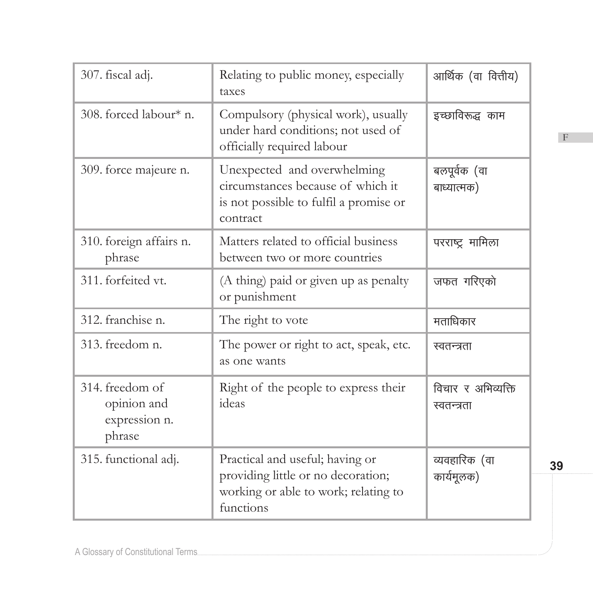| 307. fiscal adj.                                          | Relating to public money, especially<br>taxes                                                                              | आर्थिक (वा वित्तीय)               |
|-----------------------------------------------------------|----------------------------------------------------------------------------------------------------------------------------|-----------------------------------|
| 308. forced labour* n.                                    | Compulsory (physical work), usually<br>under hard conditions; not used of<br>officially required labour                    | इच्छाविरूद्ध काम                  |
| 309. force majeure n.                                     | Unexpected and overwhelming<br>circumstances because of which it<br>is not possible to fulfil a promise or<br>contract     | बलपूर्वक (वा<br>बाध्यात्मक)       |
| 310. foreign affairs n.<br>phrase                         | Matters related to official business<br>between two or more countries                                                      | परराष्ट्र मामिला                  |
| 311. forfeited vt.                                        | (A thing) paid or given up as penalty<br>or punishment                                                                     | जफत गरिएको                        |
| 312. franchise n.                                         | The right to vote                                                                                                          | मताधिकार                          |
| 313. freedom n.                                           | The power or right to act, speak, etc.<br>as one wants                                                                     | स्वतन्त्रता                       |
| 314, freedom of<br>opinion and<br>expression n.<br>phrase | Right of the people to express their<br>ideas                                                                              | विचार र अभिव्यक्ति<br>स्वतन्त्रता |
| 315. functional adj.                                      | Practical and useful; having or<br>providing little or no decoration;<br>working or able to work; relating to<br>functions | व्यवहारिक (वा<br>कार्यमूलक)       |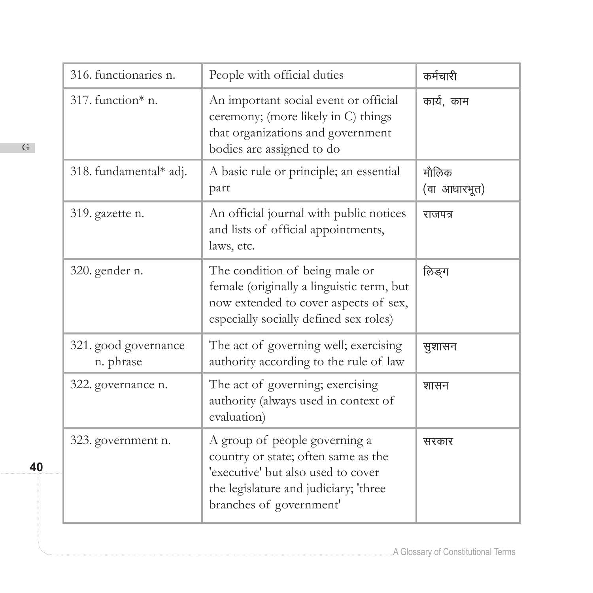| 316. functionaries n.             | People with official duties                                                                                                                                                    | कर्मचारी              |
|-----------------------------------|--------------------------------------------------------------------------------------------------------------------------------------------------------------------------------|-----------------------|
| 317. function* n.                 | An important social event or official<br>ceremony; (more likely in C) things<br>that organizations and government<br>bodies are assigned to do                                 | कार्य, काम            |
| 318. fundamental* adj.            | A basic rule or principle; an essential<br>part                                                                                                                                | मौलिक<br>(वा आधारभूत) |
| 319. gazette n.                   | An official journal with public notices<br>and lists of official appointments,<br>laws, etc.                                                                                   | राजपत्र               |
| 320. gender n.                    | The condition of being male or<br>female (originally a linguistic term, but<br>now extended to cover aspects of sex,<br>especially socially defined sex roles)                 | लिङ्ग                 |
| 321. good governance<br>n. phrase | The act of governing well; exercising<br>authority according to the rule of law                                                                                                | सुशासन                |
| 322. governance n.                | The act of governing; exercising<br>authority (always used in context of<br>evaluation)                                                                                        | शासन                  |
| 323. government n.                | A group of people governing a<br>country or state; often same as the<br>'executive' but also used to cover<br>the legislature and judiciary; 'three<br>branches of government' | सरकार                 |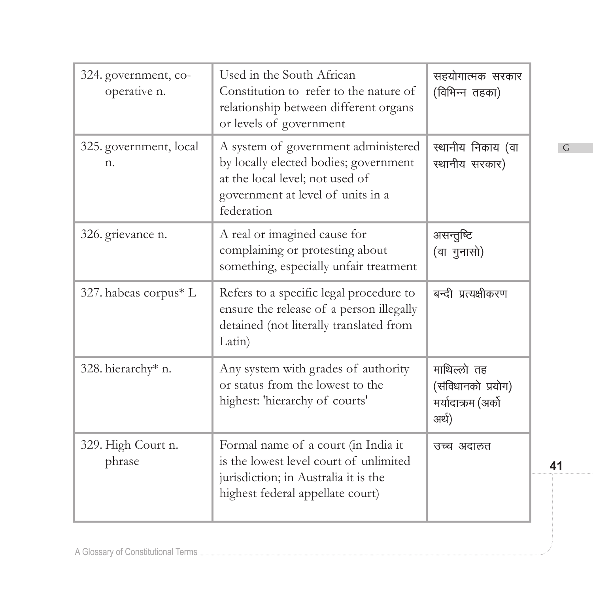| 324. government, co-<br>operative n. | Used in the South African<br>Constitution to refer to the nature of<br>relationship between different organs<br>or levels of government                            | सहयोगात्मक सरकार<br>(विभिन्न तहका)                               |
|--------------------------------------|--------------------------------------------------------------------------------------------------------------------------------------------------------------------|------------------------------------------------------------------|
| 325. government, local<br>$n$ .      | A system of government administered<br>by locally elected bodies; government<br>at the local level; not used of<br>government at level of units in a<br>federation | स्थानीय निकाय (वा<br>स्थानीय सरकार)                              |
| 326. grievance n.                    | A real or imagined cause for<br>complaining or protesting about<br>something, especially unfair treatment                                                          | असन्तुष्टि<br>(वा गुनासो)                                        |
| 327. habeas corpus* L                | Refers to a specific legal procedure to<br>ensure the release of a person illegally<br>detained (not literally translated from<br>Latin)                           | बन्दी प्रत्यक्षीकरण                                              |
| 328. hierarchy* n.                   | Any system with grades of authority<br>or status from the lowest to the<br>highest: 'hierarchy of courts'                                                          | माथिल्लो तह<br>(संविधानको प्रयोग)<br>मर्यादाक्रम (अर्को<br>अर्थ) |
| 329. High Court n.<br>phrase         | Formal name of a court (in India it<br>is the lowest level court of unlimited<br>jurisdiction; in Australia it is the<br>highest federal appellate court)          | उच्च अदालत                                                       |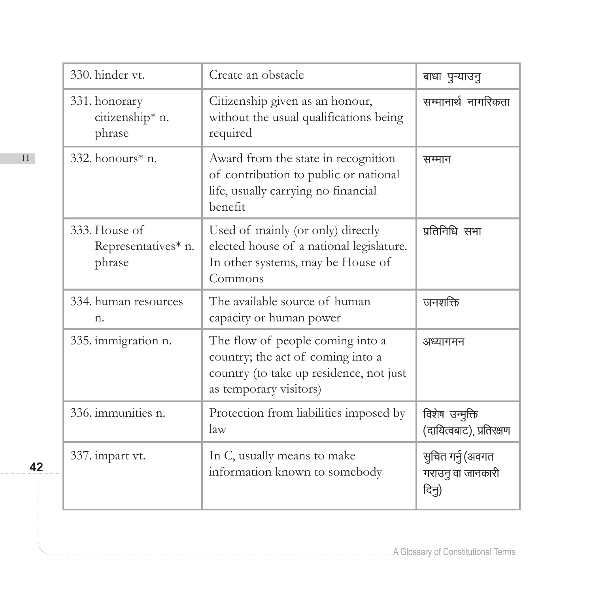| 330. hinder vt.                                | Create an obstacle                                                                                                                         | बाधा पुऱ्याउनु                                  |
|------------------------------------------------|--------------------------------------------------------------------------------------------------------------------------------------------|-------------------------------------------------|
| 331. honorary<br>citizenship* n.<br>phrase     | Citizenship given as an honour,<br>without the usual qualifications being<br>required                                                      | सम्मानार्थ नागरिकता                             |
| 332. honours* n.                               | Award from the state in recognition<br>of contribution to public or national<br>life, usually carrying no financial<br>benefit             | सम्मान                                          |
| 333. House of<br>Representatives* n.<br>phrase | Used of mainly (or only) directly<br>elected house of a national legislature.<br>In other systems, may be House of<br>Commons              | प्रतिनिधि सभा                                   |
| 334. human resources<br>n.                     | The available source of human<br>capacity or human power                                                                                   | जनशक्ति                                         |
| 335. immigration n.                            | The flow of people coming into a<br>country; the act of coming into a<br>country (to take up residence, not just<br>as temporary visitors) | अध्यागमन                                        |
| 336. immunities n.                             | Protection from liabilities imposed by<br>$\lambda$                                                                                        | विशेष उन्मुक्ति<br>(दायित्वबाट), प्रतिरक्षण     |
| 337. impart vt.                                | In C, usually means to make<br>information known to somebody                                                                               | सुचित गर्नु (अवगत<br>गराउनु वा जानकारी<br>दिनु) |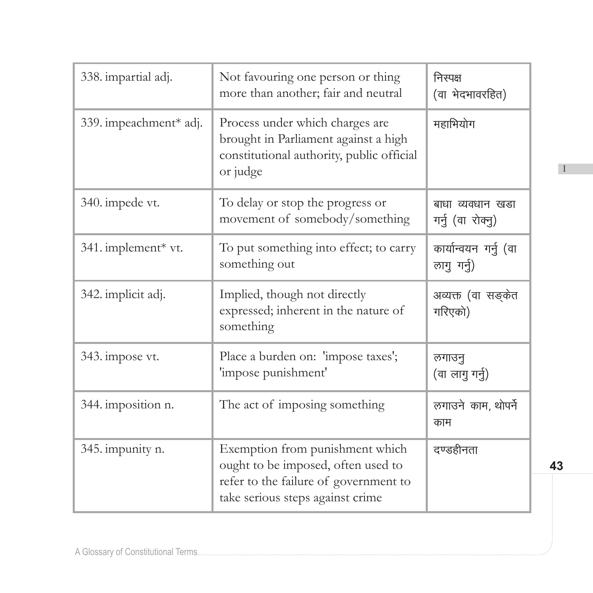| 338. impartial adj.    | Not favouring one person or thing<br>more than another; fair and neutral                                                                           | निस्पक्ष<br>(वा भेदभावरहित)            |
|------------------------|----------------------------------------------------------------------------------------------------------------------------------------------------|----------------------------------------|
| 339. impeachment* adj. | Process under which charges are<br>brought in Parliament against a high<br>constitutional authority, public official<br>or judge                   | महाभियोग                               |
| 340. impede vt.        | To delay or stop the progress or<br>movement of somebody/something                                                                                 | बाधा व्यवधान खड़ा<br>गर्नु (वा रोक्नु) |
| 341. implement* vt.    | To put something into effect; to carry<br>something out                                                                                            | कार्यान्वयन गर्नु (वा<br>लागु गर्नु)   |
| 342. implicit adj.     | Implied, though not directly<br>expressed; inherent in the nature of<br>something                                                                  | अव्यक्त (वा सङ्केत<br>गरिएको)          |
| 343. impose vt.        | Place a burden on: 'impose taxes';<br>'impose punishment'                                                                                          | लगाउन्<br>(वा लागु गर्नु)              |
| 344. imposition n.     | The act of imposing something                                                                                                                      | लगाउने काम, थोपर्ने<br>काम             |
| 345. impunity n.       | Exemption from punishment which<br>ought to be imposed, often used to<br>refer to the failure of government to<br>take serious steps against crime | दण्डहीनता                              |

I

A Glossary of Constitutional Terms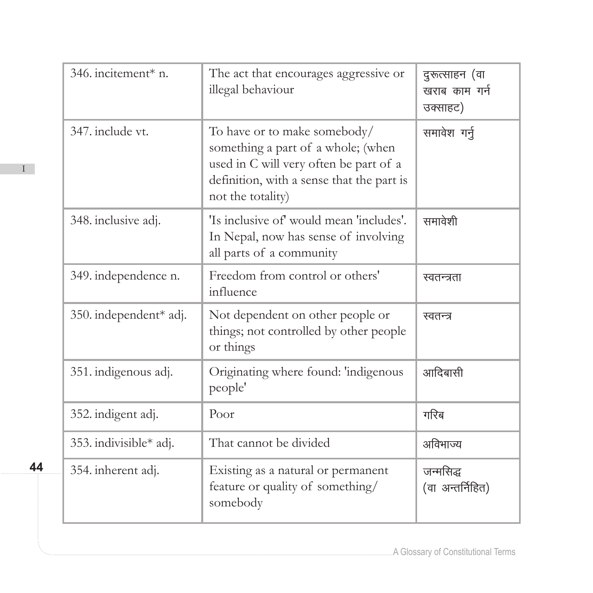| 346. incitement* n.    | The act that encourages aggressive or<br>illegal behaviour                                                                                                                     | दुरूत्साहन (वा<br>खराब काम गर्न<br>उक्साहट) |
|------------------------|--------------------------------------------------------------------------------------------------------------------------------------------------------------------------------|---------------------------------------------|
| 347. include vt.       | To have or to make somebody/<br>something a part of a whole; (when<br>used in C will very often be part of a<br>definition, with a sense that the part is<br>not the totality) | समावेश गर्नु                                |
| 348. inclusive adj.    | 'Is inclusive of would mean 'includes'.<br>In Nepal, now has sense of involving<br>all parts of a community                                                                    | समावेशी                                     |
| 349. independence n.   | Freedom from control or others'<br>influence                                                                                                                                   | स्वतन्त्रता                                 |
| 350. independent* adj. | Not dependent on other people or<br>things; not controlled by other people<br>or things                                                                                        | स्वतन्त्र                                   |
| 351. indigenous adj.   | Originating where found: 'indigenous<br>people'                                                                                                                                | आदिबासी                                     |
| 352. indigent adj.     | Poor                                                                                                                                                                           | गरिब                                        |
| 353. indivisible* adj. | That cannot be divided                                                                                                                                                         | अविभाज्य                                    |
| 354. inherent adj.     | Existing as a natural or permanent<br>feature or quality of something/<br>somebody                                                                                             | जन्मसिद्ध<br>(वा अन्तर्निहित)               |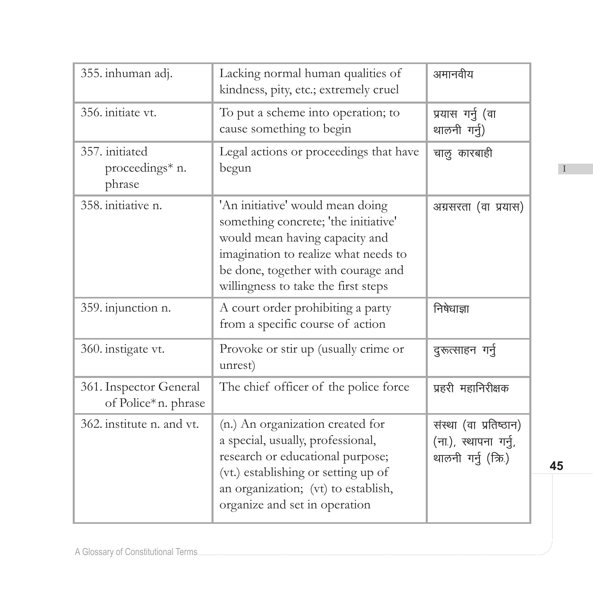| 355. inhuman adj.                             | Lacking normal human qualities of<br>kindness, pity, etc.; extremely cruel                                                                                                                                                      | अमानवीय                                                                |
|-----------------------------------------------|---------------------------------------------------------------------------------------------------------------------------------------------------------------------------------------------------------------------------------|------------------------------------------------------------------------|
| 356. initiate vt.                             | To put a scheme into operation; to<br>cause something to begin                                                                                                                                                                  | प्रयास गर्नु (वा<br>थालनी गर्नु)                                       |
| 357. initiated<br>proceedings* n.<br>phrase   | Legal actions or proceedings that have<br>begun                                                                                                                                                                                 | चालु कारबाही                                                           |
| 358. initiative n.                            | 'An initiative' would mean doing<br>something concrete; 'the initiative'<br>would mean having capacity and<br>imagination to realize what needs to<br>be done, together with courage and<br>willingness to take the first steps | अग्रसरता (वा प्रयास)                                                   |
| 359. injunction n.                            | A court order prohibiting a party<br>from a specific course of action                                                                                                                                                           | निषेधाज्ञा                                                             |
| 360. instigate vt.                            | Provoke or stir up (usually crime or<br>unrest)                                                                                                                                                                                 | दुरूत्साहन गर्नु                                                       |
| 361. Inspector General<br>of Police*n. phrase | The chief officer of the police force                                                                                                                                                                                           | प्रहरी महानिरीक्षक                                                     |
| 362. institute n. and vt.                     | (n.) An organization created for<br>a special, usually, professional,<br>research or educational purpose;<br>(vt.) establishing or setting up of<br>an organization; (vt) to establish,<br>organize and set in operation        | संस्था (वा प्रतिष्ठान)<br>(ना.), स्थापना गर्नु,<br>थालनी गर्नु (क्रि.) |

I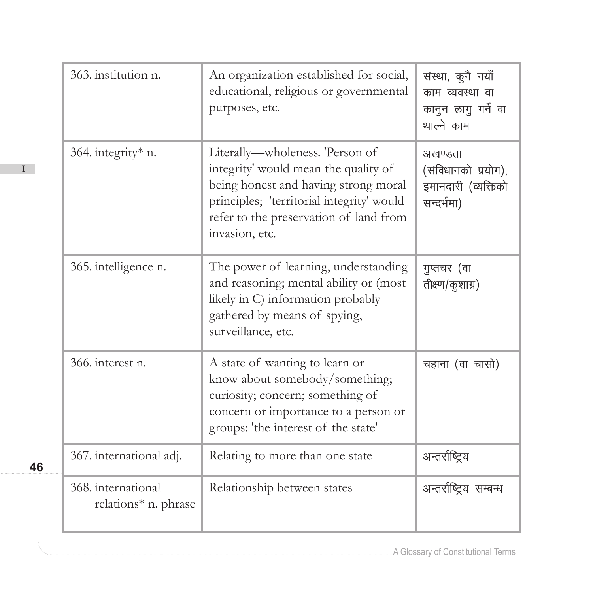| 363. institution n.                        | An organization established for social,<br>educational, religious or governmental<br>purposes, etc.                                                                                                                      | संस्था, कुनै नयाँ<br>काम व्यवस्था वा<br>कानुन लागु गर्ने वा<br>थाल्ने काम |
|--------------------------------------------|--------------------------------------------------------------------------------------------------------------------------------------------------------------------------------------------------------------------------|---------------------------------------------------------------------------|
| 364. integrity* n.                         | Literally-wholeness. 'Person of<br>integrity' would mean the quality of<br>being honest and having strong moral<br>principles; 'territorial integrity' would<br>refer to the preservation of land from<br>invasion, etc. | अखण्डता<br>(संविधानको प्रयोग),<br>इमानदारी (व्यक्तिको<br>सन्दर्भमा)       |
| 365. intelligence n.                       | The power of learning, understanding<br>and reasoning; mental ability or (most<br>likely in C) information probably<br>gathered by means of spying,<br>surveillance, etc.                                                | गुप्तचर (वा<br>तीक्ष्ण/कुशाग्र)                                           |
| 366. interest n.                           | A state of wanting to learn or<br>know about somebody/something;<br>curiosity; concern; something of<br>concern or importance to a person or<br>groups: 'the interest of the state'                                      | चहाना (वा चासो)                                                           |
| 367. international adj.                    | Relating to more than one state                                                                                                                                                                                          | अन्तर्राष्ट्रिय                                                           |
| 368. international<br>relations* n. phrase | Relationship between states                                                                                                                                                                                              | अन्तर्राष्ट्रिय सम्बन्ध                                                   |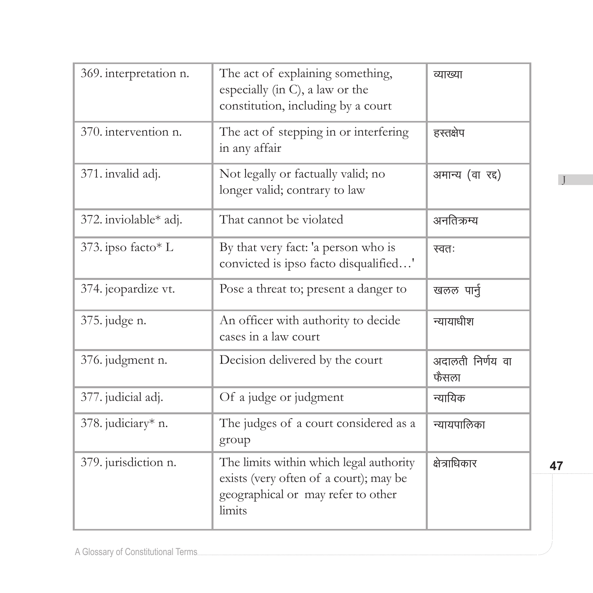| 369. interpretation n. | The act of explaining something,<br>especially (in C), a law or the<br>constitution, including by a court                         | व्याख्या                  |
|------------------------|-----------------------------------------------------------------------------------------------------------------------------------|---------------------------|
| 370. intervention n.   | The act of stepping in or interfering<br>in any affair                                                                            | हस्तक्षेप                 |
| 371. invalid adj.      | Not legally or factually valid; no<br>longer valid; contrary to law                                                               | अमान्य (वा रद)            |
| 372. inviolable* adj.  | That cannot be violated                                                                                                           | अनतिक्रम्य                |
| 373. ipso facto* L     | By that very fact: 'a person who is<br>convicted is ipso facto disqualified'                                                      | स्वतः                     |
| 374. jeopardize vt.    | Pose a threat to; present a danger to                                                                                             | खलल पार्नु                |
| 375. judge n.          | An officer with authority to decide<br>cases in a law court                                                                       | न्यायाधीश                 |
| 376. judgment n.       | Decision delivered by the court                                                                                                   | अदालती निर्णय वा<br>फैसला |
| 377. judicial adj.     | Of a judge or judgment                                                                                                            | न्यायिक                   |
| 378. judiciary* n.     | The judges of a court considered as a<br>group                                                                                    | न्यायपालिका               |
| 379. jurisdiction n.   | The limits within which legal authority<br>exists (very often of a court); may be<br>geographical or may refer to other<br>limits | क्षेत्राधिकार             |

J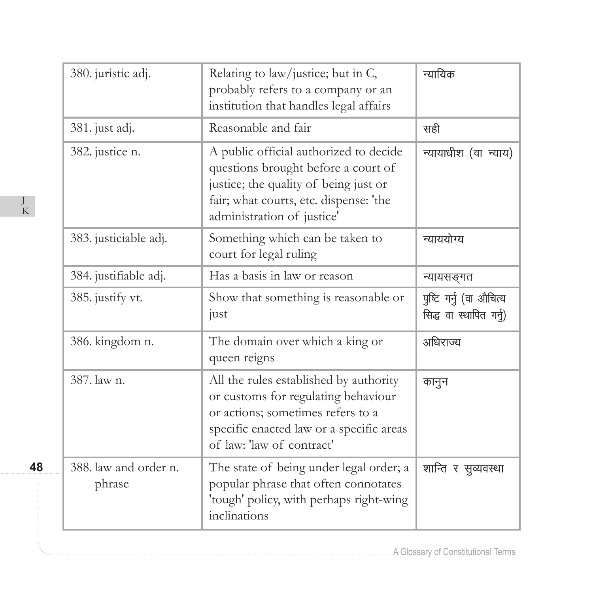| 380. juristic adj.              | Relating to law/justice; but in C,<br>probably refers to a company or an<br>institution that handles legal affairs                                                                             | न्यायिक                                            |
|---------------------------------|------------------------------------------------------------------------------------------------------------------------------------------------------------------------------------------------|----------------------------------------------------|
| 381. just adj.                  | Reasonable and fair                                                                                                                                                                            | सही                                                |
| 382. justice n.                 | A public official authorized to decide<br>questions brought before a court of<br>justice; the quality of being just or<br>fair; what courts, etc. dispense: 'the<br>administration of justice' | न्यायाधीश (वा न्याय)                               |
| 383. justiciable adj.           | Something which can be taken to<br>court for legal ruling                                                                                                                                      | न्याययोग्य                                         |
| 384. justifiable adj.           | Has a basis in law or reason                                                                                                                                                                   | न्यायसङ्गत                                         |
| 385. justify vt.                | Show that something is reasonable or<br>just                                                                                                                                                   | पुष्टि गर्नु (वा औचित्य<br>सिद्ध वा स्थापित गर्नु) |
| 386. kingdom n.                 | The domain over which a king or<br>queen reigns                                                                                                                                                | अधिराज्य                                           |
| 387. law n.                     | All the rules established by authority<br>or customs for regulating behaviour<br>or actions; sometimes refers to a<br>specific enacted law or a specific areas<br>of law: 'law of contract'    | कानुन                                              |
| 388. law and order n.<br>phrase | The state of being under legal order; a<br>popular phrase that often connotates<br>'tough' policy, with perhaps right-wing<br>inclinations                                                     | शान्ति र सुव्यवस्था                                |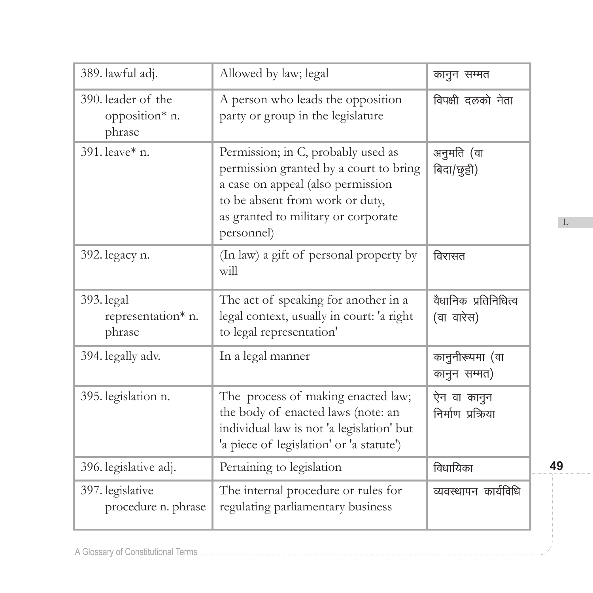| 389. lawful adj.                               | Allowed by law; legal                                                                                                                                                                                     | कानुन सम्मत                        |
|------------------------------------------------|-----------------------------------------------------------------------------------------------------------------------------------------------------------------------------------------------------------|------------------------------------|
| 390. leader of the<br>opposition* n.<br>phrase | A person who leads the opposition<br>party or group in the legislature                                                                                                                                    | विपक्षी दलको नेता                  |
| 391. leave* n.                                 | Permission; in C, probably used as<br>permission granted by a court to bring<br>a case on appeal (also permission<br>to be absent from work or duty,<br>as granted to military or corporate<br>personnel) | अनुमति (वा<br>बिदा/छुट्टी)         |
| 392. legacy n.                                 | (In law) a gift of personal property by<br>will                                                                                                                                                           | विरासत                             |
| 393. legal<br>representation* n.<br>phrase     | The act of speaking for another in a<br>legal context, usually in court: 'a right<br>to legal representation'                                                                                             | वैधानिक प्रतिनिधित्व<br>(वा वारेस) |
| 394. legally adv.                              | In a legal manner                                                                                                                                                                                         | कानुनीरूपमा (वा<br>कानुन सम्मत)    |
| 395. legislation n.                            | The process of making enacted law;<br>the body of enacted laws (note: an<br>individual law is not 'a legislation' but<br>'a piece of legislation' or 'a statute')                                         | ऐन वा कानुन<br>निर्माण प्रक्रिया   |
| 396. legislative adj.                          | Pertaining to legislation                                                                                                                                                                                 | विधायिका                           |
| 397. legislative<br>procedure n. phrase        | The internal procedure or rules for<br>regulating parliamentary business                                                                                                                                  | व्यवस्थापन कार्यविधि               |

L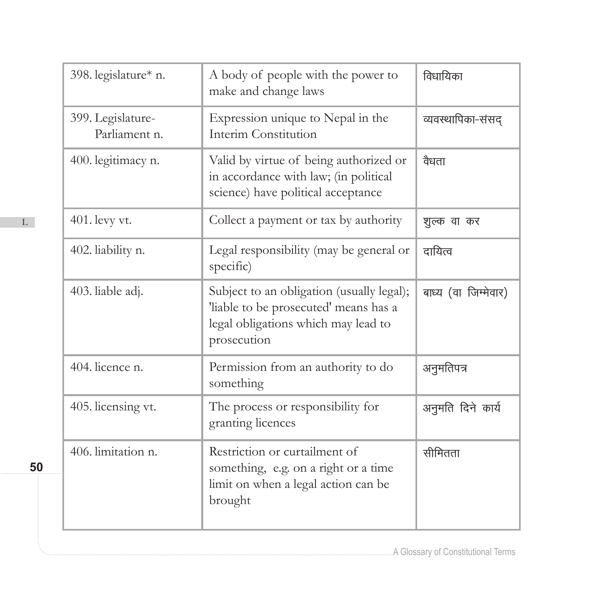| 398. legislature* n.               | A body of people with the power to<br>make and change laws                                                                               | विधायिका             |
|------------------------------------|------------------------------------------------------------------------------------------------------------------------------------------|----------------------|
| 399. Legislature-<br>Parliament n. | Expression unique to Nepal in the<br>Interim Constitution                                                                                | व्यवस्थापिका-संसद्   |
| 400. legitimacy n.                 | Valid by virtue of being authorized or<br>in accordance with law; (in political<br>science) have political acceptance                    | वैधता                |
| 401. levy vt.                      | Collect a payment or tax by authority                                                                                                    | शुल्क वा कर          |
| 402. liability n.                  | Legal responsibility (may be general or<br>specific)                                                                                     | दायित्व              |
| 403. liable adj.                   | Subject to an obligation (usually legal);<br>'liable to be prosecuted' means has a<br>legal obligations which may lead to<br>prosecution | बाध्य (वा जिम्मेवार) |
| 404. licence n.                    | Permission from an authority to do<br>something                                                                                          | अनुमतिपत्र           |
| 405. licensing vt.                 | The process or responsibility for<br>granting licences                                                                                   | अनुमति दिने कार्य    |
| 406. limitation n.                 | Restriction or curtailment of<br>something, e.g. on a right or a time<br>limit on when a legal action can be<br>brought                  | सीमितता              |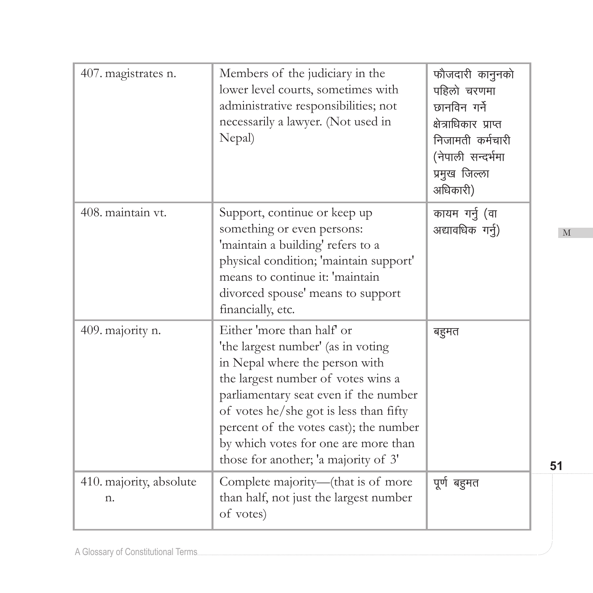| 407. magistrates n.           | Members of the judiciary in the<br>lower level courts, sometimes with<br>administrative responsibilities; not<br>necessarily a lawyer. (Not used in<br>Nepal)                                                                                                                                                                                         | फौजदारी कानुनको<br>पहिलो चरणमा<br>छानविन गर्ने<br>क्षेत्राधिकार प्राप्त<br>निजामती कर्मचारी<br>(नेपाली सन्दर्भमा<br>प्रमुख जिल्ला<br>अधिकारी) |
|-------------------------------|-------------------------------------------------------------------------------------------------------------------------------------------------------------------------------------------------------------------------------------------------------------------------------------------------------------------------------------------------------|-----------------------------------------------------------------------------------------------------------------------------------------------|
| 408. maintain vt.             | Support, continue or keep up<br>something or even persons:<br>'maintain a building' refers to a<br>physical condition; 'maintain support'<br>means to continue it: 'maintain<br>divorced spouse' means to support<br>financially, etc.                                                                                                                | कायम गर्नु (वा<br>अद्यावधिक गर्नु)                                                                                                            |
| 409. majority n.              | Either 'more than half' or<br>'the largest number' (as in voting<br>in Nepal where the person with<br>the largest number of votes wins a<br>parliamentary seat even if the number<br>of votes he/she got is less than fifty<br>percent of the votes cast); the number<br>by which votes for one are more than<br>those for another; 'a majority of 3' | बहुमत                                                                                                                                         |
| 410. majority, absolute<br>n. | Complete majority—(that is of more<br>than half, not just the largest number<br>of votes)                                                                                                                                                                                                                                                             | पूर्ण बहुमत                                                                                                                                   |

M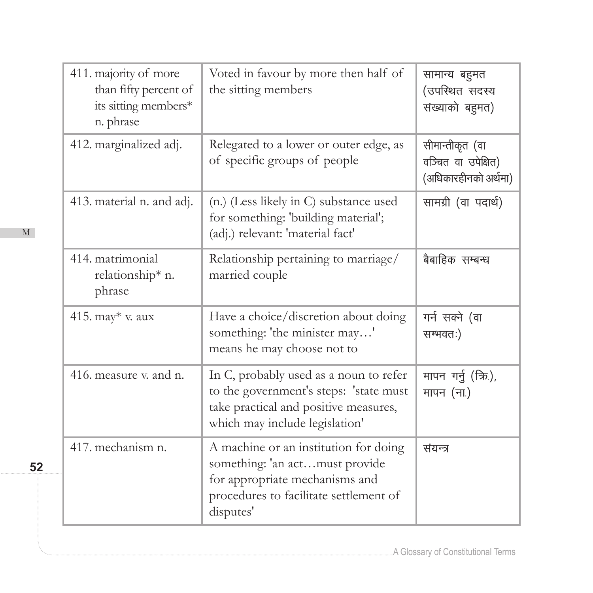| 411. majority of more<br>than fifty percent of<br>its sitting members*<br>n. phrase | Voted in favour by more then half of<br>the sitting members                                                                                                      | सामान्य बहुमत<br>(उपस्थित सदस्य<br>संख्याको बहुमत)             |
|-------------------------------------------------------------------------------------|------------------------------------------------------------------------------------------------------------------------------------------------------------------|----------------------------------------------------------------|
| 412. marginalized adj.                                                              | Relegated to a lower or outer edge, as<br>of specific groups of people                                                                                           | सीमान्तीकृत (वा<br>वञ्चित वा उपेक्षित)<br>(अधिकारहीनको अर्थमा) |
| 413. material n. and adj.                                                           | (n.) (Less likely in C) substance used<br>for something: 'building material';<br>(adj.) relevant: 'material fact'                                                | सामग्री (वा पदार्थ)                                            |
| 414. matrimonial<br>relationship* n.<br>phrase                                      | Relationship pertaining to marriage/<br>married couple                                                                                                           | बैबाहिक सम्बन्ध                                                |
| 415. $may*$ v. aux                                                                  | Have a choice/discretion about doing<br>something: 'the minister may'<br>means he may choose not to                                                              | गर्न सक्ने (वा<br>सम्भवतः)                                     |
| 416. measure v. and n.                                                              | In C, probably used as a noun to refer<br>to the government's steps: 'state must<br>take practical and positive measures,<br>which may include legislation'      | मापन गर्नु (क्रि.),<br>मापन (ना.)                              |
| 417. mechanism n.                                                                   | A machine or an institution for doing<br>something: 'an actmust provide<br>for appropriate mechanisms and<br>procedures to facilitate settlement of<br>disputes' | संयन्त्र                                                       |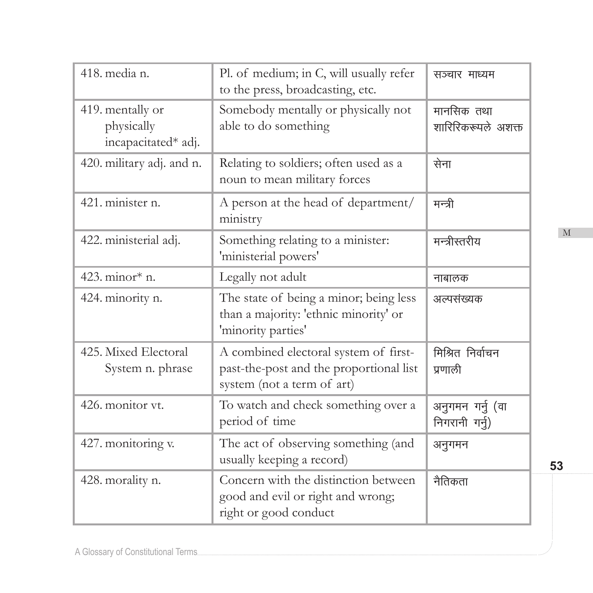| 418. media n.                                         | Pl. of medium; in C, will usually refer<br>to the press, broadcasting, etc.                                    | सञ्चार माध्यम                      |
|-------------------------------------------------------|----------------------------------------------------------------------------------------------------------------|------------------------------------|
| 419. mentally or<br>physically<br>incapacitated* adj. | Somebody mentally or physically not<br>able to do something                                                    | मानसिक तथा<br>शारिरिकरूपले अशक्त   |
| 420. military adj. and n.                             | Relating to soldiers; often used as a<br>noun to mean military forces                                          | सेना                               |
| 421. minister n.                                      | A person at the head of department/<br>ministry                                                                | मन्त्री                            |
| 422. ministerial adj.                                 | Something relating to a minister:<br>'ministerial powers'                                                      | मन्त्रीस्तरीय                      |
| 423. minor $*$ n.                                     | Legally not adult                                                                                              | नाबालक                             |
| 424. minority n.                                      | The state of being a minor; being less<br>than a majority: 'ethnic minority' or<br>'minority parties'          | अल्पसंख्यक                         |
| 425. Mixed Electoral<br>System n. phrase              | A combined electoral system of first-<br>past-the-post and the proportional list<br>system (not a term of art) | मिश्रित निर्वाचन<br>प्रणाली        |
| 426. monitor vt.                                      | To watch and check something over a<br>period of time                                                          | अनुगमन गर्नु (वा<br>निगरानी गर्नु) |
| 427. monitoring v.                                    | The act of observing something (and<br>usually keeping a record)                                               | अनुगमन                             |
| 428. morality n.                                      | Concern with the distinction between<br>good and evil or right and wrong;<br>right or good conduct             | नैतिकता                            |

A Glossary of Constitutional Terms

M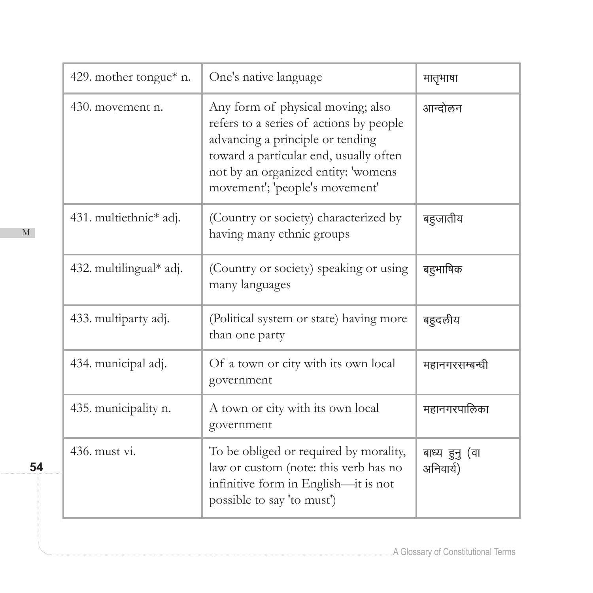| 429. mother tongue* n.             | One's native language                                                                                                                                                                                                               | मातृभाषा                    |
|------------------------------------|-------------------------------------------------------------------------------------------------------------------------------------------------------------------------------------------------------------------------------------|-----------------------------|
| 430. movement n.                   | Any form of physical moving; also<br>refers to a series of actions by people<br>advancing a principle or tending<br>toward a particular end, usually often<br>not by an organized entity: 'womens<br>movement'; 'people's movement' | आन्दोलन                     |
| 431. multiethnic <sup>*</sup> adj. | (Country or society) characterized by<br>having many ethnic groups                                                                                                                                                                  | बहुजातीय                    |
| 432. multilingual* adj.            | (Country or society) speaking or using<br>many languages                                                                                                                                                                            | बहुभाषिक                    |
| 433. multiparty adj.               | (Political system or state) having more<br>than one party                                                                                                                                                                           | बहुदलीय                     |
| 434. municipal adj.                | Of a town or city with its own local<br>government                                                                                                                                                                                  | महानगरसम्बन्धी              |
| 435. municipality n.               | A town or city with its own local<br>government                                                                                                                                                                                     | महानगरपालिका                |
| $436.$ must vi.                    | To be obliged or required by morality,<br>law or custom (note: this verb has no<br>infinitive form in English—it is not<br>possible to say 'to must')                                                                               | बाध्य हुनु (वा<br>अनिवार्य) |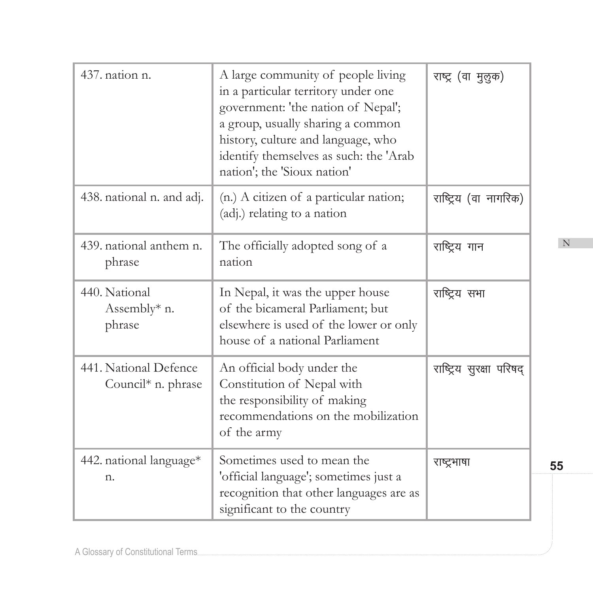| 437. nation n.                              | A large community of people living<br>in a particular territory under one<br>government: 'the nation of Nepal';<br>a group, usually sharing a common<br>history, culture and language, who<br>identify themselves as such: the 'Arab<br>nation'; the 'Sioux nation' | राष्ट्र (वा मुलुक)       |
|---------------------------------------------|---------------------------------------------------------------------------------------------------------------------------------------------------------------------------------------------------------------------------------------------------------------------|--------------------------|
| 438. national n. and adj.                   | (n.) A citizen of a particular nation;<br>(adj.) relating to a nation                                                                                                                                                                                               | राष्ट्रिय (वा नागरिक)    |
| 439. national anthem n.<br>phrase           | The officially adopted song of a<br>nation                                                                                                                                                                                                                          | राष्ट्रिय गान            |
| 440. National<br>Assembly* n.<br>phrase     | In Nepal, it was the upper house<br>of the bicameral Parliament; but<br>elsewhere is used of the lower or only<br>house of a national Parliament                                                                                                                    | राष्ट्रिय सभा            |
| 441. National Defence<br>Council* n. phrase | An official body under the<br>Constitution of Nepal with<br>the responsibility of making<br>recommendations on the mobilization<br>of the army                                                                                                                      | राष्ट्रिय सुरक्षा परिषद् |
| 442. national language*<br>n.               | Sometimes used to mean the<br>'official language'; sometimes just a<br>recognition that other languages are as<br>significant to the country                                                                                                                        | राष्ट्रभाषा              |

N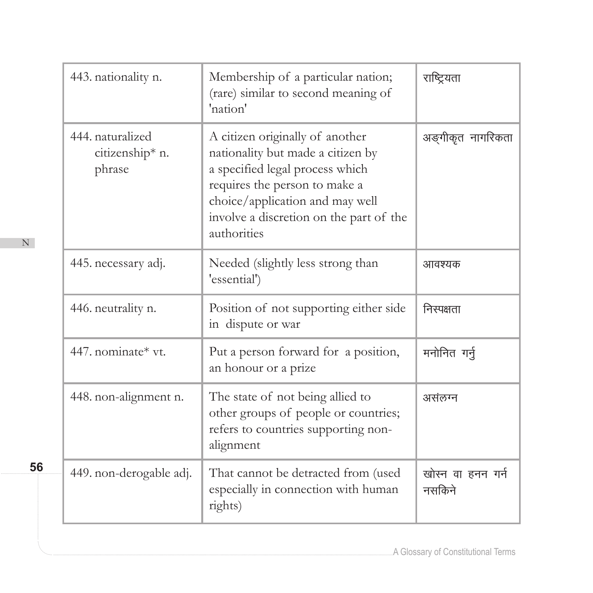| 443. nationality n.                           | Membership of a particular nation;<br>(rare) similar to second meaning of<br>'nation'                                                                                                                                                 | राष्ट्रियता                 |
|-----------------------------------------------|---------------------------------------------------------------------------------------------------------------------------------------------------------------------------------------------------------------------------------------|-----------------------------|
| 444. naturalized<br>citizenship* n.<br>phrase | A citizen originally of another<br>nationality but made a citizen by<br>a specified legal process which<br>requires the person to make a<br>choice/application and may well<br>involve a discretion on the part of the<br>authorities | अङ्गीकृत नागरिकता           |
| 445. necessary adj.                           | Needed (slightly less strong than<br>'essential')                                                                                                                                                                                     | आवश्यक                      |
| 446. neutrality n.                            | Position of not supporting either side<br>in dispute or war                                                                                                                                                                           | निस्पक्षता                  |
| 447. nominate* vt.                            | Put a person forward for a position,<br>an honour or a prize                                                                                                                                                                          | मनोनित गर्नु                |
| 448. non-alignment n.                         | The state of not being allied to<br>other groups of people or countries;<br>refers to countries supporting non-<br>alignment                                                                                                          | असंलग्न                     |
| 449. non-derogable adj.                       | That cannot be detracted from (used<br>especially in connection with human<br>rights)                                                                                                                                                 | खोस्न वा हनन गर्न<br>नसकिने |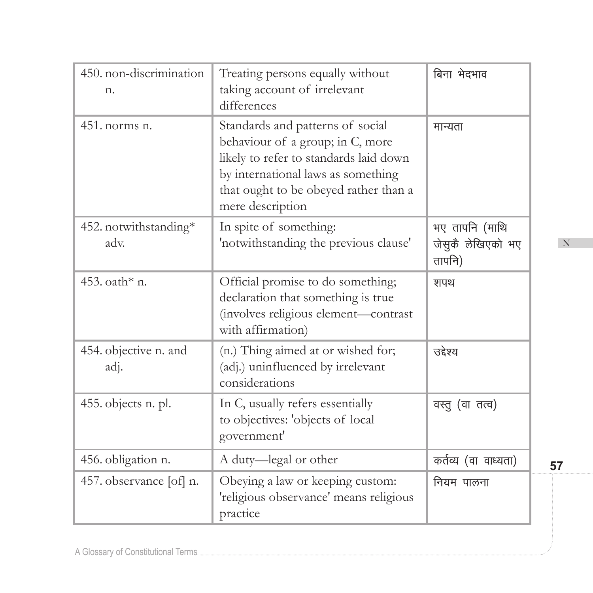| 450. non-discrimination<br>n. | Treating persons equally without<br>taking account of irrelevant<br>differences                                                                                                                                   | बिना भेदभाव                                   |
|-------------------------------|-------------------------------------------------------------------------------------------------------------------------------------------------------------------------------------------------------------------|-----------------------------------------------|
| 451, norms n.                 | Standards and patterns of social<br>behaviour of a group; in C, more<br>likely to refer to standards laid down<br>by international laws as something<br>that ought to be obeyed rather than a<br>mere description | मान्यता                                       |
| 452. notwithstanding*<br>adv. | In spite of something:<br>'notwithstanding the previous clause'                                                                                                                                                   | भए तापनि (माथि<br>जेसुकै लेखिएको भए<br>तापनि) |
| 453. oath* n.                 | Official promise to do something;<br>declaration that something is true<br>(involves religious element-contrast<br>with affirmation)                                                                              | शपथ                                           |
| 454. objective n. and<br>adj. | (n.) Thing aimed at or wished for;<br>(adj.) uninfluenced by irrelevant<br>considerations                                                                                                                         | उद्देश्य                                      |
| 455. objects n. pl.           | In C, usually refers essentially<br>to objectives: 'objects of local<br>government'                                                                                                                               | वस्तु (वा तत्व)                               |
| 456. obligation n.            | A duty-legal or other                                                                                                                                                                                             | कर्तव्य (वा वाध्यता)                          |
| 457. observance [of] n.       | Obeying a law or keeping custom:<br>'religious observance' means religious<br>practice                                                                                                                            | नियम पालना                                    |

N

**57**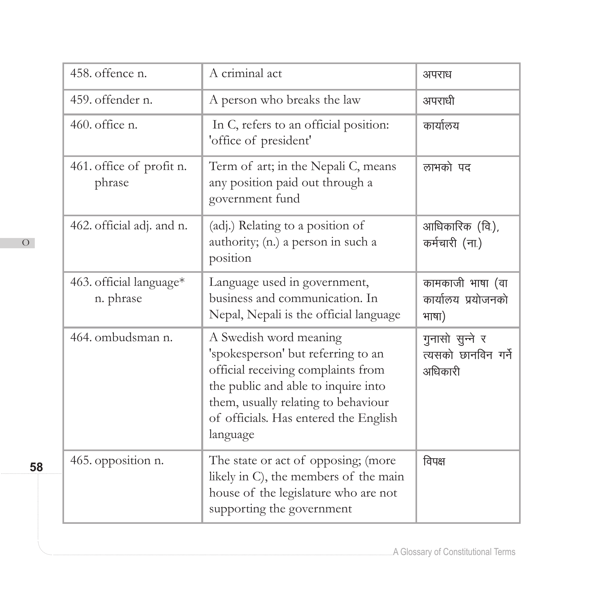| 458. offence n.                      | A criminal act                                                                                                                                                                                                                        | अपराध                                             |
|--------------------------------------|---------------------------------------------------------------------------------------------------------------------------------------------------------------------------------------------------------------------------------------|---------------------------------------------------|
| 459. offender n.                     | A person who breaks the law                                                                                                                                                                                                           | अपराधी                                            |
| 460. office n.                       | In C, refers to an official position:<br>'office of president'                                                                                                                                                                        | कार्यालय                                          |
| 461. office of profit n.<br>phrase   | Term of art; in the Nepali C, means<br>any position paid out through a<br>government fund                                                                                                                                             | लाभको पद                                          |
| 462. official adj. and n.            | (adj.) Relating to a position of<br>authority; (n.) a person in such a<br>position                                                                                                                                                    | आधिकारिक (वि.),<br>कर्मचारी (ना.)                 |
| 463. official language*<br>n. phrase | Language used in government,<br>business and communication. In<br>Nepal, Nepali is the official language                                                                                                                              | कामकाजी भाषा (वा<br>कार्यालय प्रयोजनको<br>भाषा)   |
| 464. ombudsman n.                    | A Swedish word meaning<br>'spokesperson' but referring to an<br>official receiving complaints from<br>the public and able to inquire into<br>them, usually relating to behaviour<br>of officials. Has entered the English<br>language | गुनासो सुन्ने र<br>त्यसको छानविन गर्ने<br>अधिकारी |
| 465. opposition n.                   | The state or act of opposing; (more<br>likely in C), the members of the main<br>house of the legislature who are not<br>supporting the government                                                                                     | विपक्ष                                            |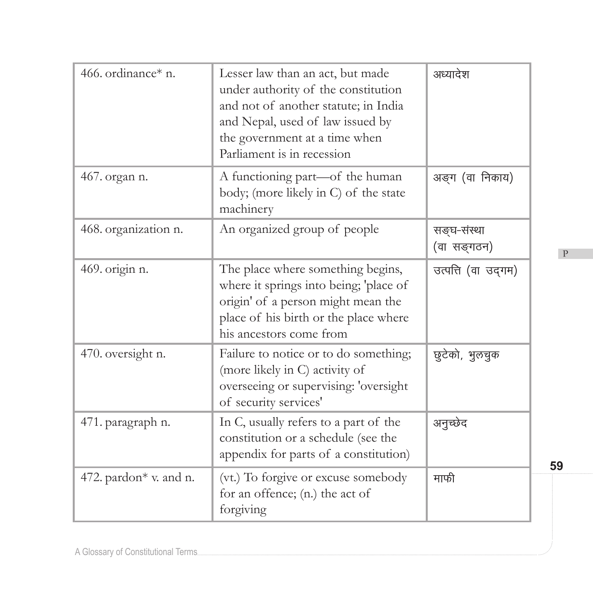| 466. ordinance* n.     | Lesser law than an act, but made<br>under authority of the constitution<br>and not of another statute; in India<br>and Nepal, used of law issued by<br>the government at a time when<br>Parliament is in recession | अध्यादेश                   |
|------------------------|--------------------------------------------------------------------------------------------------------------------------------------------------------------------------------------------------------------------|----------------------------|
| 467. organ n.          | A functioning part—of the human<br>body; (more likely in C) of the state<br>machinery                                                                                                                              | अङ्ग (वा निकाय)            |
| 468. organization n.   | An organized group of people                                                                                                                                                                                       | सङ्घ-संस्था<br>(वा सङ्गठन) |
| 469. origin n.         | The place where something begins,<br>where it springs into being; 'place of<br>origin' of a person might mean the<br>place of his birth or the place where<br>his ancestors come from                              | उत्पत्ति (वा उदगम)         |
| 470. oversight n.      | Failure to notice or to do something;<br>(more likely in C) activity of<br>overseeing or supervising: 'oversight<br>of security services'                                                                          | छुटेको, भुलचुक             |
| 471. paragraph n.      | In C, usually refers to a part of the<br>constitution or a schedule (see the<br>appendix for parts of a constitution)                                                                                              | अनुच्छेद                   |
| 472. pardon* v. and n. | (vt.) To forgive or excuse somebody<br>for an offence; (n.) the act of<br>forgiving                                                                                                                                | माफी                       |

P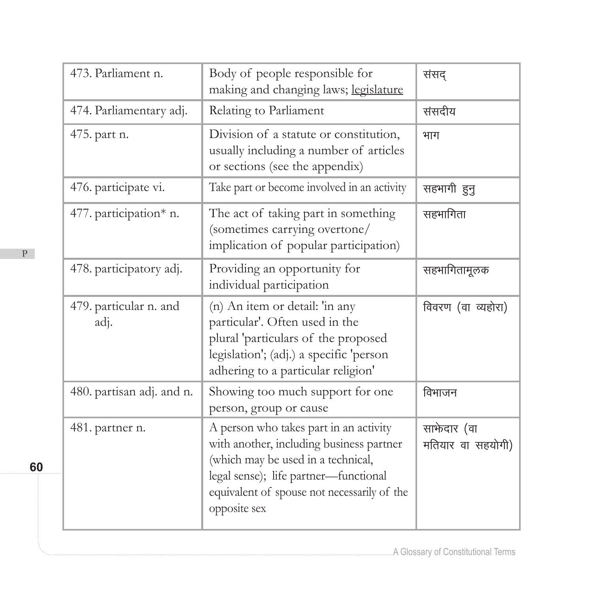| 473. Parliament n.             | Body of people responsible for<br>making and changing laws; legislature                                                                                                                                                          | संसद्                            |
|--------------------------------|----------------------------------------------------------------------------------------------------------------------------------------------------------------------------------------------------------------------------------|----------------------------------|
| 474. Parliamentary adj.        | Relating to Parliament                                                                                                                                                                                                           | संसदीय                           |
| 475. part n.                   | Division of a statute or constitution,<br>usually including a number of articles<br>or sections (see the appendix)                                                                                                               | भाग                              |
| 476. participate vi.           | Take part or become involved in an activity                                                                                                                                                                                      | सहभागी हुनु                      |
| 477. participation* n.         | The act of taking part in something<br>(sometimes carrying overtone/<br>implication of popular participation)                                                                                                                    | सहभागिता                         |
| 478. participatory adj.        | Providing an opportunity for<br>individual participation                                                                                                                                                                         | सहभागितामूलक                     |
| 479. particular n. and<br>adj. | (n) An item or detail: 'in any<br>particular'. Often used in the<br>plural 'particulars of the proposed<br>legislation'; (adj.) a specific 'person<br>adhering to a particular religion'                                         | विवरण (वा व्यहोरा)               |
| 480. partisan adj. and n.      | Showing too much support for one<br>person, group or cause                                                                                                                                                                       | विभाजन                           |
| 481. partner n.                | A person who takes part in an activity<br>with another, including business partner<br>(which may be used in a technical,<br>legal sense); life partner-functional<br>equivalent of spouse not necessarily of the<br>opposite sex | साफेदार (वा<br>मतियार वा सहयोगी) |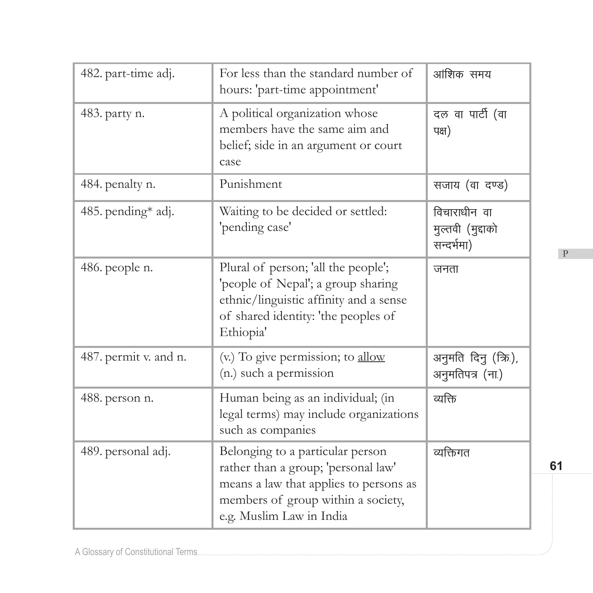| 482. part-time adj.   | For less than the standard number of<br>hours: 'part-time appointment'                                                                                                              | आंशिक समय                                       |
|-----------------------|-------------------------------------------------------------------------------------------------------------------------------------------------------------------------------------|-------------------------------------------------|
| 483. party n.         | A political organization whose<br>members have the same aim and<br>belief; side in an argument or court<br>case                                                                     | दल वा पार्टी (वा<br>पक्ष)                       |
| 484. penalty n.       | Punishment                                                                                                                                                                          | सजाय (वा दण्ड)                                  |
| 485. pending* adj.    | Waiting to be decided or settled:<br>'pending case'                                                                                                                                 | विचाराधीन वा<br>मुल्तवी (मुद्दाको<br>सन्दर्भमा) |
| 486. people n.        | Plural of person; 'all the people';<br>'people of Nepal'; a group sharing<br>ethnic/linguistic affinity and a sense<br>of shared identity: 'the peoples of<br>Ethiopia'             | जनता                                            |
| 487. permit v. and n. | (v.) To give permission; to allow<br>(n.) such a permission                                                                                                                         | अनुमति दिनु (क्रि.),<br>अनुमतिपत्र (ना.)        |
| 488. person n.        | Human being as an individual; (in<br>legal terms) may include organizations<br>such as companies                                                                                    | व्यक्ति                                         |
| 489. personal adj.    | Belonging to a particular person<br>rather than a group; 'personal law'<br>means a law that applies to persons as<br>members of group within a society,<br>e.g. Muslim Law in India | व्यक्तिगत                                       |

A Glossary of Constitutional Terms

P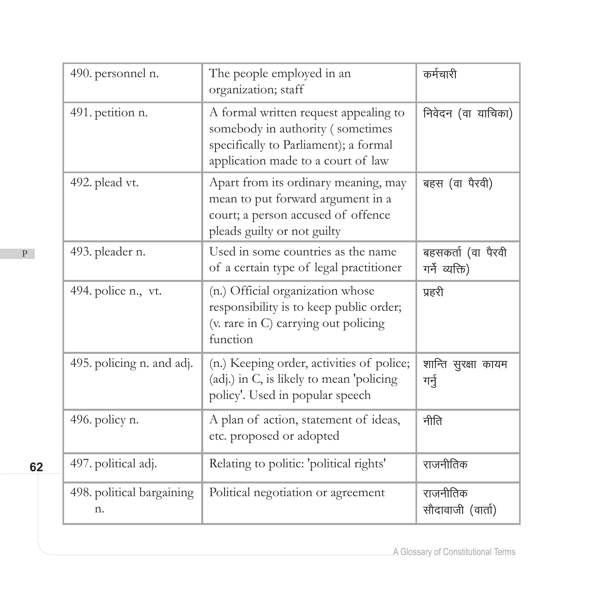| 490. personnel n.               | The people employed in an<br>organization; staff                                                                                                         | कर्मचारी                             |
|---------------------------------|----------------------------------------------------------------------------------------------------------------------------------------------------------|--------------------------------------|
| 491. petition n.                | A formal written request appealing to<br>somebody in authority (sometimes<br>specifically to Parliament); a formal<br>application made to a court of law | निवेदन (वा याचिका)                   |
| 492. plead vt.                  | Apart from its ordinary meaning, may<br>mean to put forward argument in a<br>court; a person accused of offence<br>pleads guilty or not guilty           | बहस (वा पैरवी)                       |
| 493. pleader n.                 | Used in some countries as the name<br>of a certain type of legal practitioner                                                                            | बहसकर्ता (वा पैरवी<br>गर्ने व्यक्ति) |
| 494. police n., vt.             | (n.) Official organization whose<br>responsibility is to keep public order;<br>(v. rare in C) carrying out policing<br>function                          | प्रहरी                               |
| 495. policing n. and adj.       | (n.) Keeping order, activities of police;<br>(adj.) in C, is likely to mean 'policing<br>policy'. Used in popular speech                                 | शान्ति सुरक्षा कायम<br>गर्नु         |
| 496. policy n.                  | A plan of action, statement of ideas,<br>etc. proposed or adopted                                                                                        | नीति                                 |
| 497. political adj.             | Relating to politic: 'political rights'                                                                                                                  | राजनीतिक                             |
| 498. political bargaining<br>n. | Political negotiation or agreement                                                                                                                       | राजनीतिक<br>सौदावाजी (वार्ता)        |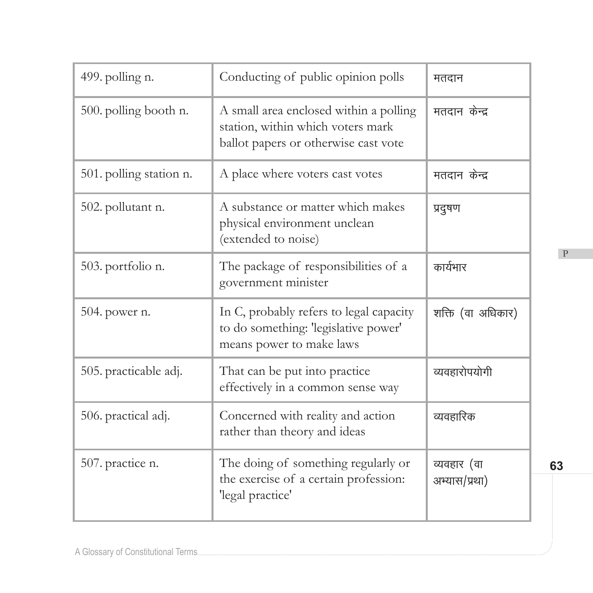| 499. polling n.         | Conducting of public opinion polls                                                                                  | मतदान                        |
|-------------------------|---------------------------------------------------------------------------------------------------------------------|------------------------------|
| 500. polling booth n.   | A small area enclosed within a polling<br>station, within which voters mark<br>ballot papers or otherwise cast vote | मतदान केन्द्र                |
| 501. polling station n. | A place where voters cast votes                                                                                     | मतदान केन्द्र                |
| 502. pollutant n.       | A substance or matter which makes<br>physical environment unclean<br>(extended to noise)                            | प्रदुषण                      |
| 503. portfolio n.       | The package of responsibilities of a<br>government minister                                                         | कार्यभार                     |
| 504. power n.           | In C, probably refers to legal capacity<br>to do something: 'legislative power'<br>means power to make laws         | शक्ति (वा अधिकार)            |
| 505. practicable adj.   | That can be put into practice<br>effectively in a common sense way                                                  | व्यवहारोपयोगी                |
| 506. practical adj.     | Concerned with reality and action<br>rather than theory and ideas                                                   | व्यवहारिक                    |
| 507. practice n.        | The doing of something regularly or<br>the exercise of a certain profession:<br>'legal practice'                    | व्यवहार (वा<br>अभ्यास/प्रथा) |

P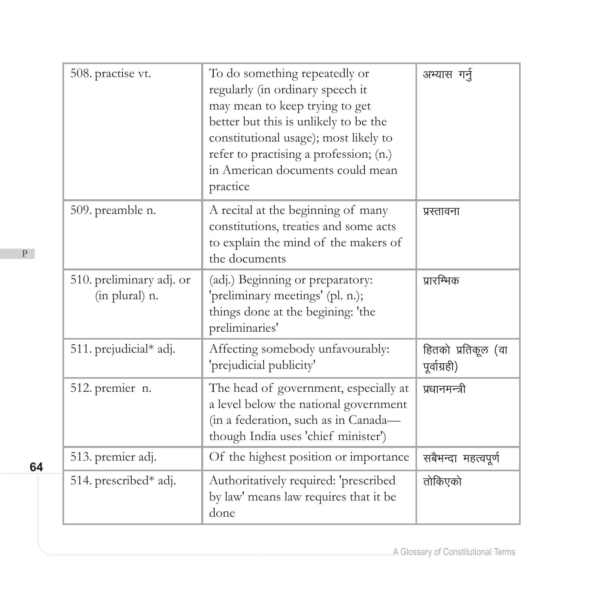| 508. practise vt.                          | To do something repeatedly or<br>regularly (in ordinary speech it<br>may mean to keep trying to get<br>better but this is unlikely to be the<br>constitutional usage); most likely to<br>refer to practising a profession; (n.)<br>in American documents could mean<br>practice | अभ्यास गर्नु                       |
|--------------------------------------------|---------------------------------------------------------------------------------------------------------------------------------------------------------------------------------------------------------------------------------------------------------------------------------|------------------------------------|
| 509. preamble n.                           | A recital at the beginning of many<br>constitutions, treaties and some acts<br>to explain the mind of the makers of<br>the documents                                                                                                                                            | प्रस्तावना                         |
| 510. preliminary adj. or<br>(in plural) n. | (adj.) Beginning or preparatory:<br>'preliminary meetings' (pl. n.);<br>things done at the begining: 'the<br>preliminaries'                                                                                                                                                     | प्रारम्भिक                         |
| 511. prejudicial* adj.                     | Affecting somebody unfavourably:<br>'prejudicial publicity'                                                                                                                                                                                                                     | हितको प्रतिकूल (वा<br>पूर्वाग्रही) |
| 512. premier n.                            | The head of government, especially at<br>a level below the national government<br>(in a federation, such as in Canada-<br>though India uses 'chief minister')                                                                                                                   | प्रधानमन्त्री                      |
| 513. premier adj.                          | Of the highest position or importance                                                                                                                                                                                                                                           | सबैभन्दा महत्वपूर्ण                |
| 514. prescribed* adj.                      | Authoritatively required: 'prescribed<br>by law' means law requires that it be<br>done                                                                                                                                                                                          | तोकिएको                            |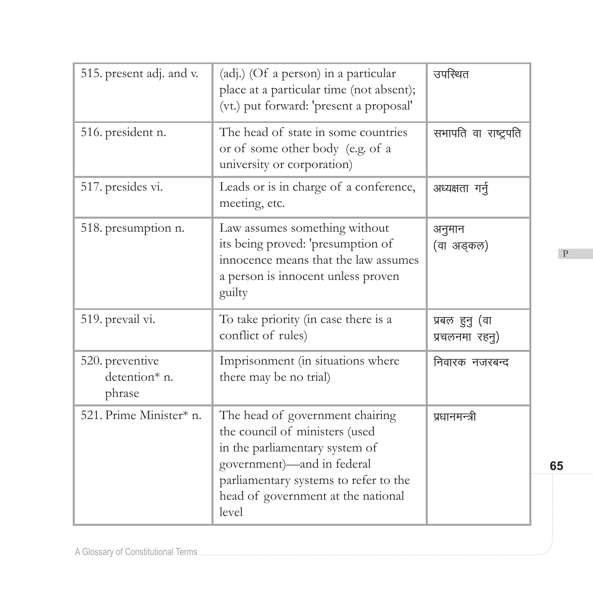| 515. present adj. and v.                   | (adj.) (Of a person) in a particular<br>place at a particular time (not absent);<br>(vt.) put forward: 'present a proposal'                                                                                               | उपस्थित                          |
|--------------------------------------------|---------------------------------------------------------------------------------------------------------------------------------------------------------------------------------------------------------------------------|----------------------------------|
| 516. president n.                          | The head of state in some countries<br>or of some other body (e.g. of a<br>university or corporation)                                                                                                                     | सभापति वा राष्ट्रपति             |
| 517. presides vi.                          | Leads or is in charge of a conference,<br>meeting, etc.                                                                                                                                                                   | अध्यक्षता गर्नु                  |
| 518. presumption n.                        | Law assumes something without<br>its being proved: 'presumption of<br>innocence means that the law assumes<br>a person is innocent unless proven<br>guilty                                                                | अनुमान<br>(वा अड्कल)             |
| 519. prevail vi.                           | To take priority (in case there is a<br>conflict of rules)                                                                                                                                                                | प्रबल हुनु (वा<br>प्रचलनमा रहनू) |
| 520. preventive<br>detention* n.<br>phrase | Imprisonment (in situations where<br>there may be no trial)                                                                                                                                                               | निवारक नजरबन्द                   |
| 521. Prime Minister* n.                    | The head of government chairing<br>the council of ministers (used<br>in the parliamentary system of<br>government)-and in federal<br>parliamentary systems to refer to the<br>head of government at the national<br>level | प्रधानमन्त्री                    |

P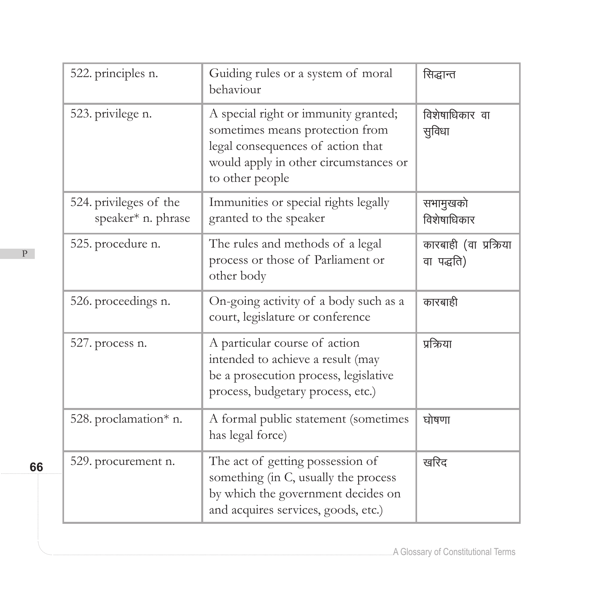| 522. principles n.                           | Guiding rules or a system of moral<br>behaviour                                                                                                                          | सिद्धान्त                           |
|----------------------------------------------|--------------------------------------------------------------------------------------------------------------------------------------------------------------------------|-------------------------------------|
| 523. privilege n.                            | A special right or immunity granted;<br>sometimes means protection from<br>legal consequences of action that<br>would apply in other circumstances or<br>to other people | विशेषाधिकार वा<br>सुविधा            |
| 524. privileges of the<br>speaker* n. phrase | Immunities or special rights legally<br>granted to the speaker                                                                                                           | सभामुखको<br>विशेषाधिकार             |
| 525. procedure n.                            | The rules and methods of a legal<br>process or those of Parliament or<br>other body                                                                                      | कारबाही (वा प्रक्रिया<br>वा पद्धति) |
| 526. proceedings n.                          | On-going activity of a body such as a<br>court, legislature or conference                                                                                                | कारबाही                             |
| 527. process n.                              | A particular course of action<br>intended to achieve a result (may<br>be a prosecution process, legislative<br>process, budgetary process, etc.)                         | प्रक्रिया                           |
| 528. proclamation* n.                        | A formal public statement (sometimes<br>has legal force)                                                                                                                 | घोषणा                               |
| 529. procurement n.                          | The act of getting possession of<br>something (in C, usually the process<br>by which the government decides on<br>and acquires services, goods, etc.)                    | खरिद                                |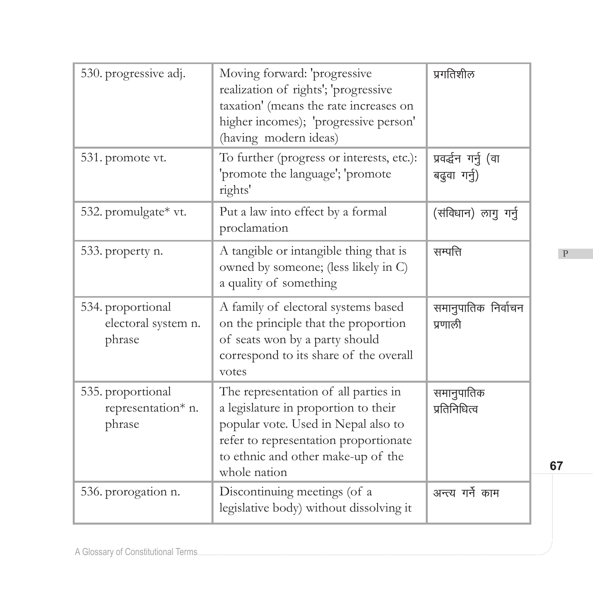| 530. progressive adj.                              | Moving forward: 'progressive<br>realization of rights'; 'progressive<br>taxation' (means the rate increases on<br>higher incomes); 'progressive person'<br>(having modern ideas)                                   | प्रगतिशील                             |
|----------------------------------------------------|--------------------------------------------------------------------------------------------------------------------------------------------------------------------------------------------------------------------|---------------------------------------|
| 531. promote vt.                                   | To further (progress or interests, etc.):<br>'promote the language'; 'promote<br>rights'                                                                                                                           | प्रवर्द्धन गर्नु (वा<br>बढ़ुवा गर्नु) |
| 532. promulgate* vt.                               | Put a law into effect by a formal<br>proclamation                                                                                                                                                                  | (संविधान) लागु गर्नु                  |
| 533. property n.                                   | A tangible or intangible thing that is<br>owned by someone; (less likely in C)<br>a quality of something                                                                                                           | सम्पत्ति                              |
| 534. proportional<br>electoral system n.<br>phrase | A family of electoral systems based<br>on the principle that the proportion<br>of seats won by a party should<br>correspond to its share of the overall<br>votes                                                   | समानुपातिक निर्वाचन<br>प्रणाली        |
| 535. proportional<br>representation* n.<br>phrase  | The representation of all parties in<br>a legislature in proportion to their<br>popular vote. Used in Nepal also to<br>refer to representation proportionate<br>to ethnic and other make-up of the<br>whole nation | समानुपातिक<br>प्रतिनिधित्व            |
| 536. prorogation n.                                | Discontinuing meetings (of a<br>legislative body) without dissolving it                                                                                                                                            | अन्त्य गर्ने काम                      |

A Glossary of Constitutional Terms

P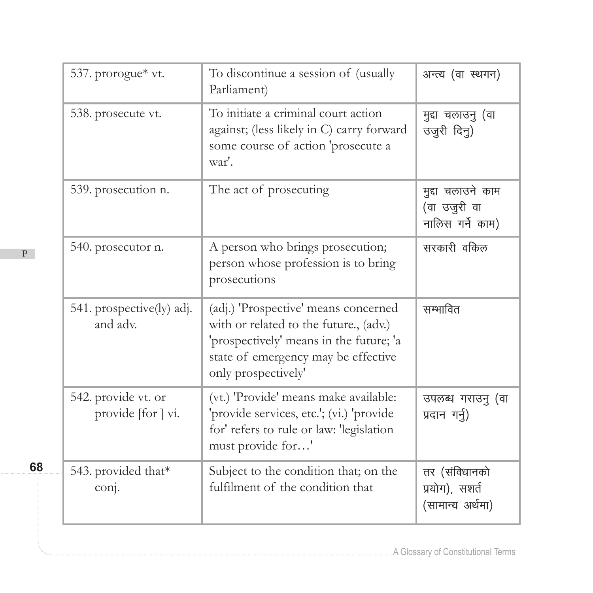| 537. prorogue* vt.                        | To discontinue a session of (usually<br>Parliament)                                                                                                                                     | अन्त्य (वा स्थगन)                                     |
|-------------------------------------------|-----------------------------------------------------------------------------------------------------------------------------------------------------------------------------------------|-------------------------------------------------------|
| 538. prosecute vt.                        | To initiate a criminal court action<br>against; (less likely in C) carry forward<br>some course of action 'prosecute a<br>war'.                                                         | मुद्दा चलाउनु (वा<br>उजुरी दिनु)                      |
| 539. prosecution n.                       | The act of prosecuting                                                                                                                                                                  | मुद्दा चलाउने काम<br>(वा उजुरी वा<br>नालिस गर्ने काम) |
| 540. prosecutor n.                        | A person who brings prosecution;<br>person whose profession is to bring<br>prosecutions                                                                                                 | सरकारी वकिल                                           |
| 541. prospective(ly) adj.<br>and adv.     | (adj.) 'Prospective' means concerned<br>with or related to the future., (adv.)<br>'prospectively' means in the future; 'a<br>state of emergency may be effective<br>only prospectively' | सम्भावित                                              |
| 542. provide vt. or<br>provide [for ] vi. | (vt.) 'Provide' means make available:<br>'provide services, etc.'; (vi.) 'provide<br>for' refers to rule or law: 'legislation<br>must provide for'                                      | उपलब्ध गराउनु (वा<br>प्रदान गर्नु)                    |
| 543. provided that*<br>conj.              | Subject to the condition that; on the<br>fulfilment of the condition that                                                                                                               | तर (संविधानको<br>प्रयोग), सशर्त<br>(सामान्य अर्थमा)   |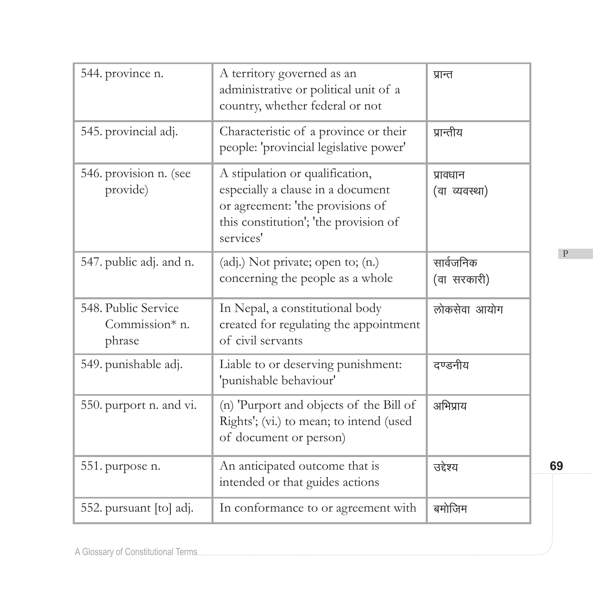| 544. province n.                                | A territory governed as an<br>administrative or political unit of a<br>country, whether federal or not                                                         | प्रान्त                   |
|-------------------------------------------------|----------------------------------------------------------------------------------------------------------------------------------------------------------------|---------------------------|
| 545. provincial adj.                            | Characteristic of a province or their<br>people: 'provincial legislative power'                                                                                | प्रान्तीय                 |
| 546. provision n. (see<br>provide)              | A stipulation or qualification,<br>especially a clause in a document<br>or agreement: 'the provisions of<br>this constitution'; 'the provision of<br>services' | प्रावधान<br>(वा व्यवस्था) |
| 547. public adj. and n.                         | (adj.) Not private; open to; (n.)<br>concerning the people as a whole                                                                                          | सार्वजनिक<br>(वा सरकारी)  |
| 548. Public Service<br>Commission* n.<br>phrase | In Nepal, a constitutional body<br>created for regulating the appointment<br>of civil servants                                                                 | लोकसेवा आयोग              |
| 549. punishable adj.                            | Liable to or deserving punishment:<br>'punishable behaviour'                                                                                                   | दण्डनीय                   |
| 550. purport n. and vi.                         | (n) 'Purport and objects of the Bill of<br>Rights'; (vi.) to mean; to intend (used<br>of document or person)                                                   | अभिप्राय                  |
| 551. purpose n.                                 | An anticipated outcome that is<br>intended or that guides actions                                                                                              | उद्देश्य                  |
| 552. pursuant [to] adj.                         | In conformance to or agreement with                                                                                                                            | बमोजिम                    |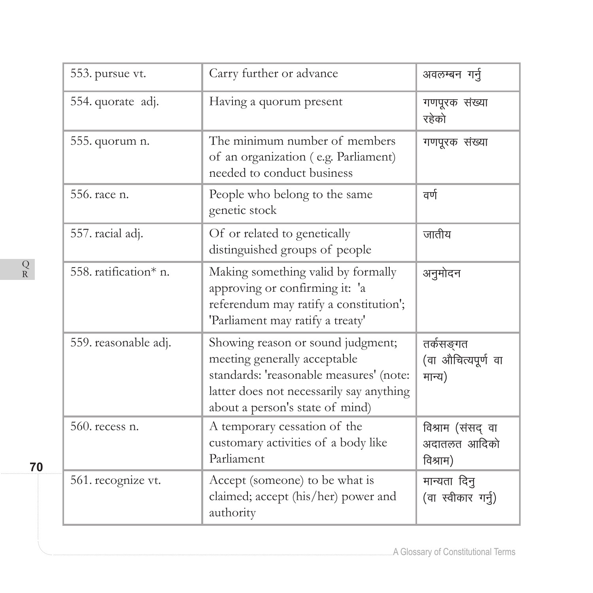| 553. pursue vt.       | Carry further or advance                                                                                                                                                                    | अवलम्बन गर्नु                                 |
|-----------------------|---------------------------------------------------------------------------------------------------------------------------------------------------------------------------------------------|-----------------------------------------------|
| 554. quorate adj.     | Having a quorum present                                                                                                                                                                     | गणपूरक संख्या<br>रहेको                        |
| 555. quorum n.        | The minimum number of members<br>of an organization (e.g. Parliament)<br>needed to conduct business                                                                                         | गणपूरक संख्या                                 |
| 556, race n.          | People who belong to the same<br>genetic stock                                                                                                                                              | वर्ण                                          |
| 557. racial adj.      | Of or related to genetically<br>distinguished groups of people                                                                                                                              | जातीय                                         |
| 558. ratification* n. | Making something valid by formally<br>approving or confirming it: 'a<br>referendum may ratify a constitution';<br>'Parliament may ratify a treaty'                                          | अनुमोदन                                       |
| 559. reasonable adj.  | Showing reason or sound judgment;<br>meeting generally acceptable<br>standards: 'reasonable measures' (note:<br>latter does not necessarily say anything<br>about a person's state of mind) | तर्कसङ्गत<br>(वा औचित्यपूर्ण वा<br>मान्य)     |
| 560. recess n.        | A temporary cessation of the<br>customary activities of a body like<br>Parliament                                                                                                           | विश्राम (संसद् वा<br>अदातलत आदिको<br>विश्राम) |
| 561. recognize vt.    | Accept (someone) to be what is<br>claimed; accept (his/her) power and<br>authority                                                                                                          | मान्यता दिनु<br>(वा स्वीकार गर्नु)            |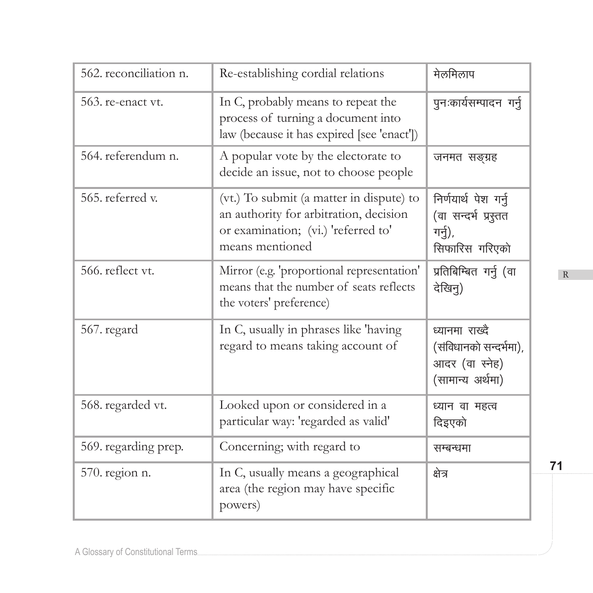| 562. reconciliation n. | Re-establishing cordial relations                                                                                                            | मेलमिलाप                                                                       |
|------------------------|----------------------------------------------------------------------------------------------------------------------------------------------|--------------------------------------------------------------------------------|
| 563. re-enact vt.      | In C, probably means to repeat the<br>process of turning a document into<br>law (because it has expired [see 'enact'])                       | पुनःकार्यसम्पादन गर्नु                                                         |
| 564. referendum n.     | A popular vote by the electorate to<br>decide an issue, not to choose people                                                                 | जनमत सङ्ग्रह                                                                   |
| 565, referred v.       | (vt.) To submit (a matter in dispute) to<br>an authority for arbitration, decision<br>or examination; (vi.) 'referred to'<br>means mentioned | निर्णयार्थ पेश गर्नु<br>(वा सन्दर्भ प्रस्तत<br>गर्नु),<br>सिफारिस गरिएको       |
| 566. reflect vt.       | Mirror (e.g. 'proportional representation'<br>means that the number of seats reflects<br>the voters' preference)                             | प्रतिबिम्बित गर्नु (वा<br>देखिन्)                                              |
| 567. regard            | In C, usually in phrases like 'having<br>regard to means taking account of                                                                   | ध्यानमा राख्दै<br>(संविधानको सन्दर्भमा),<br>आदर (वा स्नेह)<br>(सामान्य अर्थमा) |
| 568. regarded vt.      | Looked upon or considered in a<br>particular way: 'regarded as valid'                                                                        | ध्यान वा महत्व<br>दिइएको                                                       |
| 569. regarding prep.   | Concerning; with regard to                                                                                                                   | सम्बन्धमा                                                                      |
| 570. region n.         | In C, usually means a geographical<br>area (the region may have specific<br>powers)                                                          | क्षेत्र                                                                        |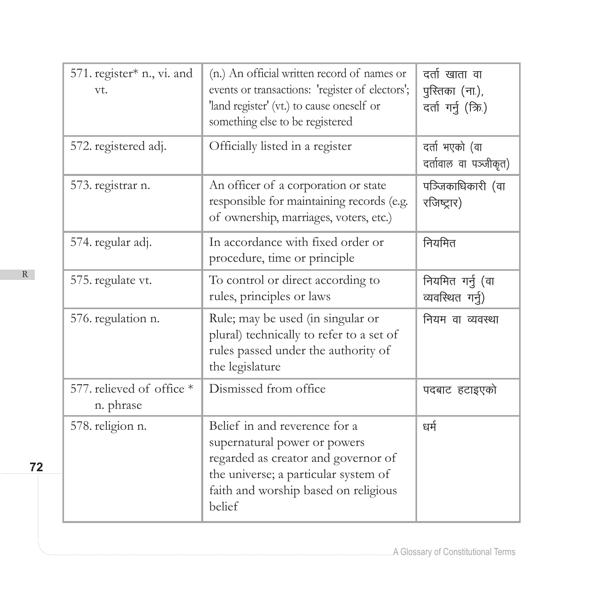| 571. register* n., vi. and<br>vt.      | (n.) An official written record of names or<br>events or transactions: 'register of electors';<br>'land register' (vt.) to cause oneself or<br>something else to be registered                 | दर्ता खाता वा<br>पुस्तिका (ना.),<br>दर्तागर्नु (क्रि) |
|----------------------------------------|------------------------------------------------------------------------------------------------------------------------------------------------------------------------------------------------|-------------------------------------------------------|
| 572. registered adj.                   | Officially listed in a register                                                                                                                                                                | दर्ता भएको (वा<br>दर्तावाल वा पञ्जीकृत)               |
| 573. registrar n.                      | An officer of a corporation or state<br>responsible for maintaining records (e.g.<br>of ownership, marriages, voters, etc.)                                                                    | पञ्जिकाधिकारी (वा<br>रजिष्ट्रार)                      |
| 574. regular adj.                      | In accordance with fixed order or<br>procedure, time or principle                                                                                                                              | नियमित                                                |
| 575. regulate vt.                      | To control or direct according to<br>rules, principles or laws                                                                                                                                 | नियमित गर्नु (वा<br>व्यवस्थित गर्नु)                  |
| 576. regulation n.                     | Rule; may be used (in singular or<br>plural) technically to refer to a set of<br>rules passed under the authority of<br>the legislature                                                        | नियम वा व्यवस्था                                      |
| 577. relieved of office *<br>n. phrase | Dismissed from office                                                                                                                                                                          | पदबाट हटाइएको                                         |
| 578. religion n.                       | Belief in and reverence for a<br>supernatural power or powers<br>regarded as creator and governor of<br>the universe; a particular system of<br>faith and worship based on religious<br>belief | धर्म                                                  |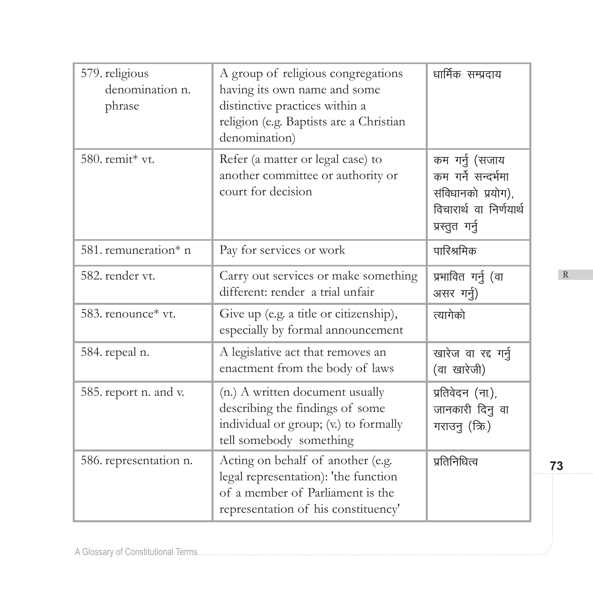| 579. religious<br>denomination n.<br>phrase | A group of religious congregations<br>having its own name and some<br>distinctive practices within a<br>religion (e.g. Baptists are a Christian<br>denomination) | धार्मिक सम्प्रदाय                                                                                       |
|---------------------------------------------|------------------------------------------------------------------------------------------------------------------------------------------------------------------|---------------------------------------------------------------------------------------------------------|
| 580. remit* vt.                             | Refer (a matter or legal case) to<br>another committee or authority or<br>court for decision                                                                     | कम गर्नु (सजाय<br>कम गर्ने सन्दर्भमा<br>संविधानको प्रयोग),<br>विचारार्थ वा निर्णयार्थ<br>प्रस्तुत गर्नु |
| 581. remuneration* n                        | Pay for services or work                                                                                                                                         | पारिश्रमिक                                                                                              |
| 582. render vt.                             | Carry out services or make something<br>different: render a trial unfair                                                                                         | प्रभावित गर्नु (वा<br>असर गर्नु)                                                                        |
| 583. renounce* vt.                          | Give up (e.g. a title or citizenship),<br>especially by formal announcement                                                                                      | त्यागेको                                                                                                |
| 584. repeal n.                              | A legislative act that removes an<br>enactment from the body of laws                                                                                             | खारेज वा रद्द गर्नु<br>(वा खारेजी)                                                                      |
| 585. report n. and v.                       | (n.) A written document usually<br>describing the findings of some<br>individual or group; (v.) to formally<br>tell somebody something                           | प्रतिवेदन (ना.),<br>जानकारी दिनु वा<br>गराउनु (क्रि.)                                                   |
| 586. representation n.                      | Acting on behalf of another (e.g.<br>legal representation): 'the function<br>of a member of Parliament is the<br>representation of his constituency'             | प्रतिनिधित्व                                                                                            |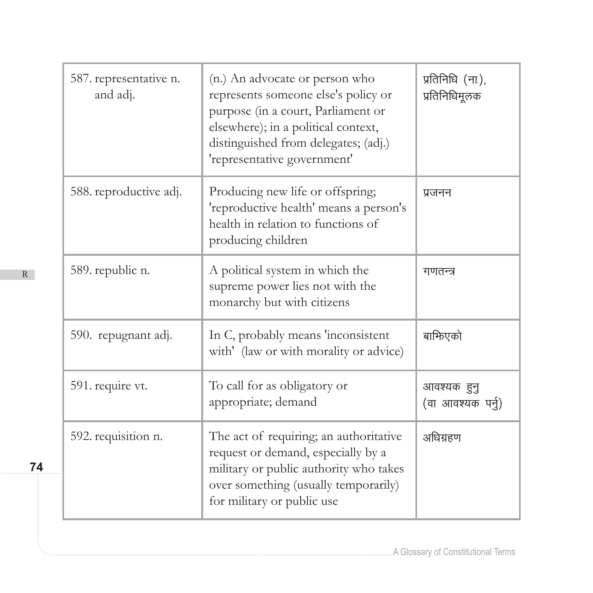| 587. representative n.<br>and adj. | (n.) An advocate or person who<br>represents someone else's policy or<br>purpose (in a court, Parliament or<br>elsewhere); in a political context,<br>distinguished from delegates; (adj.)<br>'representative government' | प्रतिनिधि (ना.),<br>प्रतिनिधिमूलक |
|------------------------------------|---------------------------------------------------------------------------------------------------------------------------------------------------------------------------------------------------------------------------|-----------------------------------|
| 588. reproductive adj.             | Producing new life or offspring;<br>'reproductive health' means a person's<br>health in relation to functions of<br>producing children                                                                                    | प्रजनन                            |
| 589. republic n.                   | A political system in which the<br>supreme power lies not with the<br>monarchy but with citizens                                                                                                                          | गणतन्त्र                          |
| 590. repugnant adj.                | In C, probably means 'inconsistent<br>with' (law or with morality or advice)                                                                                                                                              | बाफिएको                           |
| 591. require vt.                   | To call for as obligatory or<br>appropriate; demand                                                                                                                                                                       | आवश्यक हुनु<br>(वा आवश्यक पर्नु)  |
| 592. requisition n.                | The act of requiring; an authoritative<br>request or demand, especially by a<br>military or public authority who takes<br>over something (usually temporarily)<br>for military or public use                              | अधिग्रहण                          |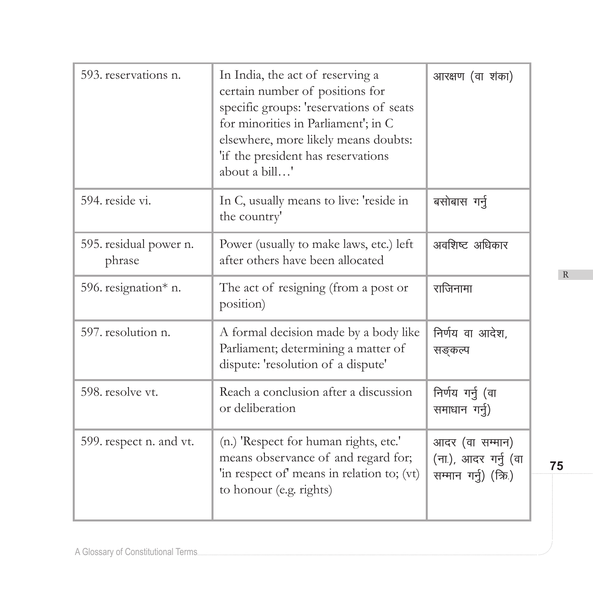| 593. reservations n.             | In India, the act of reserving a<br>certain number of positions for<br>specific groups: 'reservations of seats<br>for minorities in Parliament'; in C<br>elsewhere, more likely means doubts:<br>'if the president has reservations<br>about a bill' | आरक्षण (वा शंका)                                                |
|----------------------------------|------------------------------------------------------------------------------------------------------------------------------------------------------------------------------------------------------------------------------------------------------|-----------------------------------------------------------------|
| 594. reside vi.                  | In C, usually means to live: 'reside in<br>the country'                                                                                                                                                                                              | बसोबास गर्नु                                                    |
| 595. residual power n.<br>phrase | Power (usually to make laws, etc.) left<br>after others have been allocated                                                                                                                                                                          | अवशिष्ट अधिकार                                                  |
| 596. resignation* n.             | The act of resigning (from a post or<br>position)                                                                                                                                                                                                    | राजिनामा                                                        |
| 597. resolution n.               | A formal decision made by a body like<br>Parliament; determining a matter of<br>dispute: 'resolution of a dispute'                                                                                                                                   | निर्णय वा आदेश,<br>सङ्कल्प                                      |
| 598. resolve vt.                 | Reach a conclusion after a discussion<br>or deliberation                                                                                                                                                                                             | निर्णय गर्नु (वा<br>समाधान गर्नु)                               |
| 599. respect n. and vt.          | (n.) 'Respect for human rights, etc.'<br>means observance of and regard for;<br>'in respect of' means in relation to; (vt)<br>to honour (e.g. rights)                                                                                                | आदर (वा सम्मान)<br>(ना), आदर गर्नु (वा<br>सम्मान गर्नु) (क्रि.) |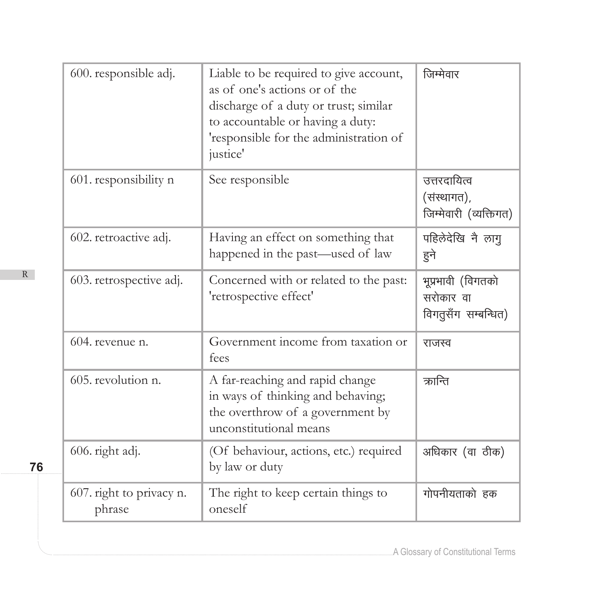| 600. responsible adj.              | Liable to be required to give account,<br>as of one's actions or of the<br>discharge of a duty or trust; similar<br>to accountable or having a duty:<br>'responsible for the administration of<br>justice' | जिम्मेवार                                             |
|------------------------------------|------------------------------------------------------------------------------------------------------------------------------------------------------------------------------------------------------------|-------------------------------------------------------|
| 601. responsibility n              | See responsible                                                                                                                                                                                            | उत्तरदायित्व<br>(संस्थागत),<br>जिम्मेवारी (व्यक्तिगत) |
| 602. retroactive adj.              | Having an effect on something that<br>happened in the past—used of law                                                                                                                                     | पहिलेदेखि नै लागु<br>हुने                             |
| 603. retrospective adj.            | Concerned with or related to the past:<br>'retrospective effect'                                                                                                                                           | भूप्रभावी (विगतको<br>सरोकार वा<br>विगतुसँग सम्बन्धित) |
| 604. revenue n.                    | Government income from taxation or<br>fees                                                                                                                                                                 | राजस्व                                                |
| 605. revolution n.                 | A far-reaching and rapid change<br>in ways of thinking and behaving;<br>the overthrow of a government by<br>unconstitutional means                                                                         | क्रान्ति                                              |
| 606. right adj.                    | (Of behaviour, actions, etc.) required<br>by law or duty                                                                                                                                                   | अधिकार (वा ठीक)                                       |
| 607. right to privacy n.<br>phrase | The right to keep certain things to<br>oneself                                                                                                                                                             | गोपनीयताको हक                                         |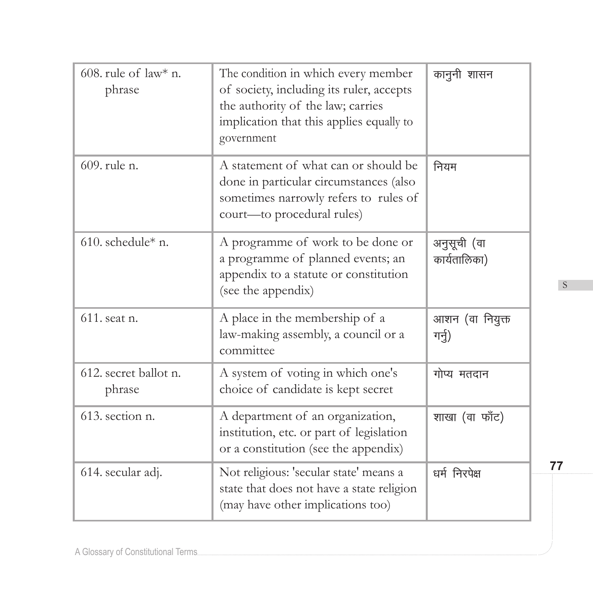| 608. rule of law* n.<br>phrase  | The condition in which every member<br>of society, including its ruler, accepts<br>the authority of the law; carries<br>implication that this applies equally to<br>government | कानुनी शासन                 |
|---------------------------------|--------------------------------------------------------------------------------------------------------------------------------------------------------------------------------|-----------------------------|
| 609. rule n.                    | A statement of what can or should be<br>done in particular circumstances (also<br>sometimes narrowly refers to rules of<br>court-to procedural rules)                          | नियम                        |
| 610. schedule* n.               | A programme of work to be done or<br>a programme of planned events; an<br>appendix to a statute or constitution<br>(see the appendix)                                          | अनुसूची (वा<br>कार्यतालिका) |
| 611. seat n.                    | A place in the membership of a<br>law-making assembly, a council or a<br>committee                                                                                             | आशन (वा नियुक्त<br>गर्नु)   |
| 612. secret ballot n.<br>phrase | A system of voting in which one's<br>choice of candidate is kept secret                                                                                                        | गोप्य मतदान                 |
| 613. section n.                 | A department of an organization,<br>institution, etc. or part of legislation<br>or a constitution (see the appendix)                                                           | शाखा (वा फाँट)              |
| 614. secular adj.               | Not religious: 'secular state' means a<br>state that does not have a state religion<br>(may have other implications too)                                                       | धर्म निरपेक्ष               |

S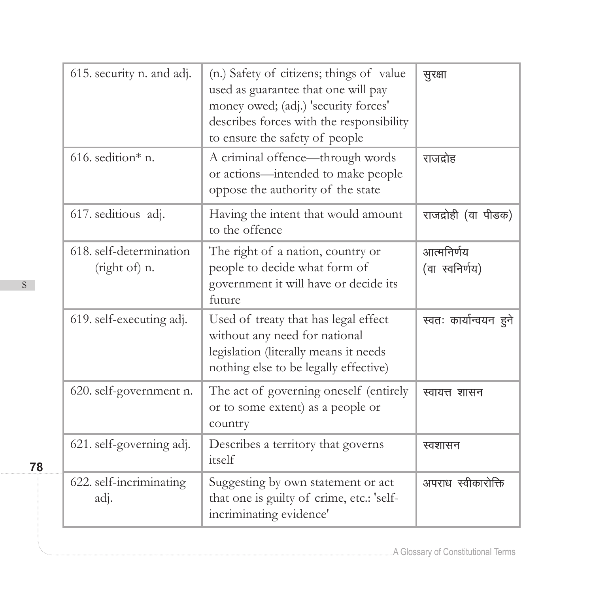| 615. security n. and adj.                | (n.) Safety of citizens; things of value<br>used as guarantee that one will pay<br>money owed; (adj.) 'security forces'<br>describes forces with the responsibility<br>to ensure the safety of people | सुरक्षा                      |
|------------------------------------------|-------------------------------------------------------------------------------------------------------------------------------------------------------------------------------------------------------|------------------------------|
| 616. sedition* n.                        | A criminal offence—through words<br>or actions—intended to make people<br>oppose the authority of the state                                                                                           | राजद्रोह                     |
| 617. seditious adj.                      | Having the intent that would amount<br>to the offence                                                                                                                                                 | राजद्रोही (वा पीडक)          |
| 618. self-determination<br>(right of) n. | The right of a nation, country or<br>people to decide what form of<br>government it will have or decide its<br>future                                                                                 | आत्मनिर्णय<br>(वा स्वनिर्णय) |
| 619. self-executing adj.                 | Used of treaty that has legal effect<br>without any need for national<br>legislation (literally means it needs<br>nothing else to be legally effective)                                               | स्वतः कार्यान्वयन हुने       |
| 620. self-government n.                  | The act of governing oneself (entirely<br>or to some extent) as a people or<br>country                                                                                                                | स्वायत्त शासन                |
| 621. self-governing adj.                 | Describes a territory that governs<br>itself                                                                                                                                                          | स्वशासन                      |
| 622. self-incriminating<br>adj.          | Suggesting by own statement or act<br>that one is guilty of crime, etc.: 'self-<br>incriminating evidence'                                                                                            | अपराध स्वीकारोक्ति           |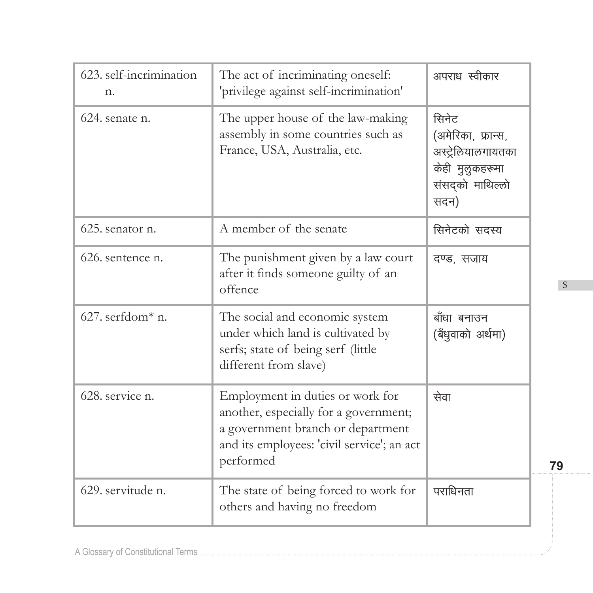| 623, self-incrimination<br>n. | The act of incriminating oneself:<br>'privilege against self-incrimination'                                                                                               | अपराध स्वीकार                                                                                    |
|-------------------------------|---------------------------------------------------------------------------------------------------------------------------------------------------------------------------|--------------------------------------------------------------------------------------------------|
| 624. senate n.                | The upper house of the law-making<br>assembly in some countries such as<br>France, USA, Australia, etc.                                                                   | सिनेट<br>(अमेरिका, फ्रान्स,<br>अस्ट्रेलियालगायतका<br>केही मुलुकहरूमा<br>संसद्को माथिल्लो<br>सदन) |
| 625. senator n.               | A member of the senate                                                                                                                                                    | सिनेटको सदस्य                                                                                    |
| 626. sentence n.              | The punishment given by a law court<br>after it finds someone guilty of an<br>offence                                                                                     | दण्ड, सजाय                                                                                       |
| 627. serfdom* n.              | The social and economic system<br>under which land is cultivated by<br>serfs; state of being serf (little<br>different from slave)                                        | बाँधा बनाउन<br>(बँधुवाको अर्थमा)                                                                 |
| 628. service n.               | Employment in duties or work for<br>another, especially for a government;<br>a government branch or department<br>and its employees: 'civil service'; an act<br>performed | सेवा                                                                                             |
| 629. servitude n.             | The state of being forced to work for<br>others and having no freedom                                                                                                     | पराधिनता                                                                                         |

S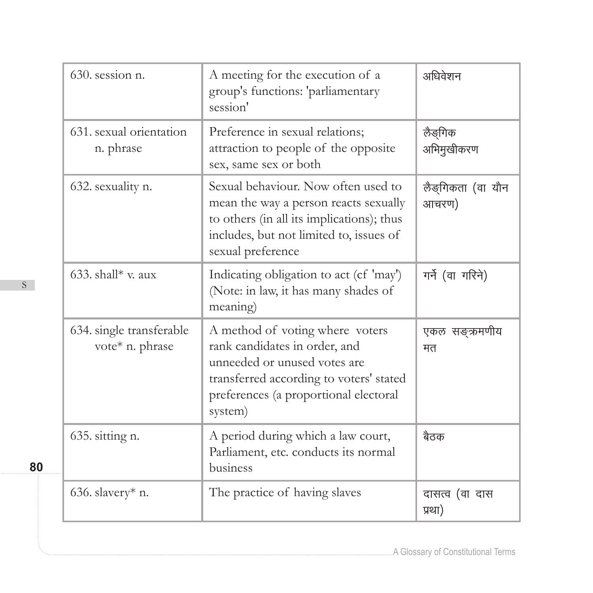| 630. session n.                             | A meeting for the execution of a<br>group's functions: 'parliamentary<br>session'                                                                                                               | अधिवेशन                    |
|---------------------------------------------|-------------------------------------------------------------------------------------------------------------------------------------------------------------------------------------------------|----------------------------|
| 631. sexual orientation<br>n. phrase        | Preference in sexual relations;<br>attraction to people of the opposite<br>sex, same sex or both                                                                                                | लैङ्गिक<br>अभिमुखीकरण      |
| 632. sexuality n.                           | Sexual behaviour. Now often used to<br>mean the way a person reacts sexually<br>to others (in all its implications); thus<br>includes, but not limited to, issues of<br>sexual preference       | लैङ्गिकता (वा यौन<br>आचरण) |
| 633. shall* v. aux                          | Indicating obligation to act (cf 'may')<br>(Note: in law, it has many shades of<br>meaning)                                                                                                     | गर्ने (वा गरिने)           |
| 634. single transferable<br>vote* n. phrase | A method of voting where voters<br>rank candidates in order, and<br>unneeded or unused votes are<br>transferred according to voters' stated<br>preferences (a proportional electoral<br>system) | एकल सङ्क्रमणीय<br>मत       |
| 635. sitting n.                             | A period during which a law court,<br>Parliament, etc. conducts its normal<br>business                                                                                                          | बैठक                       |
| 636. slavery* n.                            | The practice of having slaves                                                                                                                                                                   | दासत्व (वा दास<br>प्रथा)   |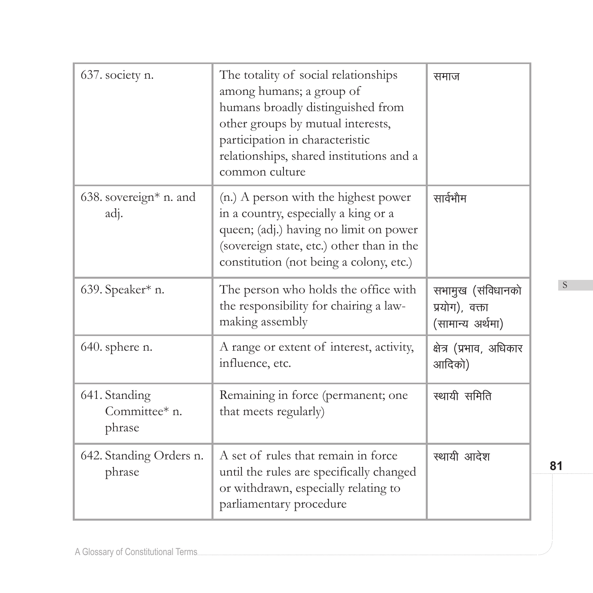| 637. society n.                          | The totality of social relationships<br>among humans; a group of<br>humans broadly distinguished from<br>other groups by mutual interests,<br>participation in characteristic<br>relationships, shared institutions and a<br>common culture | समाज                                                    |
|------------------------------------------|---------------------------------------------------------------------------------------------------------------------------------------------------------------------------------------------------------------------------------------------|---------------------------------------------------------|
| 638. sovereign* n. and<br>adj.           | (n.) A person with the highest power<br>in a country, especially a king or a<br>queen; (adj.) having no limit on power<br>(sovereign state, etc.) other than in the<br>constitution (not being a colony, etc.)                              | सार्वभौम                                                |
| 639. Speaker* n.                         | The person who holds the office with<br>the responsibility for chairing a law-<br>making assembly                                                                                                                                           | सभामुख (संविधानको<br>प्रयोग), वक्ता<br>(सामान्य अर्थमा) |
| 640. sphere n.                           | A range or extent of interest, activity,<br>influence, etc.                                                                                                                                                                                 | क्षेत्र (प्रभाव, अधिकार<br>आदिको)                       |
| 641. Standing<br>Committee* n.<br>phrase | Remaining in force (permanent; one<br>that meets regularly)                                                                                                                                                                                 | स्थायी समिति                                            |
| 642. Standing Orders n.<br>phrase        | A set of rules that remain in force<br>until the rules are specifically changed<br>or withdrawn, especially relating to<br>parliamentary procedure                                                                                          | स्थायी आदेश                                             |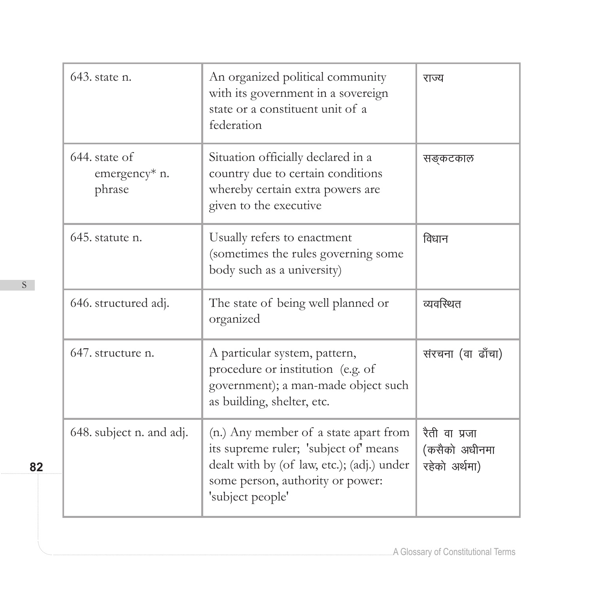| 643, state n.                            | An organized political community<br>with its government in a sovereign<br>state or a constituent unit of a<br>federation                                                             | राज्य                                           |
|------------------------------------------|--------------------------------------------------------------------------------------------------------------------------------------------------------------------------------------|-------------------------------------------------|
| 644, state of<br>emergency* n.<br>phrase | Situation officially declared in a<br>country due to certain conditions<br>whereby certain extra powers are<br>given to the executive                                                | सङ्कटकाल                                        |
| 645. statute n.                          | Usually refers to enactment<br>(sometimes the rules governing some<br>body such as a university)                                                                                     | विधान                                           |
| 646. structured adj.                     | The state of being well planned or<br>organized                                                                                                                                      | व्यवस्थित                                       |
| 647. structure n.                        | A particular system, pattern,<br>procedure or institution (e.g. of<br>government); a man-made object such<br>as building, shelter, etc.                                              | संरचना (वा ढाँचा)                               |
| 648. subject n. and adj.                 | (n.) Any member of a state apart from<br>its supreme ruler; 'subject of' means<br>dealt with by (of law, etc.); (adj.) under<br>some person, authority or power:<br>'subject people' | रैती वा प्रजा<br>(कसैको अधीनमा<br>रहेको अर्थमा) |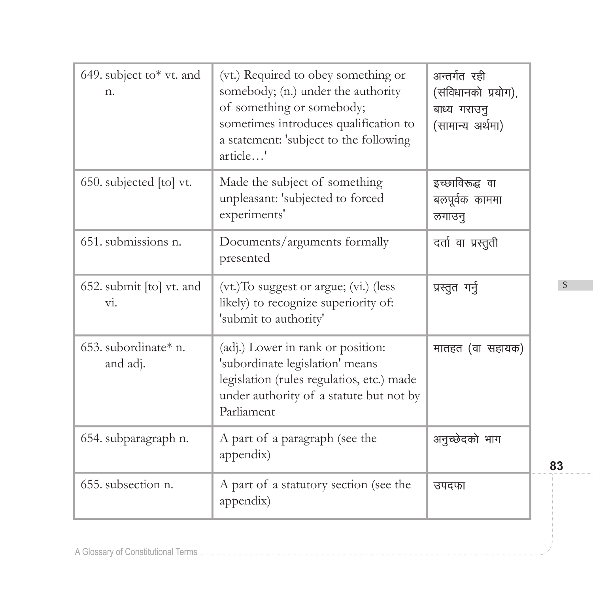| 649. subject to* vt. and<br>n.   | (vt.) Required to obey something or<br>somebody; (n.) under the authority<br>of something or somebody;<br>sometimes introduces qualification to<br>a statement: 'subject to the following<br>article' | अन्तर्गत रही<br>(संविधानको प्रयोग),<br>बाध्य गराउनु<br>(सामान्य अर्थमा) |
|----------------------------------|-------------------------------------------------------------------------------------------------------------------------------------------------------------------------------------------------------|-------------------------------------------------------------------------|
| 650. subjected [to] vt.          | Made the subject of something<br>unpleasant: 'subjected to forced<br>experiments'                                                                                                                     | इच्छाविरूद्ध वा<br>बलपूर्वक काममा<br>लगाउन्                             |
| 651. submissions n.              | Documents/arguments formally<br>presented                                                                                                                                                             | दर्ता वा प्रस्तुती                                                      |
| 652. submit [to] vt. and<br>vi.  | (vt.) To suggest or argue; (vi.) (less<br>likely) to recognize superiority of:<br>'submit to authority'                                                                                               | प्रस्तुत गर्नु                                                          |
| 653. subordinate* n.<br>and adj. | (adj.) Lower in rank or position:<br>'subordinate legislation' means<br>legislation (rules regulatios, etc.) made<br>under authority of a statute but not by<br>Parliament                            | मातहत (वा सहायक)                                                        |
| 654. subparagraph n.             | A part of a paragraph (see the<br>appendix)                                                                                                                                                           | अनुच्छेदको भाग                                                          |
| 655. subsection n.               | A part of a statutory section (see the<br>appendix)                                                                                                                                                   | उपदफा                                                                   |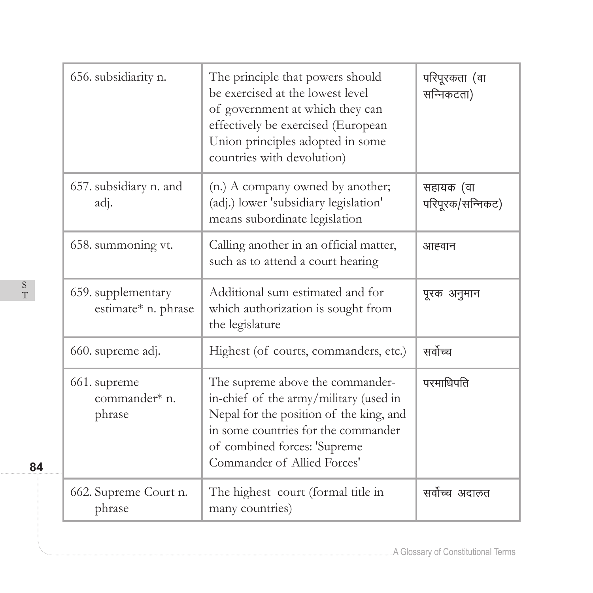| 656. subsidiarity n.                      | The principle that powers should<br>be exercised at the lowest level<br>of government at which they can<br>effectively be exercised (European<br>Union principles adopted in some<br>countries with devolution)             | परिपूरकता (वा<br>सन्निकटता)   |
|-------------------------------------------|-----------------------------------------------------------------------------------------------------------------------------------------------------------------------------------------------------------------------------|-------------------------------|
| 657. subsidiary n. and<br>adj.            | (n.) A company owned by another;<br>(adj.) lower 'subsidiary legislation'<br>means subordinate legislation                                                                                                                  | सहायक (वा<br>परिपूरक/सन्निकट) |
| 658. summoning vt.                        | Calling another in an official matter,<br>such as to attend a court hearing                                                                                                                                                 | आह्वान                        |
| 659. supplementary<br>estimate* n. phrase | Additional sum estimated and for<br>which authorization is sought from<br>the legislature                                                                                                                                   | पूरक अनुमान                   |
| 660. supreme adj.                         | Highest (of courts, commanders, etc.)                                                                                                                                                                                       | सर्वोच्च                      |
| 661. supreme<br>commander* n.<br>phrase   | The supreme above the commander-<br>in-chief of the army/military (used in<br>Nepal for the position of the king, and<br>in some countries for the commander<br>of combined forces: 'Supreme<br>Commander of Allied Forces' | परमाधिपति                     |
| 662. Supreme Court n.<br>phrase           | The highest court (formal title in<br>many countries)                                                                                                                                                                       | सर्वोच्च अदालत                |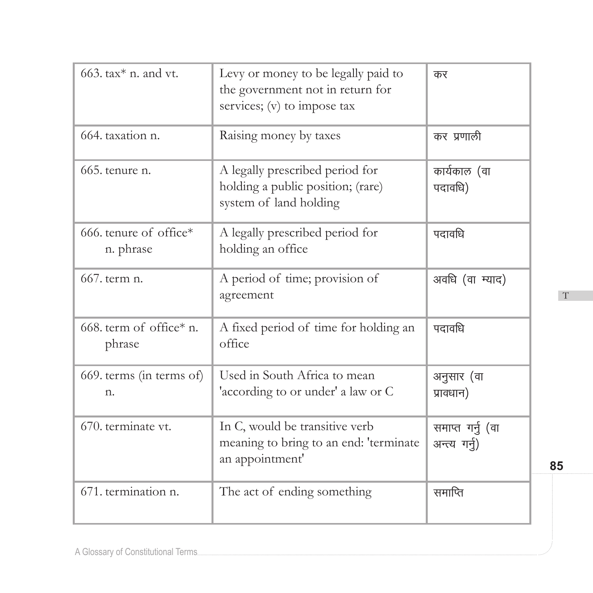| $663. \text{ tax}^*$ n. and vt.     | Levy or money to be legally paid to<br>the government not in return for<br>services; (v) to impose tax | कर                                |
|-------------------------------------|--------------------------------------------------------------------------------------------------------|-----------------------------------|
| 664. taxation n.                    | Raising money by taxes                                                                                 | कर प्रणाली                        |
| 665. tenure n.                      | A legally prescribed period for<br>holding a public position; (rare)<br>system of land holding         | कार्यकाल (वा<br>पदावधि)           |
| 666. tenure of office*<br>n. phrase | A legally prescribed period for<br>holding an office                                                   | पदावधि                            |
| 667. term n.                        | A period of time; provision of<br>agreement                                                            | अवधि (वा म्याद)                   |
| $668$ term of office* n.<br>phrase  | A fixed period of time for holding an<br>office                                                        | पदावधि                            |
| 669. terms (in terms of)<br>n.      | Used in South Africa to mean<br>'according to or under' a law or C                                     | अनुसार (वा<br>प्रावधान)           |
| 670. terminate vt.                  | In C, would be transitive verb<br>meaning to bring to an end: 'terminate<br>an appointment'            | समाप्त गर्नु (वा<br>अन्त्य गर्नु) |
| 671. termination n.                 | The act of ending something                                                                            | समाप्ति                           |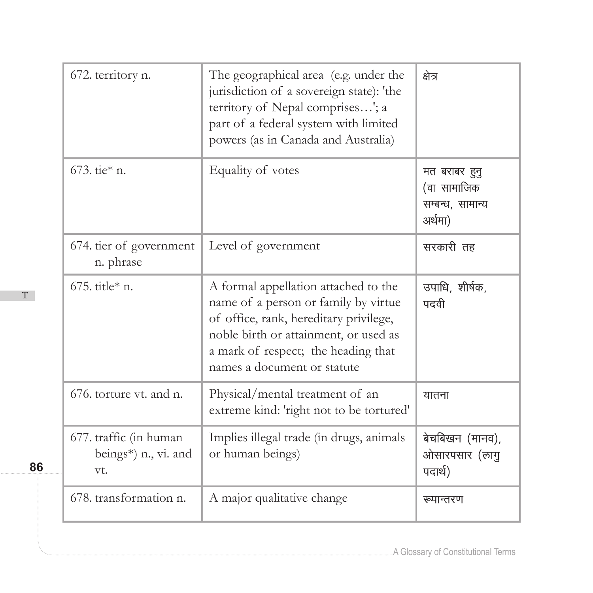| 672. territory n.                                     | The geographical area (e.g. under the<br>jurisdiction of a sovereign state): 'the<br>territory of Nepal comprises'; a<br>part of a federal system with limited<br>powers (as in Canada and Australia)                                 | क्षेत्र                                                     |
|-------------------------------------------------------|---------------------------------------------------------------------------------------------------------------------------------------------------------------------------------------------------------------------------------------|-------------------------------------------------------------|
| 673. tie* n.                                          | Equality of votes                                                                                                                                                                                                                     | मत बराबर हुनु<br>(वा सामाजिक<br>सम्बन्ध, सामान्य<br>अर्थमा) |
| 674. tier of government<br>n. phrase                  | Level of government                                                                                                                                                                                                                   | सरकारी तह                                                   |
| $675$ , title* n.                                     | A formal appellation attached to the<br>name of a person or family by virtue<br>of office, rank, hereditary privilege,<br>noble birth or attainment, or used as<br>a mark of respect; the heading that<br>names a document or statute | उपाधि, शीर्षक,<br>पदवी                                      |
| 676. torture vt. and n.                               | Physical/mental treatment of an<br>extreme kind: 'right not to be tortured'                                                                                                                                                           | यातना                                                       |
| 677. traffic (in human<br>beings*) n., vi. and<br>vt. | Implies illegal trade (in drugs, animals<br>or human beings)                                                                                                                                                                          | बेचबिखन (मानव),<br>ओसारपसार (लागु<br>पदार्थ)                |
| 678. transformation n.                                | A major qualitative change                                                                                                                                                                                                            | रूपान्तरण                                                   |

A Glossary of Constitutional Terms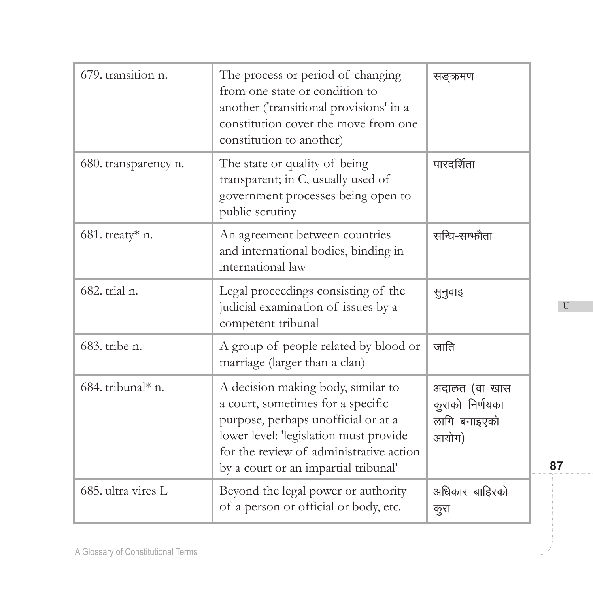| 679. transition n.   | The process or period of changing<br>from one state or condition to<br>another ('transitional provisions' in a<br>constitution cover the move from one<br>constitution to another)                                                          | सङ्क्रमण                                                  |
|----------------------|---------------------------------------------------------------------------------------------------------------------------------------------------------------------------------------------------------------------------------------------|-----------------------------------------------------------|
| 680. transparency n. | The state or quality of being<br>transparent; in C, usually used of<br>government processes being open to<br>public scrutiny                                                                                                                | पारदर्शिता                                                |
| $681.$ treaty* n.    | An agreement between countries<br>and international bodies, binding in<br>international law                                                                                                                                                 | सन्धि-सम्फौता                                             |
| 682. trial n.        | Legal proceedings consisting of the<br>judicial examination of issues by a<br>competent tribunal                                                                                                                                            | सुनुवाइ                                                   |
| 683. tribe n.        | A group of people related by blood or<br>marriage (larger than a clan)                                                                                                                                                                      | जाति                                                      |
| 684. tribunal* n.    | A decision making body, similar to<br>a court, sometimes for a specific<br>purpose, perhaps unofficial or at a<br>lower level: 'legislation must provide<br>for the review of administrative action<br>by a court or an impartial tribunal' | अदालत (वा खास<br>कुराको निर्णयका<br>लागि बनाइएको<br>आयोग) |
| 685. ultra vires L   | Beyond the legal power or authority<br>of a person or official or body, etc.                                                                                                                                                                | अधिकार बाहिरको<br>कुरा                                    |

U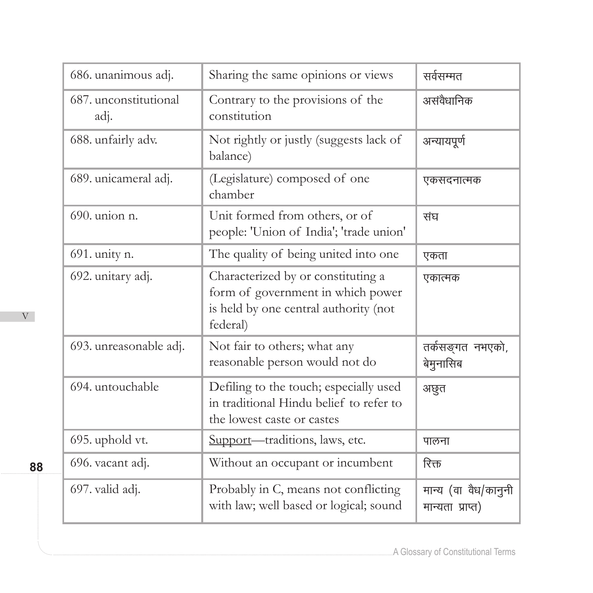| 686. unanimous adj.           | Sharing the same opinions or views                                                                                           | सर्वसम्मत                                |
|-------------------------------|------------------------------------------------------------------------------------------------------------------------------|------------------------------------------|
| 687. unconstitutional<br>adj. | Contrary to the provisions of the<br>constitution                                                                            | असंवैधानिक                               |
| 688. unfairly adv.            | Not rightly or justly (suggests lack of<br>balance)                                                                          | अन्यायपूर्ण                              |
| 689. unicameral adj.          | (Legislature) composed of one<br>chamber                                                                                     | एकसदनात्मक                               |
| 690. union n.                 | Unit formed from others, or of<br>people: 'Union of India'; 'trade union'                                                    | संघ                                      |
| 691. unity n.                 | The quality of being united into one                                                                                         | एकता                                     |
| 692. unitary adj.             | Characterized by or constituting a<br>form of government in which power<br>is held by one central authority (not<br>federal) | एकात्मक                                  |
| 693. unreasonable adj.        | Not fair to others; what any<br>reasonable person would not do                                                               | तर्कसङ्गत नभएको,<br>बेमुनासिब            |
| 694. untouchable              | Defiling to the touch; especially used<br>in traditional Hindu belief to refer to<br>the lowest caste or castes              | अछुत                                     |
| 695. uphold vt.               | Support-traditions, laws, etc.                                                                                               | पालना                                    |
| 696. vacant adj.              | Without an occupant or incumbent                                                                                             | रिक्त                                    |
| 697. valid adj.               | Probably in C, means not conflicting<br>with law; well based or logical; sound                                               | मान्य (वा वैध/कानुनी<br>मान्यता प्राप्त) |

A Glossary of Constitutional Terms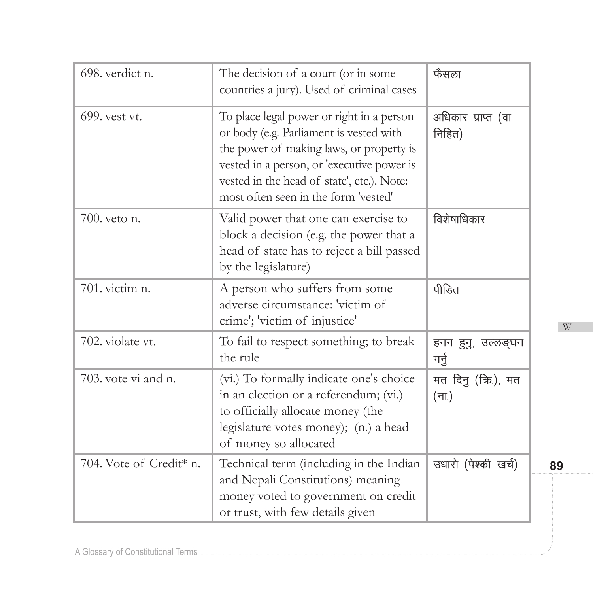| 698. verdict n.         | The decision of a court (or in some<br>countries a jury). Used of criminal cases                                                                                                                                                                                     | फैसला                                             |
|-------------------------|----------------------------------------------------------------------------------------------------------------------------------------------------------------------------------------------------------------------------------------------------------------------|---------------------------------------------------|
| $699.$ vest vt.         | To place legal power or right in a person<br>or body (e.g. Parliament is vested with<br>the power of making laws, or property is<br>vested in a person, or 'executive power is<br>vested in the head of state', etc.). Note:<br>most often seen in the form 'vested' | अधिकार प्राप्त (वा<br>निहित)                      |
| 700. veto n.            | Valid power that one can exercise to<br>block a decision (e.g. the power that a<br>head of state has to reject a bill passed<br>by the legislature)                                                                                                                  | विशेषाधिकार                                       |
| 701. victim n.          | A person who suffers from some<br>adverse circumstance: 'victim of<br>crime'; 'victim of injustice'                                                                                                                                                                  | पीडित                                             |
| 702. violate vt.        | To fail to respect something; to break<br>the rule                                                                                                                                                                                                                   | हनन हुनु, उल्लङ्घन<br>गर्नु                       |
| 703. vote vi and n.     | (vi.) To formally indicate one's choice<br>in an election or a referendum; (vi.)<br>to officially allocate money (the<br>legislature votes money); (n.) a head<br>of money so allocated                                                                              | मत दिनु (क्रि.), मत<br>$(\overline{\mathcal{H}})$ |
| 704. Vote of Credit* n. | Technical term (including in the Indian<br>and Nepali Constitutions) meaning<br>money voted to government on credit<br>or trust, with few details given                                                                                                              | उधारो (पेश्की खर्च)                               |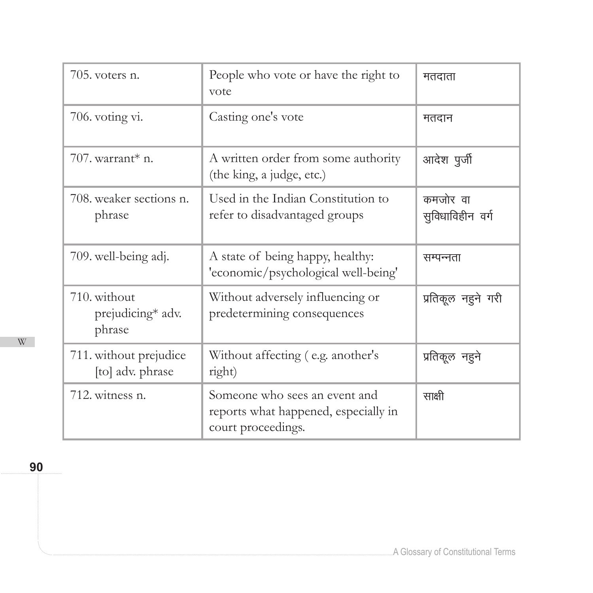| $705$ . voters n.                           | People who vote or have the right to<br>vote                                                | मतदाता                       |
|---------------------------------------------|---------------------------------------------------------------------------------------------|------------------------------|
| 706. voting vi.                             | Casting one's vote                                                                          | मतदान                        |
| 707. warrant $*$ n.                         | A written order from some authority<br>(the king, a judge, etc.)                            | आदेश पुर्जी                  |
| 708. weaker sections n.<br>phrase           | Used in the Indian Constitution to<br>refer to disadvantaged groups                         | कमजोर वा<br>सुविधाविहीन वर्ग |
| 709. well-being adj.                        | A state of being happy, healthy:<br>'economic/psychological well-being'                     | सम्पन्नता                    |
| 710. without<br>prejudicing* adv.<br>phrase | Without adversely influencing or<br>predetermining consequences                             | प्रतिकूल नहुने गरी           |
| 711. without prejudice<br>[to] adv. phrase  | Without affecting (e.g. another's<br>right)                                                 | प्रतिकूल नहुने               |
| 712. witness n.                             | Someone who sees an event and<br>reports what happened, especially in<br>court proceedings. | साक्षी                       |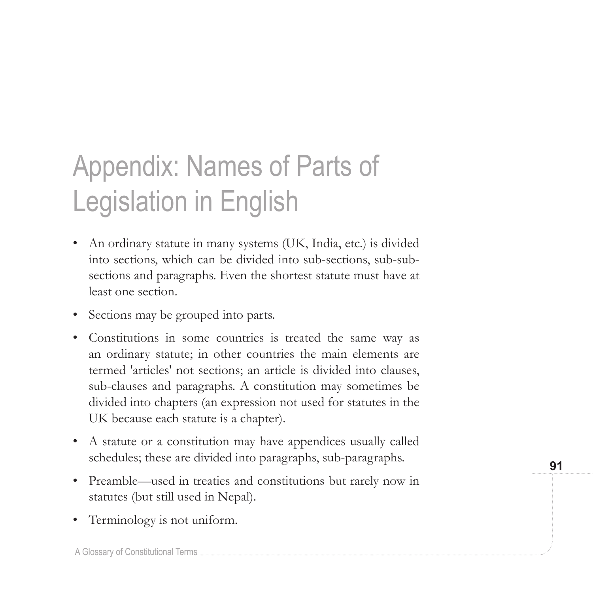## Appendix: Names of Parts of Legislation in English

- An ordinary statute in many systems (UK, India, etc.) is divided into sections, which can be divided into sub-sections, sub-subsections and paragraphs. Even the shortest statute must have at least one section.
- Sections may be grouped into parts.
- Constitutions in some countries is treated the same way as an ordinary statute; in other countries the main elements are termed 'articles' not sections; an article is divided into clauses, sub-clauses and paragraphs. A constitution may sometimes be divided into chapters (an expression not used for statutes in the UK because each statute is a chapter).
- A statute or a constitution may have appendices usually called schedules; these are divided into paragraphs, sub-paragraphs.
- Preamble—used in treaties and constitutions but rarely now in statutes (but still used in Nepal).
- Terminology is not uniform.